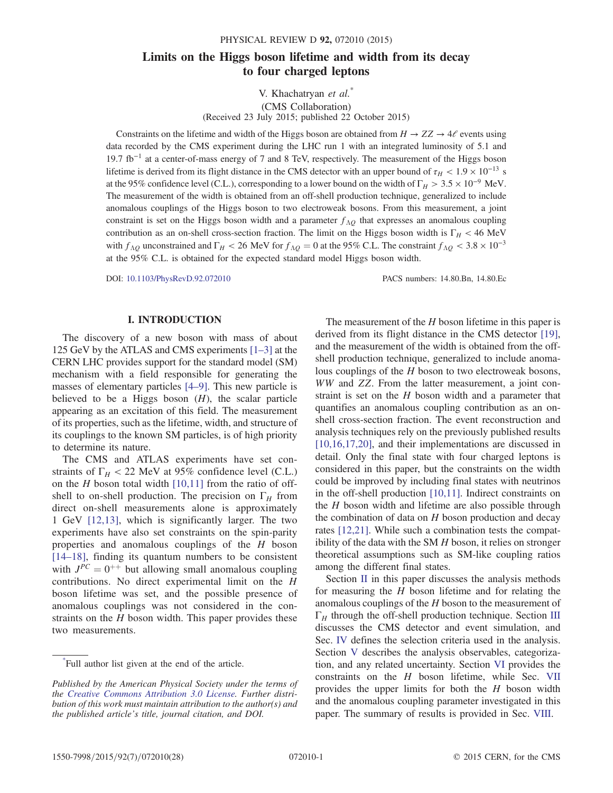# Limits on the Higgs boson lifetime and width from its decay to four charged leptons

V. Khachatryan et al.\*

(CMS Collaboration) (Received 23 July 2015; published 22 October 2015)

Constraints on the lifetime and width of the Higgs boson are obtained from  $H \to ZZ \to 4\ell$  events using data recorded by the CMS experiment during the LHC run 1 with an integrated luminosity of 5.1 and 19.7 fb<sup>−</sup><sup>1</sup> at a center-of-mass energy of 7 and 8 TeV, respectively. The measurement of the Higgs boson lifetime is derived from its flight distance in the CMS detector with an upper bound of  $\tau_H < 1.9 \times 10^{-13}$  s at the 95% confidence level (C.L.), corresponding to a lower bound on the width of  $\Gamma_H > 3.5 \times 10^{-9}$  MeV. The measurement of the width is obtained from an off-shell production technique, generalized to include anomalous couplings of the Higgs boson to two electroweak bosons. From this measurement, a joint constraint is set on the Higgs boson width and a parameter  $f_{\Lambda}$  that expresses an anomalous coupling contribution as an on-shell cross-section fraction. The limit on the Higgs boson width is  $\Gamma_H < 46$  MeV with  $f_{\Lambda Q}$  unconstrained and  $\Gamma_H$  < 26 MeV for  $f_{\Lambda Q} = 0$  at the 95% C.L. The constraint  $f_{\Lambda Q}$  < 3.8 × 10<sup>-3</sup> at the 95% C.L. is obtained for the expected standard model Higgs boson width.

DOI: [10.1103/PhysRevD.92.072010](http://dx.doi.org/10.1103/PhysRevD.92.072010) PACS numbers: 14.80.Bn, 14.80.Ec

### I. INTRODUCTION

The discovery of a new boson with mass of about 125 GeV by the ATLAS and CMS experiments [1–[3\]](#page-14-0) at the CERN LHC provides support for the standard model (SM) mechanism with a field responsible for generating the masses of elementary particles [4–[9\]](#page-14-1). This new particle is believed to be a Higgs boson  $(H)$ , the scalar particle appearing as an excitation of this field. The measurement of its properties, such as the lifetime, width, and structure of its couplings to the known SM particles, is of high priority to determine its nature.

The CMS and ATLAS experiments have set constraints of  $\Gamma_H$  < 22 MeV at 95% confidence level (C.L.) on the  $H$  boson total width  $[10,11]$  from the ratio of offshell to on-shell production. The precision on  $\Gamma_H$  from direct on-shell measurements alone is approximately 1 GeV [\[12,13\],](#page-14-3) which is significantly larger. The two experiments have also set constraints on the spin-parity properties and anomalous couplings of the H boson [14–[18\],](#page-14-4) finding its quantum numbers to be consistent with  $J^{PC} = 0^{++}$  but allowing small anomalous coupling contributions. No direct experimental limit on the H boson lifetime was set, and the possible presence of anomalous couplings was not considered in the constraints on the H boson width. This paper provides these two measurements.

The measurement of the H boson lifetime in this paper is derived from its flight distance in the CMS detector [\[19\]](#page-15-0), and the measurement of the width is obtained from the offshell production technique, generalized to include anomalous couplings of the H boson to two electroweak bosons, WW and ZZ. From the latter measurement, a joint constraint is set on the  $H$  boson width and a parameter that quantifies an anomalous coupling contribution as an onshell cross-section fraction. The event reconstruction and analysis techniques rely on the previously published results [\[10,16,17,20\],](#page-14-2) and their implementations are discussed in detail. Only the final state with four charged leptons is considered in this paper, but the constraints on the width could be improved by including final states with neutrinos in the off-shell production [\[10,11\].](#page-14-2) Indirect constraints on the  $H$  boson width and lifetime are also possible through the combination of data on  $H$  boson production and decay rates [\[12,21\]](#page-14-3). While such a combination tests the compatibility of the data with the SM  $H$  boson, it relies on stronger theoretical assumptions such as SM-like coupling ratios among the different final states.

Section  $II$  in this paper discusses the analysis methods for measuring the H boson lifetime and for relating the anomalous couplings of the H boson to the measurement of  $\Gamma_H$  through the off-shell production technique. Section [III](#page-2-0) discusses the CMS detector and event simulation, and Sec. [IV](#page-4-0) defines the selection criteria used in the analysis. Section [V](#page-5-0) describes the analysis observables, categorization, and any related uncertainty. Section [VI](#page-9-0) provides the constraints on the H boson lifetime, while Sec. [VII](#page-10-0) provides the upper limits for both the H boson width and the anomalous coupling parameter investigated in this paper. The summary of results is provided in Sec. [VIII.](#page-12-0)

<sup>\*</sup> Full author list given at the end of the article.

Published by the American Physical Society under the terms of the [Creative Commons Attribution 3.0 License.](http://creativecommons.org/licenses/by/3.0/) Further distribution of this work must maintain attribution to the author(s) and the published article's title, journal citation, and DOI.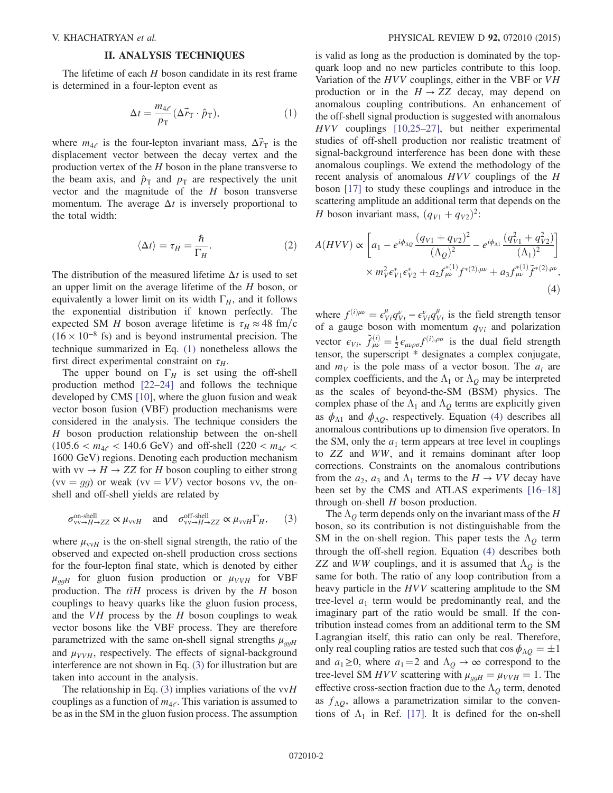## II. ANALYSIS TECHNIQUES

<span id="page-1-1"></span><span id="page-1-0"></span>The lifetime of each  $H$  boson candidate in its rest frame is determined in a four-lepton event as

$$
\Delta t = \frac{m_{4\ell}}{p_{\rm T}} (\Delta \vec{r}_{\rm T} \cdot \hat{p}_{\rm T}), \tag{1}
$$

<span id="page-1-4"></span>where  $m_{4\ell}$  is the four-lepton invariant mass,  $\Delta \vec{r}_{\text{T}}$  is the displacement vector between the decay vertex and the production vertex of the  $H$  boson in the plane transverse to the beam axis, and  $\hat{p}_T$  and  $p_T$  are respectively the unit vector and the magnitude of the  $H$  boson transverse momentum. The average  $\Delta t$  is inversely proportional to the total width:

$$
\langle \Delta t \rangle = \tau_H = \frac{\hbar}{\Gamma_H}.\tag{2}
$$

The distribution of the measured lifetime  $\Delta t$  is used to set an upper limit on the average lifetime of the H boson, or equivalently a lower limit on its width  $\Gamma_H$ , and it follows the exponential distribution if known perfectly. The expected SM H boson average lifetime is  $\tau_H \approx 48$  fm/c  $(16 \times 10^{-8}$  fs) and is beyond instrumental precision. The technique summarized in Eq. [\(1\)](#page-1-1) nonetheless allows the first direct experimental constraint on  $\tau_H$ .

The upper bound on  $\Gamma_H$  is set using the off-shell production method [22–[24\]](#page-15-1) and follows the technique developed by CMS [\[10\],](#page-14-2) where the gluon fusion and weak vector boson fusion (VBF) production mechanisms were considered in the analysis. The technique considers the H boson production relationship between the on-shell  $(105.6 < m_{4\ell} < 140.6$  GeV) and off-shell  $(220 < m_{4\ell} <$ 1600 GeV) regions. Denoting each production mechanism with vv  $\rightarrow$  H  $\rightarrow$  ZZ for H boson coupling to either strong (vv = gg) or weak (vv =  $VV$ ) vector bosons vv, the onshell and off-shell yields are related by

<span id="page-1-2"></span>
$$
\sigma_{\text{vv}\to H\to ZZ}^{\text{on-shell}} \propto \mu_{\text{vvH}} \quad \text{and} \quad \sigma_{\text{vv}\to H\to ZZ}^{\text{off-shell}} \propto \mu_{\text{vvH}} \Gamma_H, \qquad (3)
$$

where  $\mu_{vvH}$  is the on-shell signal strength, the ratio of the observed and expected on-shell production cross sections for the four-lepton final state, which is denoted by either  $\mu_{ggH}$  for gluon fusion production or  $\mu_{VVH}$  for VBF production. The  $t\bar{t}H$  process is driven by the H boson couplings to heavy quarks like the gluon fusion process, and the  $VH$  process by the  $H$  boson couplings to weak vector bosons like the VBF process. They are therefore parametrized with the same on-shell signal strengths  $\mu_{qg}$ and  $\mu_{VVH}$ , respectively. The effects of signal-background interference are not shown in Eq. [\(3\)](#page-1-2) for illustration but are taken into account in the analysis.

The relationship in Eq.  $(3)$  implies variations of the vvH couplings as a function of  $m_{4\ell}$ . This variation is assumed to be as in the SM in the gluon fusion process. The assumption is valid as long as the production is dominated by the topquark loop and no new particles contribute to this loop. Variation of the HVV couplings, either in the VBF or VH production or in the  $H \rightarrow ZZ$  decay, may depend on anomalous coupling contributions. An enhancement of the off-shell signal production is suggested with anomalous HVV couplings [\[10,25](#page-14-2)–27], but neither experimental studies of off-shell production nor realistic treatment of signal-background interference has been done with these anomalous couplings. We extend the methodology of the recent analysis of anomalous HVV couplings of the H boson [\[17\]](#page-15-2) to study these couplings and introduce in the scattering amplitude an additional term that depends on the H boson invariant mass,  $(q_{V1} + q_{V2})^2$ :

<span id="page-1-3"></span>
$$
A(HVV) \propto \left[ a_1 - e^{i\phi_{\Lambda_2}} \frac{(q_{V1} + q_{V2})^2}{(\Lambda_2)^2} - e^{i\phi_{\Lambda_1}} \frac{(q_{V1}^2 + q_{V2}^2)}{(\Lambda_1)^2} \right] \times m_V^2 \epsilon_{V1}^* \epsilon_{V2}^* + a_2 f_{\mu\nu}^{*(1)} f^{*(2),\mu\nu} + a_3 f_{\mu\nu}^{*(1)} \tilde{f}^{*(2),\mu\nu}, \tag{4}
$$

where  $f^{(i)\mu\nu} = \epsilon_{Vi}^{\mu} q_{Vi}^{\nu} - \epsilon_{Vi}^{\nu} q_{Vi}^{\mu}$  is the field strength tensor of a gauge boson with momentum  $q_{Vi}$  and polarization vector  $\epsilon_{Vi}$ ,  $\tilde{f}^{(i)}_{\mu\nu} = \frac{1}{2} \epsilon_{\mu\nu\rho\sigma} f^{(i),\rho\sigma}$  is the dual field strength tensor, the superscript \* designates a complex conjugate, and  $m_V$  is the pole mass of a vector boson. The  $a_i$  are complex coefficients, and the  $\Lambda_1$  or  $\Lambda_0$  may be interpreted as the scales of beyond-the-SM (BSM) physics. The complex phase of the  $\Lambda_1$  and  $\Lambda_Q$  terms are explicitly given as  $\phi_{\Lambda1}$  and  $\phi_{\Lambda0}$ , respectively. Equation [\(4\)](#page-1-3) describes all anomalous contributions up to dimension five operators. In the SM, only the  $a_1$  term appears at tree level in couplings to ZZ and WW, and it remains dominant after loop corrections. Constraints on the anomalous contributions from the  $a_2$ ,  $a_3$  and  $\Lambda_1$  terms to the  $H \to VV$  decay have been set by the CMS and ATLAS experiments [\[16](#page-14-5)–18] through on-shell  $H$  boson production.

The  $\Lambda_{\Omega}$  term depends only on the invariant mass of the H boson, so its contribution is not distinguishable from the SM in the on-shell region. This paper tests the  $\Lambda_{\scriptscriptstyle O}$  term through the off-shell region. Equation [\(4\)](#page-1-3) describes both ZZ and WW couplings, and it is assumed that  $\Lambda_Q$  is the same for both. The ratio of any loop contribution from a heavy particle in the HVV scattering amplitude to the SM tree-level  $a_1$  term would be predominantly real, and the imaginary part of the ratio would be small. If the contribution instead comes from an additional term to the SM Lagrangian itself, this ratio can only be real. Therefore, only real coupling ratios are tested such that  $\cos \phi_{\Lambda Q} = \pm 1$ and  $a_1 \ge 0$ , where  $a_1 = 2$  and  $\Lambda_Q \to \infty$  correspond to the tree-level SM HVV scattering with  $\mu_{qqH} = \mu_{VVH} = 1$ . The effective cross-section fraction due to the  $\Lambda_Q$  term, denoted as  $f_{\Lambda Q}$ , allows a parametrization similar to the conventions of  $\Lambda_1$  in Ref. [\[17\].](#page-15-2) It is defined for the on-shell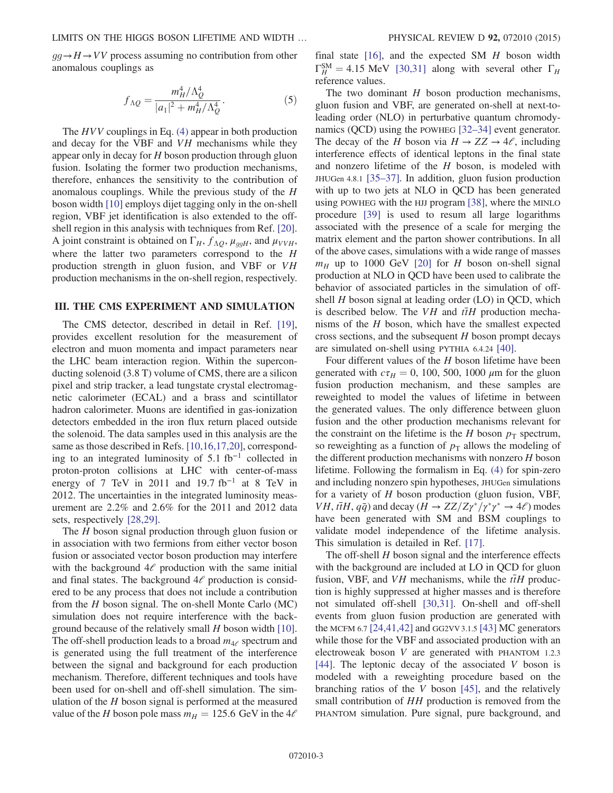<span id="page-2-1"></span> $gg \to H \to VV$  process assuming no contribution from other anomalous couplings as

$$
f_{\Lambda Q} = \frac{m_H^4 / \Lambda_Q^4}{|a_1|^2 + m_H^4 / \Lambda_Q^4}.
$$
 (5)

The HVV couplings in Eq. [\(4\)](#page-1-3) appear in both production and decay for the VBF and VH mechanisms while they appear only in decay for H boson production through gluon fusion. Isolating the former two production mechanisms, therefore, enhances the sensitivity to the contribution of anomalous couplings. While the previous study of the H boson width [\[10\]](#page-14-2) employs dijet tagging only in the on-shell region, VBF jet identification is also extended to the offshell region in this analysis with techniques from Ref. [\[20\]](#page-15-3). A joint constraint is obtained on  $\Gamma_H$ ,  $f_{\Lambda Q}$ ,  $\mu_{qqH}$ , and  $\mu_{VVH}$ , where the latter two parameters correspond to the  $H$ production strength in gluon fusion, and VBF or VH production mechanisms in the on-shell region, respectively.

#### <span id="page-2-0"></span>III. THE CMS EXPERIMENT AND SIMULATION

The CMS detector, described in detail in Ref. [\[19\]](#page-15-0), provides excellent resolution for the measurement of electron and muon momenta and impact parameters near the LHC beam interaction region. Within the superconducting solenoid (3.8 T) volume of CMS, there are a silicon pixel and strip tracker, a lead tungstate crystal electromagnetic calorimeter (ECAL) and a brass and scintillator hadron calorimeter. Muons are identified in gas-ionization detectors embedded in the iron flux return placed outside the solenoid. The data samples used in this analysis are the same as those described in Refs. [\[10,16,17,20\],](#page-14-2) corresponding to an integrated luminosity of 5.1 fb<sup>−</sup><sup>1</sup> collected in proton-proton collisions at LHC with center-of-mass energy of 7 TeV in 2011 and 19.7 fb<sup>-1</sup> at 8 TeV in 2012. The uncertainties in the integrated luminosity measurement are 2.2% and 2.6% for the 2011 and 2012 data sets, respectively [\[28,29\]](#page-15-4).

The H boson signal production through gluon fusion or in association with two fermions from either vector boson fusion or associated vector boson production may interfere with the background  $4\ell$  production with the same initial and final states. The background  $4\ell$  production is considered to be any process that does not include a contribution from the H boson signal. The on-shell Monte Carlo (MC) simulation does not require interference with the background because of the relatively small  $H$  boson width [\[10\]](#page-14-2). The off-shell production leads to a broad  $m_{4\ell}$  spectrum and is generated using the full treatment of the interference between the signal and background for each production mechanism. Therefore, different techniques and tools have been used for on-shell and off-shell simulation. The simulation of the  $H$  boson signal is performed at the measured value of the H boson pole mass  $m_H = 125.6$  GeV in the  $4\ell$  final state  $[16]$ , and the expected SM  $H$  boson width  $\Gamma_H^{\text{SM}} = 4.15 \text{ MeV}$  [\[30,31\]](#page-15-5) along with several other  $\Gamma_H$ reference values.

The two dominant  $H$  boson production mechanisms, gluon fusion and VBF, are generated on-shell at next-toleading order (NLO) in perturbative quantum chromodynamics (QCD) using the POWHEG [\[32](#page-15-6)–34] event generator. The decay of the H boson via  $H \to ZZ \to 4\ell$ , including interference effects of identical leptons in the final state and nonzero lifetime of the H boson, is modeled with JHUGen 4.8.1 [\[35](#page-15-7)–37]. In addition, gluon fusion production with up to two jets at NLO in QCD has been generated using POWHEG with the HJJ program [\[38\]](#page-15-8), where the MINLO procedure [\[39\]](#page-15-9) is used to resum all large logarithms associated with the presence of a scale for merging the matrix element and the parton shower contributions. In all of the above cases, simulations with a wide range of masses  $m_H$  up to 1000 GeV [\[20\]](#page-15-3) for H boson on-shell signal production at NLO in QCD have been used to calibrate the behavior of associated particles in the simulation of offshell  $H$  boson signal at leading order (LO) in QCD, which is described below. The VH and  $t\bar{t}H$  production mechanisms of the  $H$  boson, which have the smallest expected cross sections, and the subsequent  $H$  boson prompt decays are simulated on-shell using PYTHIA 6.4.24 [\[40\].](#page-15-10)

Four different values of the  $H$  boson lifetime have been generated with  $c\tau_H = 0$ , 100, 500, 1000  $\mu$ m for the gluon fusion production mechanism, and these samples are reweighted to model the values of lifetime in between the generated values. The only difference between gluon fusion and the other production mechanisms relevant for the constraint on the lifetime is the H boson  $p_T$  spectrum, so reweighting as a function of  $p<sub>T</sub>$  allows the modeling of the different production mechanisms with nonzero  $H$  boson lifetime. Following the formalism in Eq. [\(4\)](#page-1-3) for spin-zero and including nonzero spin hypotheses, JHUGen simulations for a variety of  $H$  boson production (gluon fusion, VBF,  $VH$ ,  $t\bar{t}H$ ,  $q\bar{q}$ ) and decay  $(H \to ZZ/Z\gamma^*/\gamma^*\gamma^* \to 4\ell)$  modes<br>have been generated with SM and RSM counlings to have been generated with SM and BSM couplings to validate model independence of the lifetime analysis. This simulation is detailed in Ref. [\[17\].](#page-15-2)

The off-shell  $H$  boson signal and the interference effects with the background are included at LO in QCD for gluon fusion, VBF, and VH mechanisms, while the  $t\bar{t}H$  production is highly suppressed at higher masses and is therefore not simulated off-shell [\[30,31\].](#page-15-5) On-shell and off-shell events from gluon fusion production are generated with the MCFM 6.7 [\[24,41,42\]](#page-15-11) and GG2VV 3.1.5 [\[43\]](#page-15-12) MC generators while those for the VBF and associated production with an electroweak boson <sup>V</sup> are generated with PHANTOM 1.2.3 [\[44\]](#page-15-13). The leptonic decay of the associated  $V$  boson is modeled with a reweighting procedure based on the branching ratios of the  $V$  boson [\[45\]](#page-15-14), and the relatively small contribution of  $HH$  production is removed from the PHANTOM simulation. Pure signal, pure background, and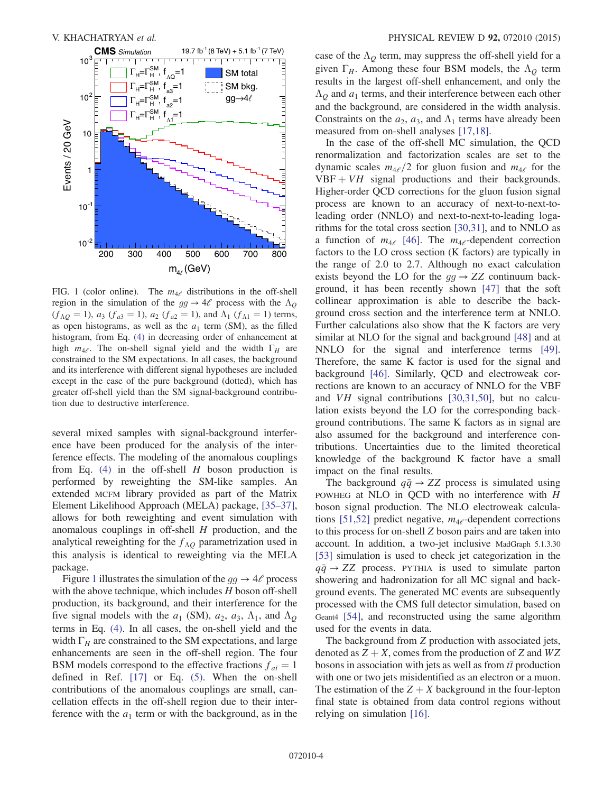<span id="page-3-0"></span>

FIG. 1 (color online). The  $m_{4\ell}$  distributions in the off-shell region in the simulation of the  $gg \to 4\ell$  process with the  $\Lambda_Q$  $(f<sub>AQ</sub> = 1), a<sub>3</sub> (f<sub>a3</sub> = 1), a<sub>2</sub> (f<sub>a2</sub> = 1), and A<sub>1</sub> (f<sub>A1</sub> = 1) terms,$ as open histograms, as well as the  $a_1$  term (SM), as the filled histogram, from Eq.  $(4)$  in decreasing order of enhancement at high  $m_{4e}$ . The on-shell signal yield and the width  $\Gamma_H$  are constrained to the SM expectations. In all cases, the background and its interference with different signal hypotheses are included except in the case of the pure background (dotted), which has greater off-shell yield than the SM signal-background contribution due to destructive interference.

several mixed samples with signal-background interference have been produced for the analysis of the interference effects. The modeling of the anomalous couplings from Eq. [\(4\)](#page-1-3) in the off-shell  $H$  boson production is performed by reweighting the SM-like samples. An extended MCFM library provided as part of the Matrix Element Likelihood Approach (MELA) package, [\[35](#page-15-7)–37], allows for both reweighting and event simulation with anomalous couplings in off-shell  $H$  production, and the analytical reweighting for the  $f_{\Lambda Q}$  parametrization used in this analysis is identical to reweighting via the MELA package.

Figure [1](#page-3-0) illustrates the simulation of the  $gg \to 4\ell$  process with the above technique, which includes  $H$  boson off-shell production, its background, and their interference for the five signal models with the  $a_1$  (SM),  $a_2$ ,  $a_3$ ,  $\Lambda_1$ , and  $\Lambda_Q$ terms in Eq. [\(4\)](#page-1-3). In all cases, the on-shell yield and the width  $\Gamma_H$  are constrained to the SM expectations, and large enhancements are seen in the off-shell region. The four BSM models correspond to the effective fractions  $f_{ai} = 1$ defined in Ref. [\[17\]](#page-15-2) or Eq. [\(5\).](#page-2-1) When the on-shell contributions of the anomalous couplings are small, cancellation effects in the off-shell region due to their interference with the  $a_1$  term or with the background, as in the case of the  $\Lambda$ <sub>O</sub> term, may suppress the off-shell yield for a given  $\Gamma_H$ . Among these four BSM models, the  $\Lambda_O$  term results in the largest off-shell enhancement, and only the  $\Lambda_Q$  and  $a_1$  terms, and their interference between each other<br>and the background are considered in the width analysis and the background, are considered in the width analysis. Constraints on the  $a_2$ ,  $a_3$ , and  $\Lambda_1$  terms have already been measured from on-shell analyses [\[17,18\]](#page-15-2).

In the case of the off-shell MC simulation, the QCD renormalization and factorization scales are set to the dynamic scales  $m_{4\ell}/2$  for gluon fusion and  $m_{4\ell}$  for the  $VBF + VH$  signal productions and their backgrounds. Higher-order QCD corrections for the gluon fusion signal process are known to an accuracy of next-to-next-toleading order (NNLO) and next-to-next-to-leading logarithms for the total cross section [\[30,31\]](#page-15-5), and to NNLO as a function of  $m_{4\ell}$  [\[46\].](#page-15-15) The  $m_{4\ell}$ -dependent correction factors to the LO cross section (K factors) are typically in the range of 2.0 to 2.7. Although no exact calculation exists beyond the LO for the  $gg \to ZZ$  continuum background, it has been recently shown [\[47\]](#page-15-16) that the soft collinear approximation is able to describe the background cross section and the interference term at NNLO. Further calculations also show that the K factors are very similar at NLO for the signal and background [\[48\]](#page-15-17) and at NNLO for the signal and interference terms [\[49\]](#page-15-18). Therefore, the same K factor is used for the signal and background [\[46\].](#page-15-15) Similarly, QCD and electroweak corrections are known to an accuracy of NNLO for the VBF and VH signal contributions [\[30,31,50\]](#page-15-5), but no calculation exists beyond the LO for the corresponding background contributions. The same K factors as in signal are also assumed for the background and interference contributions. Uncertainties due to the limited theoretical knowledge of the background K factor have a small impact on the final results.

The background  $q\bar{q} \rightarrow ZZ$  process is simulated using POWHEG at NLO in QCD with no interference with H boson signal production. The NLO electroweak calcula-tions [\[51,52\]](#page-15-19) predict negative,  $m_{4e}$ -dependent corrections to this process for on-shell Z boson pairs and are taken into account. In addition, a two-jet inclusive MadGraph 5.1.3.30 [\[53\]](#page-15-20) simulation is used to check jet categorization in the  $q\bar{q} \rightarrow ZZ$  process. PYTHIA is used to simulate parton showering and hadronization for all MC signal and background events. The generated MC events are subsequently processed with the CMS full detector simulation, based on Geant4 [\[54\]](#page-15-21), and reconstructed using the same algorithm used for the events in data.

The background from Z production with associated jets, denoted as  $Z + X$ , comes from the production of Z and WZ bosons in association with jets as well as from  $t\bar{t}$  production with one or two jets misidentified as an electron or a muon. The estimation of the  $Z + X$  background in the four-lepton final state is obtained from data control regions without relying on simulation [\[16\].](#page-14-5)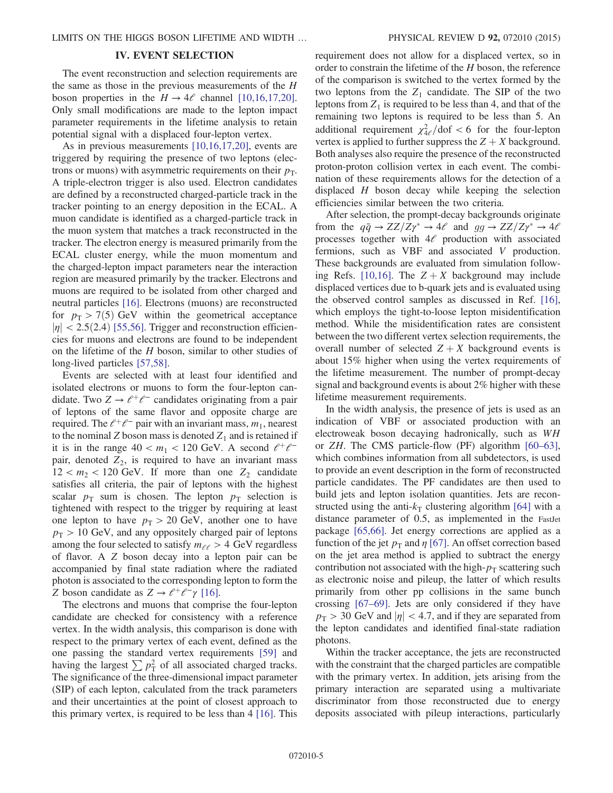## IV. EVENT SELECTION

<span id="page-4-0"></span>The event reconstruction and selection requirements are the same as those in the previous measurements of the  $H$ boson properties in the  $H \rightarrow 4\ell$  channel [\[10,16,17,20\]](#page-14-2). Only small modifications are made to the lepton impact parameter requirements in the lifetime analysis to retain potential signal with a displaced four-lepton vertex.

As in previous measurements [\[10,16,17,20\]](#page-14-2), events are triggered by requiring the presence of two leptons (electrons or muons) with asymmetric requirements on their  $p_T$ . A triple-electron trigger is also used. Electron candidates are defined by a reconstructed charged-particle track in the tracker pointing to an energy deposition in the ECAL. A muon candidate is identified as a charged-particle track in the muon system that matches a track reconstructed in the tracker. The electron energy is measured primarily from the ECAL cluster energy, while the muon momentum and the charged-lepton impact parameters near the interaction region are measured primarily by the tracker. Electrons and muons are required to be isolated from other charged and neutral particles [\[16\]](#page-14-5). Electrons (muons) are reconstructed for  $p_T > 7(5)$  GeV within the geometrical acceptance  $|\eta|$  < 2.5(2.4) [\[55,56\].](#page-15-22) Trigger and reconstruction efficiencies for muons and electrons are found to be independent on the lifetime of the  $H$  boson, similar to other studies of long-lived particles [\[57,58\]](#page-15-23).

Events are selected with at least four identified and isolated electrons or muons to form the four-lepton candidate. Two  $Z \rightarrow \ell^+ \ell^-$  candidates originating from a pair of leptons of the same flavor and opposite charge are required. The  $\ell^+\ell^-$  pair with an invariant mass,  $m_1$ , nearest to the nominal Z boson mass is denoted  $Z_1$  and is retained if it is in the range  $40 < m_1 < 120$  GeV. A second  $\ell^+ \ell^$ pair, denoted  $Z_2$ , is required to have an invariant mass  $12 < m<sub>2</sub> < 120$  GeV. If more than one  $Z<sub>2</sub>$  candidate satisfies all criteria, the pair of leptons with the highest scalar  $p_T$  sum is chosen. The lepton  $p_T$  selection is tightened with respect to the trigger by requiring at least one lepton to have  $p_T > 20$  GeV, another one to have  $p_T > 10$  GeV, and any oppositely charged pair of leptons among the four selected to satisfy  $m_{\ell\ell} > 4$  GeV regardless of flavor. A Z boson decay into a lepton pair can be accompanied by final state radiation where the radiated photon is associated to the corresponding lepton to form the Z boson candidate as  $Z \to \ell^+ \ell^- \gamma$  [\[16\]](#page-14-5).

The electrons and muons that comprise the four-lepton candidate are checked for consistency with a reference vertex. In the width analysis, this comparison is done with respect to the primary vertex of each event, defined as the one passing the standard vertex requirements [\[59\]](#page-16-0) and having the largest  $\sum p_{\rm T}^2$  of all associated charged tracks.<br>The significance of the three-dimensional impact parameter The significance of the three-dimensional impact parameter (SIP) of each lepton, calculated from the track parameters and their uncertainties at the point of closest approach to this primary vertex, is required to be less than 4 [\[16\].](#page-14-5) This requirement does not allow for a displaced vertex, so in order to constrain the lifetime of the H boson, the reference of the comparison is switched to the vertex formed by the two leptons from the  $Z_1$  candidate. The SIP of the two leptons from  $Z_1$  is required to be less than 4, and that of the remaining two leptons is required to be less than 5. An additional requirement  $\chi^2_{4\ell}/\text{dof} < 6$  for the four-lepton<br>vertex is applied to further suppress the  $Z + X$  background vertex is applied to further suppress the  $Z + X$  background. Both analyses also require the presence of the reconstructed proton-proton collision vertex in each event. The combination of these requirements allows for the detection of a displaced  $H$  boson decay while keeping the selection efficiencies similar between the two criteria.

After selection, the prompt-decay backgrounds originate from the  $q\bar{q} \to ZZ/Z\gamma^* \to 4\ell$  and  $gg \to ZZ/Z\gamma^* \to 4\ell$ <br>processes together with  $4\ell$  production with associated processes together with  $4\ell$  production with associated fermions, such as VBF and associated V production. These backgrounds are evaluated from simulation follow-ing Refs. [\[10,16\].](#page-14-2) The  $Z + X$  background may include displaced vertices due to b-quark jets and is evaluated using the observed control samples as discussed in Ref. [\[16\]](#page-14-5), which employs the tight-to-loose lepton misidentification method. While the misidentification rates are consistent between the two different vertex selection requirements, the overall number of selected  $Z + X$  background events is about 15% higher when using the vertex requirements of the lifetime measurement. The number of prompt-decay signal and background events is about 2% higher with these lifetime measurement requirements.

In the width analysis, the presence of jets is used as an indication of VBF or associated production with an electroweak boson decaying hadronically, such as WH or ZH. The CMS particle-flow (PF) algorithm [\[60](#page-16-1)–63], which combines information from all subdetectors, is used to provide an event description in the form of reconstructed particle candidates. The PF candidates are then used to build jets and lepton isolation quantities. Jets are reconstructed using the anti- $k<sub>T</sub>$  clustering algorithm [\[64\]](#page-16-2) with a distance parameter of 0.5, as implemented in the FastJet package [\[65,66\].](#page-16-3) Jet energy corrections are applied as a function of the jet  $p_T$  and  $\eta$  [\[67\]](#page-16-4). An offset correction based on the jet area method is applied to subtract the energy contribution not associated with the high- $p<sub>T</sub>$  scattering such as electronic noise and pileup, the latter of which results primarily from other pp collisions in the same bunch crossing [67–[69\].](#page-16-4) Jets are only considered if they have  $p_T > 30$  GeV and  $|\eta| < 4.7$ , and if they are separated from the lepton candidates and identified final-state radiation photons.

Within the tracker acceptance, the jets are reconstructed with the constraint that the charged particles are compatible with the primary vertex. In addition, jets arising from the primary interaction are separated using a multivariate discriminator from those reconstructed due to energy deposits associated with pileup interactions, particularly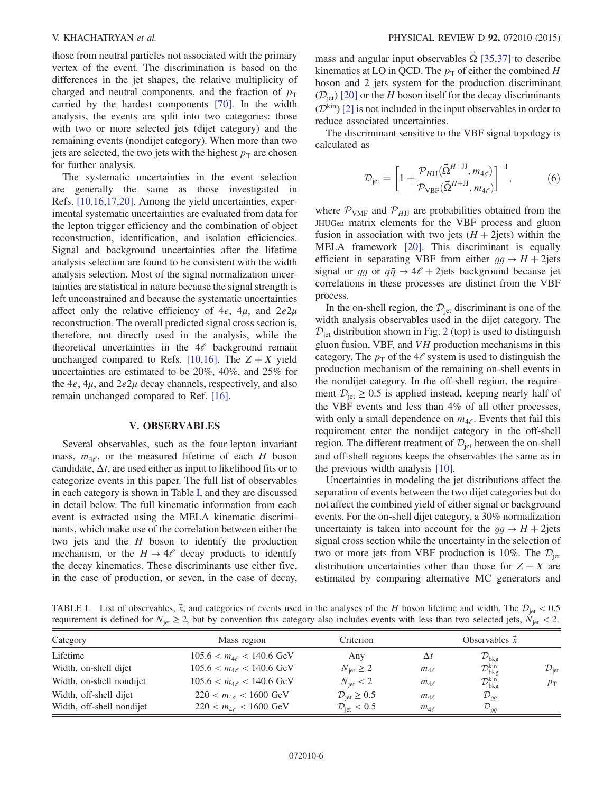those from neutral particles not associated with the primary vertex of the event. The discrimination is based on the differences in the jet shapes, the relative multiplicity of charged and neutral components, and the fraction of  $p_T$ carried by the hardest components [\[70\]](#page-16-5). In the width analysis, the events are split into two categories: those with two or more selected jets (dijet category) and the remaining events (nondijet category). When more than two jets are selected, the two jets with the highest  $p<sub>T</sub>$  are chosen for further analysis.

The systematic uncertainties in the event selection are generally the same as those investigated in Refs. [\[10,16,17,20\]](#page-14-2). Among the yield uncertainties, experimental systematic uncertainties are evaluated from data for the lepton trigger efficiency and the combination of object reconstruction, identification, and isolation efficiencies. Signal and background uncertainties after the lifetime analysis selection are found to be consistent with the width analysis selection. Most of the signal normalization uncertainties are statistical in nature because the signal strength is left unconstrained and because the systematic uncertainties affect only the relative efficiency of 4e, 4 $\mu$ , and  $2e2\mu$ reconstruction. The overall predicted signal cross section is, therefore, not directly used in the analysis, while the theoretical uncertainties in the  $4e$  background remain unchanged compared to Refs. [\[10,16\].](#page-14-2) The  $Z + X$  yield uncertainties are estimated to be 20%, 40%, and 25% for the  $4e$ ,  $4\mu$ , and  $2e2\mu$  decay channels, respectively, and also remain unchanged compared to Ref. [\[16\]](#page-14-5).

#### V. OBSERVABLES

<span id="page-5-0"></span>Several observables, such as the four-lepton invariant mass,  $m_{4\ell}$ , or the measured lifetime of each H boson candidate,  $\Delta t$ , are used either as input to likelihood fits or to categorize events in this paper. The full list of observables in each category is shown in Table [I,](#page-5-1) and they are discussed in detail below. The full kinematic information from each event is extracted using the MELA kinematic discriminants, which make use of the correlation between either the two jets and the  $H$  boson to identify the production mechanism, or the  $H \rightarrow 4\ell$  decay products to identify the decay kinematics. These discriminants use either five, in the case of production, or seven, in the case of decay, mass and angular input observables  $\vec{\Omega}$  [\[35,37\]](#page-15-7) to describe kinematics at LO in QCD. The  $p_T$  of either the combined H boson and 2 jets system for the production discriminant  $(\mathcal{D}_{\text{jet}})$  [\[20\]](#page-15-3) or the H boson itself for the decay discriminants  $(\mathcal{D}^{kin})$  [\[2\]](#page-14-6) is not included in the input observables in order to reduce associated uncertainties.

The discriminant sensitive to the VBF signal topology is calculated as

$$
\mathcal{D}_{\text{jet}} = \left[1 + \frac{\mathcal{P}_{HJJ}(\vec{\Omega}^{H+JJ}, m_{4\ell})}{\mathcal{P}_{\text{VBF}}(\vec{\Omega}^{H+JJ}, m_{4\ell})}\right]^{-1},\tag{6}
$$

where  $P_{VMF}$  and  $P_{HJJ}$  are probabilities obtained from the JHUGen matrix elements for the VBF process and gluon fusion in association with two jets  $(H + 2$ jets) within the MELA framework [\[20\]](#page-15-3). This discriminant is equally efficient in separating VBF from either  $gg \rightarrow H + 2$ jets signal or gg or  $q\bar{q} \rightarrow 4\ell + 2$ jets background because jet correlations in these processes are distinct from the VBF process.

In the on-shell region, the  $\mathcal{D}_{\text{jet}}$  discriminant is one of the width analysis observables used in the dijet category. The  $D_{\text{jet}}$  distribution shown in Fig. [2](#page-7-0) (top) is used to distinguish gluon fusion, VBF, and  $VH$  production mechanisms in this category. The  $p<sub>T</sub>$  of the 4 $\ell$  system is used to distinguish the production mechanism of the remaining on-shell events in the nondijet category. In the off-shell region, the requirement  $\mathcal{D}_{\text{iet}} \geq 0.5$  is applied instead, keeping nearly half of the VBF events and less than 4% of all other processes, with only a small dependence on  $m_{4e}$ . Events that fail this requirement enter the nondijet category in the off-shell region. The different treatment of  $\mathcal{D}_{\text{jet}}$  between the on-shell and off-shell regions keeps the observables the same as in the previous width analysis [\[10\]](#page-14-2).

Uncertainties in modeling the jet distributions affect the separation of events between the two dijet categories but do not affect the combined yield of either signal or background events. For the on-shell dijet category, a 30% normalization uncertainty is taken into account for the  $gg \to H + 2$ jets signal cross section while the uncertainty in the selection of two or more jets from VBF production is 10%. The  $\mathcal{D}_{\text{jet}}$ distribution uncertainties other than those for  $Z + X$  are estimated by comparing alternative MC generators and

<span id="page-5-1"></span>TABLE I. List of observables,  $\vec{x}$ , and categories of events used in the analyses of the H boson lifetime and width. The  $\mathcal{D}_{\text{jet}} < 0.5$ requirement is defined for  $N_{jet} \ge 2$ , but by convention this category also includes events with less than two selected jets,  $N_{jet} < 2$ .

| Category                  | Mass region                     | Criterion                           | Observables $\vec{x}$ |                                   |                         |
|---------------------------|---------------------------------|-------------------------------------|-----------------------|-----------------------------------|-------------------------|
| Lifetime                  | $105.6 < m_{4\ell} < 140.6$ GeV | Any                                 | $\Delta t$            | $\mathcal{D}_{\rm bkg}$           |                         |
| Width, on-shell dijet     | $105.6 < m_{4\ell} < 140.6$ GeV | $N_{\text{jet}} \geq 2$             | $m_{4\ell}$           | $\mathcal{D}_{\rm bkg}^{\rm kin}$ | $\mathcal{D}_{\rm jet}$ |
| Width, on-shell nondijet  | $105.6 < m_{4\ell} < 140.6$ GeV | $N_{\text{jet}} < 2$                | $m_{4\ell}$           | $\mathcal{D}_{\rm bkg}^{\rm kin}$ | $p_{\rm T}$             |
| Width, off-shell dijet    | $220 < m_{4e} < 1600$ GeV       | $\mathcal{D}_{\text{iet}} \geq 0.5$ | $m_{4}$               | $\mathcal{D}_{gg}$                |                         |
| Width, off-shell nondijet | $220 < m_{4\ell} < 1600$ GeV    | $\mathcal{D}_{\text{iet}} < 0.5$    | $m_{4\ell}$           | $\mathcal{D}_{gg}$                |                         |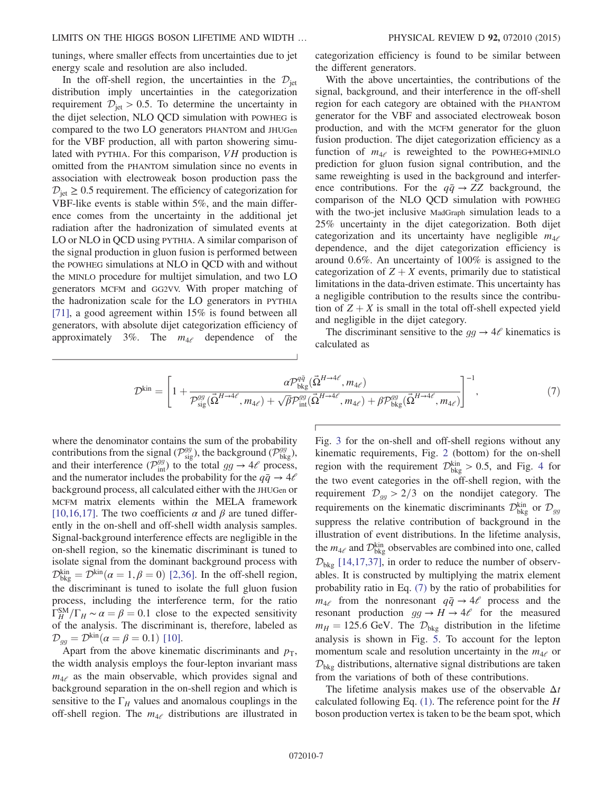tunings, where smaller effects from uncertainties due to jet energy scale and resolution are also included.

In the off-shell region, the uncertainties in the  $\mathcal{D}_{\text{jet}}$ distribution imply uncertainties in the categorization requirement  $\mathcal{D}_{\text{jet}} > 0.5$ . To determine the uncertainty in the dijet selection, NLO QCD simulation with POWHEG is compared to the two LO generators PHANTOM and JHUGen for the VBF production, all with parton showering simulated with PYTHIA. For this comparison, VH production is omitted from the PHANTOM simulation since no events in association with electroweak boson production pass the  $\mathcal{D}_{\text{jet}} \geq 0.5$  requirement. The efficiency of categorization for VBF-like events is stable within 5%, and the main difference comes from the uncertainty in the additional jet radiation after the hadronization of simulated events at LO or NLO in QCD using PYTHIA. A similar comparison of the signal production in gluon fusion is performed between the POWHEG simulations at NLO in QCD with and without the MINLO procedure for multijet simulation, and two LO generators MCFM and GG2VV. With proper matching of the hadronization scale for the LO generators in PYTHIA [\[71\]](#page-16-6), a good agreement within 15% is found between all generators, with absolute dijet categorization efficiency of approximately 3%. The  $m_{4e}$  dependence of the categorization efficiency is found to be similar between the different generators.

With the above uncertainties, the contributions of the signal, background, and their interference in the off-shell region for each category are obtained with the PHANTOM generator for the VBF and associated electroweak boson production, and with the MCFM generator for the gluon fusion production. The dijet categorization efficiency as a function of  $m_{4\ell}$  is reweighted to the POWHEG+MINLO prediction for gluon fusion signal contribution, and the same reweighting is used in the background and interference contributions. For the  $q\bar{q} \rightarrow ZZ$  background, the comparison of the NLO QCD simulation with POWHEG with the two-jet inclusive MadGraph simulation leads to a 25% uncertainty in the dijet categorization. Both dijet categorization and its uncertainty have negligible  $m_{4}$ dependence, and the dijet categorization efficiency is around 0.6%. An uncertainty of 100% is assigned to the categorization of  $Z + X$  events, primarily due to statistical limitations in the data-driven estimate. This uncertainty has a negligible contribution to the results since the contribution of  $Z + X$  is small in the total off-shell expected yield and negligible in the dijet category.

The discriminant sensitive to the  $qq \rightarrow 4\ell$  kinematics is calculated as

<span id="page-6-0"></span>
$$
\mathcal{D}^{\rm kin} = \left[1 + \frac{\alpha \mathcal{P}_{\rm bkg}^{q\bar{q}}(\vec{\Omega}^{H \to 4\ell}, m_{4\ell})}{\mathcal{P}_{\rm sig}^{q\bar{q}}(\vec{\Omega}^{H \to 4\ell}, m_{4\ell}) + \sqrt{\beta} \mathcal{P}_{\rm int}^{q\bar{q}}(\vec{\Omega}^{H \to 4\ell}, m_{4\ell}) + \beta \mathcal{P}_{\rm bkg}^{q\bar{q}}(\vec{\Omega}^{H \to 4\ell}, m_{4\ell})}\right]^{-1},\tag{7}
$$

where the denominator contains the sum of the probability contributions from the signal ( $\mathcal{P}_{sig}^{gg}$ ), the background ( $\mathcal{P}_{bkg}^{gg}$ ), and their interference  $(\mathcal{P}_{int}^{gg})$  to the total  $gg \to 4\ell$  process,<br>and the numerator includes the probability for the  $q\bar{q} \to 4\ell$ and the numerator includes the probability for the  $q\bar{q} \rightarrow 4\ell$ background process, all calculated either with the JHUGen or MCFM matrix elements within the MELA framework [\[10,16,17\]](#page-14-2). The two coefficients  $\alpha$  and  $\beta$  are tuned differently in the on-shell and off-shell width analysis samples. Signal-background interference effects are negligible in the on-shell region, so the kinematic discriminant is tuned to isolate signal from the dominant background process with  $\mathcal{D}_{\text{bkg}}^{\text{kin}} = \mathcal{D}^{\text{kin}}(\alpha = 1, \beta = 0)$  [\[2,36\]](#page-14-6). In the off-shell region, the discriminant is tuned to isolate the full gluon fusion process, including the interference term, for the ratio  $\Gamma_H^{\text{SM}}/\Gamma_H \sim \alpha = \beta = 0.1$  close to the expected sensitivity<br>of the analysis. The discriminant is therefore, labeled as of the analysis. The discriminant is, therefore, labeled as  $\mathcal{D}_{gg} = \mathcal{D}^{\text{kin}}(\alpha = \beta = 0.1)$  [\[10\]](#page-14-2).

Apart from the above kinematic discriminants and  $p_T$ , the width analysis employs the four-lepton invariant mass  $m_{4\ell}$  as the main observable, which provides signal and background separation in the on-shell region and which is sensitive to the  $\Gamma_H$  values and anomalous couplings in the off-shell region. The  $m_{4\ell}$  distributions are illustrated in Fig. [3](#page-7-1) for the on-shell and off-shell regions without any kinematic requirements, Fig. [2](#page-7-0) (bottom) for the on-shell region with the requirement  $\mathcal{D}_{\text{bkg}}^{\text{kin}} > 0.5$ , and Fig. [4](#page-8-0) for the two event categories in the off-shell region, with the requirement  $\mathcal{D}_{gg} > 2/3$  on the nondijet category. The requirements on the kinematic discriminants  $\mathcal{D}_{\text{bkg}}^{\text{kin}}$  or  $\mathcal{D}_{gg}$ suppress the relative contribution of background in the illustration of event distributions. In the lifetime analysis, the  $m_{4\ell}$  and  $\mathcal{D}_{\text{bkg}}^{\text{kin}}$  observables are combined into one, called  $\mathcal{D}_{\rm bkg}$  [\[14,17,37\]](#page-14-4), in order to reduce the number of observables. It is constructed by multiplying the matrix element probability ratio in Eq. [\(7\)](#page-6-0) by the ratio of probabilities for  $m_{4\ell}$  from the nonresonant  $q\bar{q} \rightarrow 4\ell$  process and the resonant production  $gg \to H \to 4\ell$  for the measured  $m_H = 125.6$  GeV. The  $\mathcal{D}_{\text{bkg}}$  distribution in the lifetime analysis is shown in Fig.  $5$ . To account for the lepton momentum scale and resolution uncertainty in the  $m_{4\ell}$  or  $\mathcal{D}_{\text{bkg}}$  distributions, alternative signal distributions are taken from the variations of both of these contributions.

The lifetime analysis makes use of the observable  $\Delta t$ calculated following Eq.  $(1)$ . The reference point for the H boson production vertex is taken to be the beam spot, which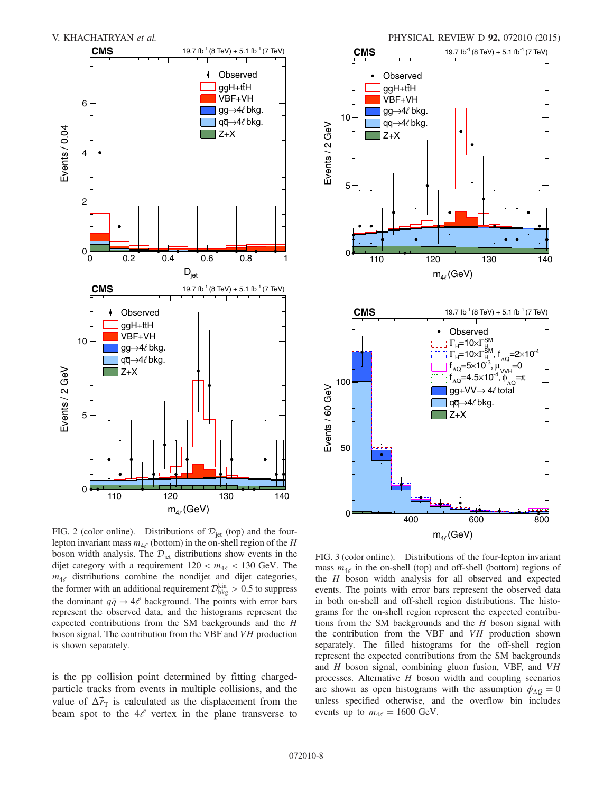<span id="page-7-0"></span>

FIG. 2 (color online). Distributions of  $\mathcal{D}_{jet}$  (top) and the fourlepton invariant mass  $m_{4}$  (bottom) in the on-shell region of the H boson width analysis. The  $\mathcal{D}_{jet}$  distributions show events in the dijet category with a requirement  $120 < m_{4\ell} < 130$  GeV. The  $m_{4\ell}$  distributions combine the nondijet and dijet categories, the former with an additional requirement  $\mathcal{D}_{\text{bkg}}^{\text{kin}} > 0.5$  to suppress<br>the deminent  $\bar{a}$  and the healtenaund. The nointe with error here the dominant  $q\bar{q} \rightarrow 4\ell$  background. The points with error bars represent the observed data, and the histograms represent the expected contributions from the SM backgrounds and the H boson signal. The contribution from the VBF and VH production is shown separately.

is the pp collision point determined by fitting chargedparticle tracks from events in multiple collisions, and the value of  $\Delta \vec{r}_{\text{T}}$  is calculated as the displacement from the beam spot to the  $4\ell$  vertex in the plane transverse to

<span id="page-7-1"></span>

FIG. 3 (color online). Distributions of the four-lepton invariant mass  $m_{4e}$  in the on-shell (top) and off-shell (bottom) regions of the  $H$  boson width analysis for all observed and expected events. The points with error bars represent the observed data in both on-shell and off-shell region distributions. The histograms for the on-shell region represent the expected contributions from the SM backgrounds and the  $H$  boson signal with the contribution from the VBF and VH production shown separately. The filled histograms for the off-shell region represent the expected contributions from the SM backgrounds and H boson signal, combining gluon fusion, VBF, and VH processes. Alternative  $H$  boson width and coupling scenarios are shown as open histograms with the assumption  $\phi_{\Lambda} = 0$ unless specified otherwise, and the overflow bin includes events up to  $m_{4\ell} = 1600$  GeV.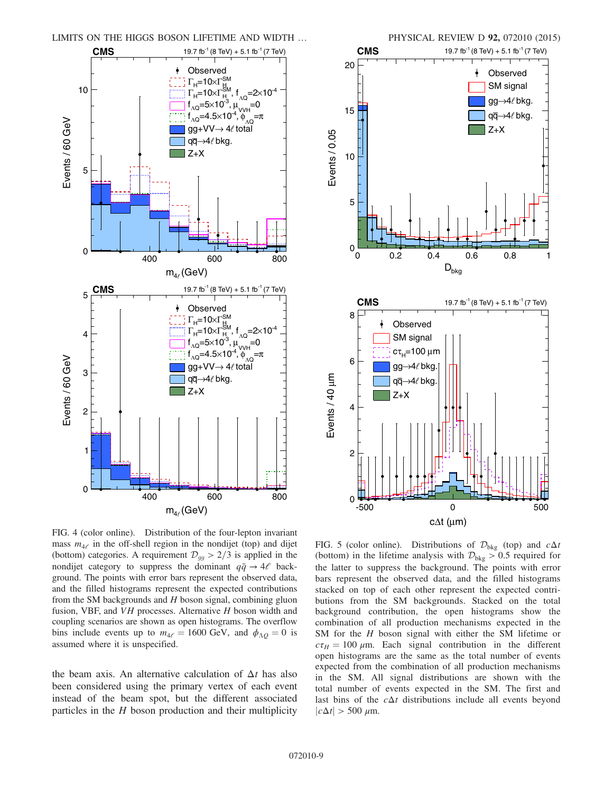<span id="page-8-0"></span>

FIG. 4 (color online). Distribution of the four-lepton invariant mass  $m_{4\ell}$  in the off-shell region in the nondijet (top) and dijet (bottom) categories. A requirement  $\mathcal{D}_{gg} > 2/3$  is applied in the nondijet category to suppress the dominant  $q\bar{q} \rightarrow 4\ell$  background. The points with error bars represent the observed data, and the filled histograms represent the expected contributions from the SM backgrounds and  $H$  boson signal, combining gluon fusion, VBF, and  $VH$  processes. Alternative  $H$  boson width and coupling scenarios are shown as open histograms. The overflow bins include events up to  $m_{4\ell} = 1600 \text{ GeV}$ , and  $\phi_{\Lambda Q} = 0$  is assumed where it is unspecified.

the beam axis. An alternative calculation of  $\Delta t$  has also been considered using the primary vertex of each event instead of the beam spot, but the different associated particles in the  $H$  boson production and their multiplicity

<span id="page-8-1"></span>

FIG. 5 (color online). Distributions of  $\mathcal{D}_{bkg}$  (top) and  $c\Delta t$ (bottom) in the lifetime analysis with  $\mathcal{D}_{bkg} > 0.5$  required for the latter to suppress the background. The points with error bars represent the observed data, and the filled histograms stacked on top of each other represent the expected contributions from the SM backgrounds. Stacked on the total background contribution, the open histograms show the combination of all production mechanisms expected in the SM for the H boson signal with either the SM lifetime or  $c\tau_H = 100 \mu m$ . Each signal contribution in the different open histograms are the same as the total number of events expected from the combination of all production mechanisms in the SM. All signal distributions are shown with the total number of events expected in the SM. The first and last bins of the  $c\Delta t$  distributions include all events beyond  $|c\Delta t| > 500 \ \mu \text{m}$ .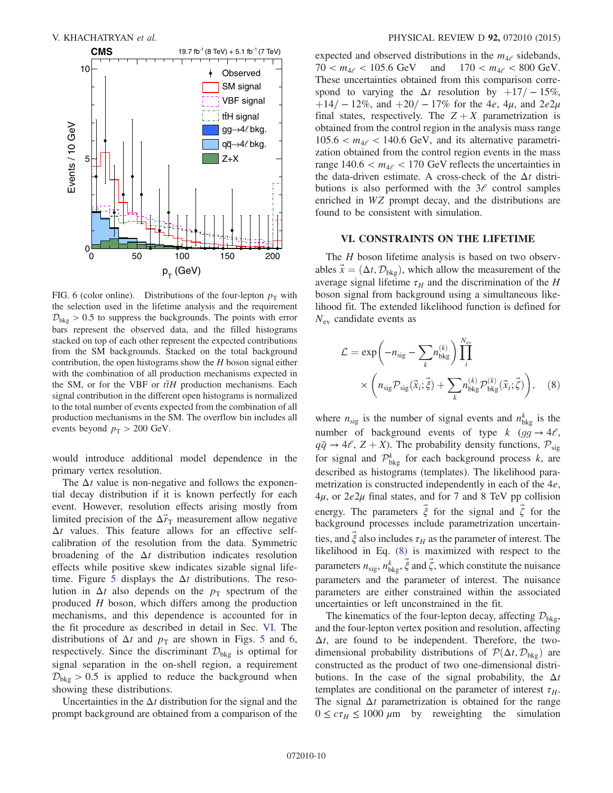<span id="page-9-1"></span>

FIG. 6 (color online). Distributions of the four-lepton  $p<sub>T</sub>$  with the selection used in the lifetime analysis and the requirement  $\mathcal{D}_{\text{bkg}} > 0.5$  to suppress the backgrounds. The points with error bars represent the observed data, and the filled histograms stacked on top of each other represent the expected contributions from the SM backgrounds. Stacked on the total background contribution, the open histograms show the  $H$  boson signal either with the combination of all production mechanisms expected in the SM, or for the VBF or  $t\bar{t}H$  production mechanisms. Each signal contribution in the different open histograms is normalized to the total number of events expected from the combination of all production mechanisms in the SM. The overflow bin includes all events beyond  $p_T > 200$  GeV.

would introduce additional model dependence in the primary vertex resolution.

The  $\Delta t$  value is non-negative and follows the exponential decay distribution if it is known perfectly for each event. However, resolution effects arising mostly from limited precision of the  $\Delta \vec{r}_{\text{T}}$  measurement allow negative  $\Delta t$  values. This feature allows for an effective selfcalibration of the resolution from the data. Symmetric broadening of the  $\Delta t$  distribution indicates resolution effects while positive skew indicates sizable signal life-time. Figure [5](#page-8-1) displays the  $\Delta t$  distributions. The resolution in  $\Delta t$  also depends on the  $p_T$  spectrum of the produced H boson, which differs among the production mechanisms, and this dependence is accounted for in the fit procedure as described in detail in Sec. [VI.](#page-9-0) The distributions of  $\Delta t$  and  $p_T$  are shown in Figs. [5](#page-8-1) and [6](#page-9-1), respectively. Since the discriminant  $\mathcal{D}_{bkg}$  is optimal for signal separation in the on-shell region, a requirement  $\mathcal{D}_{bkg} > 0.5$  is applied to reduce the background when showing these distributions.

Uncertainties in the  $\Delta t$  distribution for the signal and the prompt background are obtained from a comparison of the expected and observed distributions in the  $m_{4\ell}$  sidebands,  $70 < m_{4\ell} < 105.6$  GeV and  $170 < m_{4\ell} < 800$  GeV. These uncertainties obtained from this comparison correspond to varying the  $\Delta t$  resolution by  $+ 17/ - 15\%$ ,  $+14/ - 12\%$ , and  $+20/ - 17\%$  for the 4e, 4 $\mu$ , and 2e2 $\mu$ final states, respectively. The  $Z + X$  parametrization is obtained from the control region in the analysis mass range  $105.6 < m_{4e} < 140.6$  GeV, and its alternative parametrization obtained from the control region events in the mass range  $140.6 < m_{4\ell} < 170$  GeV reflects the uncertainties in the data-driven estimate. A cross-check of the  $\Delta t$  distributions is also performed with the  $3\ell$  control samples enriched in WZ prompt decay, and the distributions are found to be consistent with simulation.

## <span id="page-9-0"></span>VI. CONSTRAINTS ON THE LIFETIME

The  $H$  boson lifetime analysis is based on two observables  $\vec{x} = (\Delta t, \mathcal{D}_{bkg})$ , which allow the measurement of the average signal lifetime  $\tau_H$  and the discrimination of the H boson signal from background using a simultaneous likelihood fit. The extended likelihood function is defined for  $N_{\text{ev}}$  candidate events as

<span id="page-9-2"></span>
$$
\mathcal{L} = \exp\left(-n_{\text{sig}} - \sum_{k} n_{\text{bkg}}^{(k)}\right) \prod_{i}^{N_{\text{ev}}} \times \left(n_{\text{sig}} \mathcal{P}_{\text{sig}}(\vec{x}_i; \vec{\xi}) + \sum_{k} n_{\text{bkg}}^{(k)} \mathcal{P}_{\text{bkg}}^{(k)}(\vec{x}_i; \vec{\zeta})\right), \quad (8)
$$

where  $n_{sig}$  is the number of signal events and  $n_{bkg}^{k}$  is the number of booleanound events of type  $k_{b}$  (can be number of background events of type  $k$  ( $qq \rightarrow 4\ell$ ,  $q\bar{q} \rightarrow 4\ell$ ,  $Z + X$ ). The probability density functions,  $\mathcal{P}_{\text{sig}}$ for signal and  $\mathcal{P}_{bkg}^k$  for each background process k, are<br>described as bistograms (templates). The likelihood paradescribed as histograms (templates). The likelihood parametrization is constructed independently in each of the <sup>4</sup>e,  $4\mu$ , or  $2e2\mu$  final states, and for 7 and 8 TeV pp collision energy. The parameters  $\vec{\xi}$  for the signal and  $\vec{\zeta}$  for the background processes include parametrization uncertainties, and  $\vec{\xi}$  also includes  $\tau_H$  as the parameter of interest. The likelihood in Eq. [\(8\)](#page-9-2) is maximized with respect to the parameters  $n_{\text{sig}}$ ,  $n_{\text{bkg}}^k$ ,  $\xi$  and  $\zeta$ , which constitute the nuisance<br>parameters, and the parameter of interest. The puisance parameters and the parameter of interest. The nuisance parameters are either constrained within the associated uncertainties or left unconstrained in the fit.

The kinematics of the four-lepton decay, affecting  $\mathcal{D}_{bkg}$ , and the four-lepton vertex position and resolution, affecting  $\Delta t$ , are found to be independent. Therefore, the twodimensional probability distributions of  $\mathcal{P}(\Delta t, \mathcal{D}_{bkg})$  are constructed as the product of two one-dimensional distributions. In the case of the signal probability, the  $\Delta t$ templates are conditional on the parameter of interest  $\tau_H$ . The signal  $\Delta t$  parametrization is obtained for the range  $0 \leq c\tau_H \leq 1000 \ \mu \text{m}$  by reweighting the simulation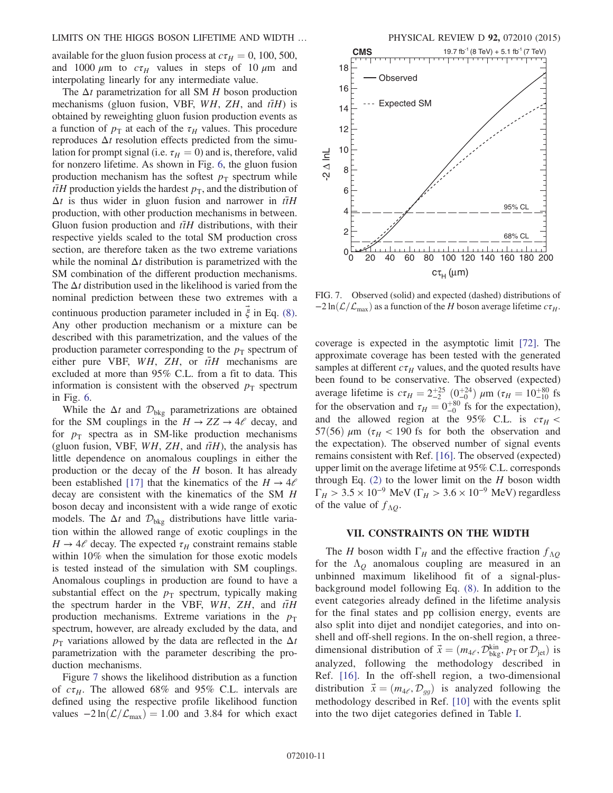available for the gluon fusion process at  $c\tau_H = 0$ , 100, 500, and 1000  $\mu$ m to  $c\tau$ <sub>H</sub> values in steps of 10  $\mu$ m and interpolating linearly for any intermediate value.

The  $\Delta t$  parametrization for all SM H boson production mechanisms (gluon fusion, VBF, WH, ZH, and  $t\bar{t}H$ ) is obtained by reweighting gluon fusion production events as a function of  $p_T$  at each of the  $\tau_H$  values. This procedure reproduces  $\Delta t$  resolution effects predicted from the simulation for prompt signal (i.e.  $\tau_H = 0$ ) and is, therefore, valid for nonzero lifetime. As shown in Fig. [6,](#page-9-1) the gluon fusion production mechanism has the softest  $p<sub>T</sub>$  spectrum while  $t\bar{t}H$  production yields the hardest  $p_T$ , and the distribution of  $\Delta t$  is thus wider in gluon fusion and narrower in  $t\bar{t}H$ production, with other production mechanisms in between. Gluon fusion production and  $t\bar{t}H$  distributions, with their respective yields scaled to the total SM production cross section, are therefore taken as the two extreme variations while the nominal  $\Delta t$  distribution is parametrized with the SM combination of the different production mechanisms. The  $\Delta t$  distribution used in the likelihood is varied from the nominal prediction between these two extremes with a continuous production parameter included in  $\zeta$  in Eq. [\(8\)](#page-9-2). Any other production mechanism or a mixture can be described with this parametrization, and the values of the production parameter corresponding to the  $p<sub>T</sub>$  spectrum of either pure VBF,  $WH$ ,  $ZH$ , or  $t\bar{t}H$  mechanisms are excluded at more than 95% C.L. from a fit to data. This information is consistent with the observed  $p_T$  spectrum in Fig. [6](#page-9-1).

While the  $\Delta t$  and  $\mathcal{D}_{bkg}$  parametrizations are obtained for the SM couplings in the  $H \rightarrow ZZ \rightarrow 4\ell$  decay, and for  $p_T$  spectra as in SM-like production mechanisms (gluon fusion, VBF, WH, ZH, and  $t\bar{t}H$ ), the analysis has little dependence on anomalous couplings in either the production or the decay of the  $H$  boson. It has already been established [\[17\]](#page-15-2) that the kinematics of the  $H \rightarrow 4\ell$ decay are consistent with the kinematics of the SM H boson decay and inconsistent with a wide range of exotic models. The  $\Delta t$  and  $\mathcal{D}_{bkg}$  distributions have little variation within the allowed range of exotic couplings in the  $H \rightarrow 4\ell$  decay. The expected  $\tau_H$  constraint remains stable within 10% when the simulation for those exotic models is tested instead of the simulation with SM couplings. Anomalous couplings in production are found to have a substantial effect on the  $p_T$  spectrum, typically making the spectrum harder in the VBF,  $WH$ ,  $ZH$ , and  $t\bar{t}H$ production mechanisms. Extreme variations in the  $p_T$ spectrum, however, are already excluded by the data, and  $p<sub>T</sub>$  variations allowed by the data are reflected in the  $\Delta t$ parametrization with the parameter describing the production mechanisms.

Figure [7](#page-10-1) shows the likelihood distribution as a function of  $c\tau_H$ . The allowed 68% and 95% C.L. intervals are defined using the respective profile likelihood function values  $-2 \ln(\mathcal{L}/\mathcal{L}_{\text{max}}) = 1.00$  and 3.84 for which exact



<span id="page-10-1"></span>FIG. 7. Observed (solid) and expected (dashed) distributions of  $-2 \ln(\mathcal{L}/\mathcal{L}_{\text{max}})$  as a function of the H boson average lifetime  $c\tau_H$ .

coverage is expected in the asymptotic limit [\[72\].](#page-16-7) The approximate coverage has been tested with the generated samples at different  $c\tau_H$  values, and the quoted results have<br>been found to be conservative. The observed (expected) average lifetime is  $c\tau_H = 2^{+25}_{-2} (0^{+24}_{-0}) \mu m (\tau_H = 10^{+80}_{-10} \text{fs}$ <br>for the observation and  $\tau = 0^{+80}_{-6}$  for the expectation) for the observation and  $\tau_H = 0^{+80}_{-0}$  fs for the expectation), and the allowed region at the 95% C.L. is  $c\tau_H$  < 57(56)  $\mu$ m ( $\tau$ H < 190 fs for both the observation and the expectation). The observed number of signal events remains consistent with Ref. [\[16\].](#page-14-5) The observed (expected) upper limit on the average lifetime at 95% C.L. corresponds through Eq.  $(2)$  to the lower limit on the H boson width  $\Gamma_H > 3.5 \times 10^{-9}$  MeV ( $\Gamma_H > 3.6 \times 10^{-9}$  MeV) regardless of the value of  $f_{\Lambda Q}$ .

#### VII. CONSTRAINTS ON THE WIDTH

<span id="page-10-0"></span>The H boson width  $\Gamma_H$  and the effective fraction  $f_{\Lambda Q}$ for the  $\Lambda$ <sup>o</sup> anomalous coupling are measured in an unbinned maximum likelihood fit of a signal-plusbackground model following Eq. [\(8\)](#page-9-2). In addition to the event categories already defined in the lifetime analysis for the final states and pp collision energy, events are also split into dijet and nondijet categories, and into onshell and off-shell regions. In the on-shell region, a threedimensional distribution of  $\vec{x} = (m_{4e}, \mathcal{D}_{bkg}^{kin}, p_{T} \text{ or } \mathcal{D}_{jet})$  is analyzed, following the methodology described in Ref. [\[16\].](#page-14-5) In the off-shell region, a two-dimensional distribution  $\vec{x} = (m_{4e}, D_{00})$  is analyzed following the methodology described in Ref. [\[10\]](#page-14-2) with the events split into the two dijet categories defined in Table [I](#page-5-1).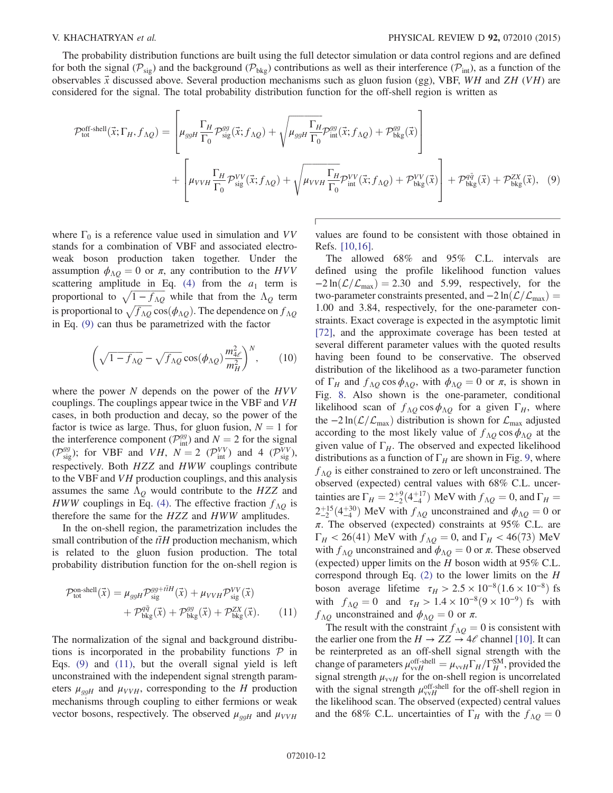The probability distribution functions are built using the full detector simulation or data control regions and are defined for both the signal ( $\mathcal{P}_{sig}$ ) and the background ( $\mathcal{P}_{bkg}$ ) contributions as well as their interference ( $\mathcal{P}_{int}$ ), as a function of the observables  $\vec{x}$  discussed above. Several production mechanisms such as gluon fusion (gg), VBF, WH and ZH (VH) are considered for the signal. The total probability distribution function for the off-shell region is written as

<span id="page-11-0"></span>
$$
\mathcal{P}_{\text{tot}}^{\text{off-shell}}(\vec{x}; \Gamma_H, f_{\Lambda Q}) = \left[ \mu_{ggH} \frac{\Gamma_H}{\Gamma_0} \mathcal{P}_{\text{sig}}^{gg}(\vec{x}; f_{\Lambda Q}) + \sqrt{\mu_{ggH} \frac{\Gamma_H}{\Gamma_0} \mathcal{P}_{\text{int}}^{gg}(\vec{x}; f_{\Lambda Q}) + \mathcal{P}_{\text{bkg}}^{gg}(\vec{x})} \right] + \left[ \mu_{VVH} \frac{\Gamma_H}{\Gamma_0} \mathcal{P}_{\text{sig}}^{VV}(\vec{x}; f_{\Lambda Q}) + \sqrt{\mu_{VVH} \frac{\Gamma_H}{\Gamma_0} \mathcal{P}_{\text{int}}^{VV}(\vec{x}; f_{\Lambda Q}) + \mathcal{P}_{\text{bkg}}^{VV}(\vec{x})} \right] + \mathcal{P}_{\text{bkg}}^{q\bar{q}}(\vec{x}) + \mathcal{P}_{\text{bkg}}^{ZX}(\vec{x}), \quad (9)
$$

where  $\Gamma_0$  is a reference value used in simulation and VV stands for a combination of VBF and associated electroweak boson production taken together. Under the assumption  $\phi_{\Lambda} = 0$  or  $\pi$ , any contribution to the HVV scattering amplitude in Eq. [\(4\)](#page-1-3) from the  $a_1$  term is proportional to  $\sqrt{1 - f_{\Lambda Q}}$  while that from the  $\Lambda_Q$  term is proportional to  $\sqrt{f_{\Lambda Q}} \cos(\phi_{\Lambda Q})$ . The dependence on  $f_{\Lambda Q}$ <br>in Eq. (0) can thus be parametrized with the factor in Eq. [\(9\)](#page-11-0) can thus be parametrized with the factor

$$
\left(\sqrt{1 - f_{\Lambda Q}} - \sqrt{f_{\Lambda Q}} \cos(\phi_{\Lambda Q}) \frac{m_{4\ell}^2}{m_H^2}\right)^N, \qquad (10)
$$

where the power  $N$  depends on the power of the  $HVV$ couplings. The couplings appear twice in the VBF and VH cases, in both production and decay, so the power of the factor is twice as large. Thus, for gluon fusion,  $N = 1$  for<br>the interference component ( $\mathcal{P}_{int}^{gg}$ ) and  $N = 2$  ( $\mathcal{P}_{V}^{VV}$ ) and 4 ( $\mathcal{P}_{V}^{VV}$ ),<br> $\mathcal{P}_{S}^{reg}$ ); for VBF and *VH*,  $N = 2$  ( $\mathcal{P}_{V}^{VV}$ ) and 4 ( $\math$ respectively. Both HZZ and HWW couplings contribute to the VBF and VH production couplings, and this analysis assumes the same  $\Lambda_{\Omega}$  would contribute to the HZZ and HWW couplings in Eq. [\(4\).](#page-1-3) The effective fraction  $f_{\Lambda Q}$  is therefore the same for the HZZ and HWW amplitudes.

<span id="page-11-1"></span>In the on-shell region, the parametrization includes the small contribution of the  $t\bar{t}H$  production mechanism, which is related to the gluon fusion production. The total probability distribution function for the on-shell region is

$$
\mathcal{P}_{\text{tot}}^{\text{on-shell}}(\vec{x}) = \mu_{ggH} \mathcal{P}_{\text{sig}}^{gg+ \bar{t}H}(\vec{x}) + \mu_{VVH} \mathcal{P}_{\text{sig}}^{VV}(\vec{x}) + \mathcal{P}_{\text{bkg}}^{q\bar{q}}(\vec{x}) + \mathcal{P}_{\text{bkg}}^{q\bar{q}}(\vec{x}) + \mathcal{P}_{\text{bkg}}^{ZX}(\vec{x}). \tag{11}
$$

The normalization of the signal and background distributions is incorporated in the probability functions  $P$  in Eqs. [\(9\)](#page-11-0) and [\(11\)](#page-11-1), but the overall signal yield is left unconstrained with the independent signal strength parameters  $\mu_{o}$  and  $\mu_{VVH}$ , corresponding to the H production mechanisms through coupling to either fermions or weak vector bosons, respectively. The observed  $\mu_{ggH}$  and  $\mu_{VVH}$ 

values are found to be consistent with those obtained in Refs. [\[10,16\].](#page-14-2)

The allowed 68% and 95% C.L. intervals are defined using the profile likelihood function values  $-2\ln(\mathcal{L}/\mathcal{L}_{\text{max}}) = 2.30$  and 5.99, respectively, for the two-parameter constraints presented, and  $-2 \ln(\mathcal{L}/\mathcal{L}_{\text{max}})$  = 1.00 and 3.84, respectively, for the one-parameter constraints. Exact coverage is expected in the asymptotic limit [\[72\]](#page-16-7), and the approximate coverage has been tested at several different parameter values with the quoted results having been found to be conservative. The observed distribution of the likelihood as a two-parameter function of  $\Gamma_H$  and  $f_{\Lambda Q}$  cos  $\phi_{\Lambda Q}$ , with  $\phi_{\Lambda Q} = 0$  or  $\pi$ , is shown in Fig. [8](#page-12-1). Also shown is the one-parameter, conditional likelihood scan of  $f_{\Lambda Q}$  cos  $\phi_{\Lambda Q}$  for a given  $\Gamma_H$ , where the  $-2 \ln(\mathcal{L}/\mathcal{L}_{\text{max}})$  distribution is shown for  $\mathcal{L}_{\text{max}}$  adjusted according to the most likely value of  $f_{\Lambda Q}$  cos  $\phi_{\Lambda Q}$  at the given value of  $\Gamma_H$ . The observed and expected likelihood distributions as a function of  $\Gamma_H$  are shown in Fig. [9,](#page-12-2) where  $f_{\Lambda Q}$  is either constrained to zero or left unconstrained. The observed (expected) central values with 68% C.L. uncertainties are  $\Gamma_H = 2^{+9}_{-4} (4^{+17}_{-4})$  MeV with  $f_{\Lambda Q} = 0$ , and  $\Gamma_H = 2^{+15} (4^{+30}_{-4})$ . MeV with f we present with  $f_{\Lambda Q} = 0$  and  $f_{\Lambda Q} = 0$  $2^{+15}_{-2}$ (4<sup>+30</sup>) MeV with  $f_{\Lambda Q}$  unconstrained and  $\phi_{\Lambda Q} = 0$  or<br>  $\tau$ . The observed (expected) constraints at 95% C I are  $\pi$ . The observed (expected) constraints at 95% C.L. are  $\Gamma_H$  < 26(41) MeV with  $f_{\Lambda O} = 0$ , and  $\Gamma_H$  < 46(73) MeV with  $f_{\Lambda O}$  unconstrained and  $\phi_{\Lambda O} = 0$  or  $\pi$ . These observed (expected) upper limits on the H boson width at  $95\%$  C.L. correspond through Eq.  $(2)$  to the lower limits on the H boson average lifetime  $\tau_H > 2.5 \times 10^{-8} (1.6 \times 10^{-8})$  fs with  $f_{\Lambda Q} = 0$  and  $\tau_H > 1.4 \times 10^{-8} (9 \times 10^{-9})$  fs with  $f_{\Lambda Q}$  unconstrained and  $\phi_{\Lambda Q} = 0$  or  $\pi$ .

The result with the constraint  $f_{\Lambda Q} = 0$  is consistent with the earlier one from the  $H \to ZZ \to 4\ell$  channel [\[10\].](#page-14-2) It can be reinterpreted as an off-shell signal strength with the change of parameters  $\mu_{vvH}^{off-shell} = \mu_{vvH} \Gamma_H / \Gamma_H^{\text{SM}}$ , provided the signal strength  $\mu_{vv}$  for the on-shell region is uncorrelated signal strength  $\mu_{vvH}$  for the on-shell region is uncorrelated with the signal strength  $\mu_{vVH}^{\text{off-shell}}$  for the off-shell region in<br>the likelihood scan. The observed (expected) central values the likelihood scan. The observed (expected) central values and the 68% C.L. uncertainties of  $\Gamma_H$  with the  $f_{\Lambda Q} = 0$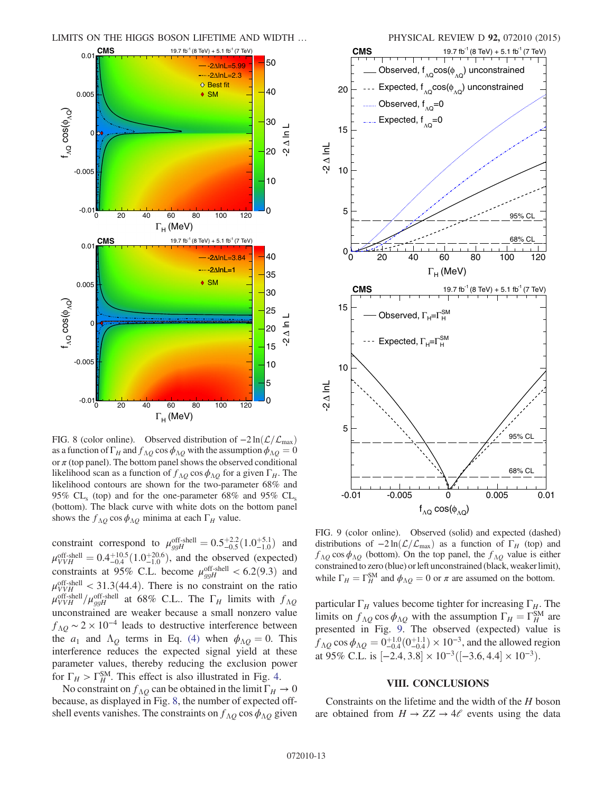<span id="page-12-1"></span>

FIG. 8 (color online). Observed distribution of  $-2 \ln(\mathcal{L}/\mathcal{L}_{\text{max}})$ as a function of  $\Gamma_H$  and  $f_{\Lambda O}$  cos  $\phi_{\Lambda O}$  with the assumption  $\phi_{\Lambda O} = 0$ or  $\pi$  (top panel). The bottom panel shows the observed conditional likelihood scan as a function of  $f_{\Lambda Q}$  cos  $\phi_{\Lambda Q}$  for a given  $\Gamma_H$ . The likelihood contours are shown for the two-parameter 68% and 95% CL<sub>s</sub> (top) and for the one-parameter 68% and 95% CL<sub>s</sub> (bottom). The black curve with white dots on the bottom panel shows the  $f_{\Lambda Q}$  cos  $\phi_{\Lambda Q}$  minima at each  $\Gamma_H$  value.

constraint correspond to  $\mu_{ggH}^{\text{off-shell}} = 0.5^{+2.2}_{-0.5} (1.0^{+5.1}_{-1.0})$  and  $\mu_{VHH}^{\text{off-shell}} = 0.4^{+10.5}_{-0.4} (1.0^{+20.6}_{-1.0})$ , and the observed (expected) constraints at 95% C.L. become  $\mu_{ggl}^{\text{off-shell}} < 6.2(9.3)$  and<br>coff-shell  $\leq 21.2(44.4)$ . There is no opportunity on the untio  $\mu_{VVH}^{\text{off-shell}} < 31.3(44.4)$ . There is no constraint on the ratio  $\mu_{VVH}^{\text{off-shell}} < 31.3(44.4)$ . There is no constraint on the ratio  $\mu_{VVH}^{\text{off-shell}}/\mu_{ggH}^{\text{off-shell}}$  at 68% C.L.. The  $\Gamma_H$  limits with  $f_{\Lambda Q}$ <br>unconstrained are weaker because a small personal value unconstrained are weaker because a small nonzero value  $f_{\Lambda}$ <sup> $\sim$ </sup> 2 × 10<sup>-4</sup> leads to destructive interference between the  $a_1$  and  $\Lambda_Q$  terms in Eq. [\(4\)](#page-1-3) when  $\phi_{\Lambda_Q} = 0$ . This interference reduces the expected signal yield at these parameter values, thereby reducing the exclusion power for  $\Gamma_H > \Gamma_H^{\text{SM}}$ . This effect is also illustrated in Fig. [4.](#page-8-0)<br>No constraint on  $f_{\text{the}}$  can be obtained in the limit  $\Gamma_{\text{th}}$ .

No constraint on  $f_{\Lambda Q}$  can be obtained in the limit  $\Gamma_H \to 0$ because, as displayed in Fig. [8,](#page-12-1) the number of expected offshell events vanishes. The constraints on  $f_{\Lambda Q}$  cos  $\phi_{\Lambda Q}$  given

<span id="page-12-2"></span>

FIG. 9 (color online). Observed (solid) and expected (dashed) distributions of  $-2 \ln(\mathcal{L}/\mathcal{L}_{\text{max}})$  as a function of  $\Gamma_H$  (top) and  $f_{\Lambda Q}$  cos  $\phi_{\Lambda Q}$  (bottom). On the top panel, the  $f_{\Lambda Q}$  value is either constrained to zero (blue) or left unconstrained (black, weaker limit), while  $\Gamma_H = \Gamma_H^{\text{SM}}$  and  $\phi_{\Lambda Q} = 0$  or  $\pi$  are assumed on the bottom.

particular  $\Gamma_H$  values become tighter for increasing  $\Gamma_H$ . The limits on  $f_{\Lambda Q}$  cos  $\phi_{\Lambda Q}$  with the assumption  $\Gamma_H = \Gamma_H^{\text{SM}}$  are presented in Fig. 9. The observed (expected) value is presented in Fig. [9](#page-12-2). The observed (expected) value is  $f_{\Lambda Q}$  cos  $\phi_{\Lambda Q} = 0^{+1.0}_{-0.4} (0^{+1.1}_{-0.4}) \times 10^{-3}$ , and the allowed region at 95% C.L. is  $[-2.4, 3.8] \times 10^{-3}$  $([-3.6, 4.4] \times 10^{-3})$ .

## VIII. CONCLUSIONS

<span id="page-12-0"></span>Constraints on the lifetime and the width of the H boson are obtained from  $H \to ZZ \to 4\ell$  events using the data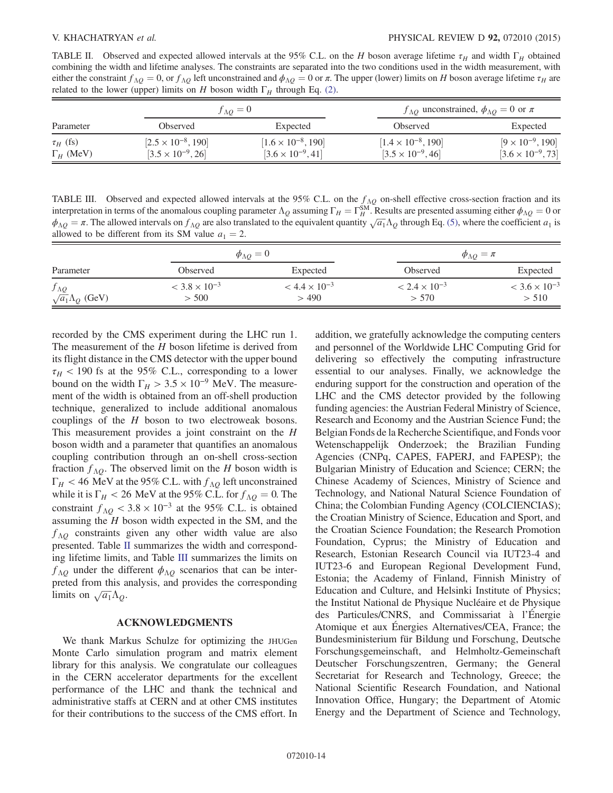<span id="page-13-0"></span>TABLE II. Observed and expected allowed intervals at the 95% C.L. on the H boson average lifetime  $\tau_H$  and width  $\Gamma_H$  obtained combining the width and lifetime analyses. The constraints are separated into the two conditions used in the width measurement, with either the constraint  $f_{\Lambda Q} = 0$ , or  $f_{\Lambda Q}$  left unconstrained and  $\phi_{\Lambda Q} = 0$  or  $\pi$ . The upper (lower) limits on H boson average lifetime  $\tau_H$  are related to the lower (upper) limits on H boson width  $\Gamma_H$  through Eq. [\(2\).](#page-1-4)

| Parameter        | $f_{\Lambda 0} = 0$         |                             | $f_{\Lambda Q}$ unconstrained, $\phi_{\Lambda Q} = 0$ or $\pi$ |                            |  |
|------------------|-----------------------------|-----------------------------|----------------------------------------------------------------|----------------------------|--|
|                  | Observed                    | Expected                    | Observed                                                       | Expected                   |  |
| $\tau_H$ (fs)    | $[2.5 \times 10^{-8}, 190]$ | $[1.6 \times 10^{-8}, 190]$ | $[1.4 \times 10^{-8}, 190]$                                    | $[9 \times 10^{-9}, 190]$  |  |
| $\Gamma_H$ (MeV) | $[3.5 \times 10^{-9}, 26]$  | $[3.6 \times 10^{-9}, 41]$  | $[3.5 \times 10^{-9}, 46]$                                     | $[3.6 \times 10^{-9}, 73]$ |  |

<span id="page-13-1"></span>TABLE III. Observed and expected allowed intervals at the 95% C.L. on the  $f_{AQ}$  on-shell effective cross-section fraction and its interpretation in terms of the anomalous counting parameter  $\Lambda_{\rm s}$  assuming  $\Gamma_{\rm m} = \Gamma$ interpretation in terms of the anomalous coupling parameter  $\Lambda_Q$  assuming  $\Gamma_H = \Gamma_H^{\text{SM}}$ . Results are presented assuming either  $\phi_{\Lambda_Q} = 0$  or  $\phi_{\Lambda Q} = \pi$ . The allowed intervals on  $f_{\Lambda Q}$  are also translated to the equivalent quantity  $\sqrt{a_1} \Lambda_Q$  through Eq. [\(5\),](#page-2-1) where the coefficient  $a_1$  is allowed to be different from its SM value  $a_1 = 2$ allowed to be different from its SM value  $a_1 = 2$ .

| Parameter                    | $\phi_{\Lambda O} = 0$            |                                   | $\phi_{\Lambda O} = \pi$ |                                   |
|------------------------------|-----------------------------------|-----------------------------------|--------------------------|-----------------------------------|
|                              | Observed                          | Expected                          | Observed                 | Expected                          |
| $f_{\Lambda Q}$              | $<$ 3.8 $\times$ 10 <sup>-3</sup> | $<$ 4.4 $\times$ 10 <sup>-3</sup> | $< 2.4 \times 10^{-3}$   | $<$ 3.6 $\times$ 10 <sup>-3</sup> |
| $\sqrt{a_1} \Lambda_Q$ (GeV) | > 500                             | > 490                             | > 570                    | > 510                             |

recorded by the CMS experiment during the LHC run 1. The measurement of the  $H$  boson lifetime is derived from its flight distance in the CMS detector with the upper bound  $\tau_H$  < 190 fs at the 95% C.L., corresponding to a lower<br>bound on the width  $\Gamma_{\rm ex} > 3.5 \times 10^{-9}$  MeV. The measurebound on the width  $\Gamma_H > 3.5 \times 10^{-9}$  MeV. The measurement of the width is obtained from an off-shell production technique, generalized to include additional anomalous couplings of the H boson to two electroweak bosons. This measurement provides a joint constraint on the H boson width and a parameter that quantifies an anomalous coupling contribution through an on-shell cross-section fraction  $f_{\Lambda Q}$ . The observed limit on the H boson width is  $\Gamma_H$  < 46 MeV at the 95% C.L. with  $f_{\Lambda Q}$  left unconstrained while it is  $\Gamma_H < 26$  MeV at the 95% C.L. for  $f_{\Lambda Q} = 0$ . The constraint  $f_{\Lambda}$  < 3.8 × 10<sup>-3</sup> at the 95% C.L. is obtained assuming the  $H$  boson width expected in the SM, and the  $f_{\Lambda Q}$  constraints given any other width value are also presented. Table [II](#page-13-0) summarizes the width and corresponding lifetime limits, and Table [III](#page-13-1) summarizes the limits on  $f_{\Lambda Q}$  under the different  $\phi_{\Lambda Q}$  scenarios that can be interpreted from this analysis, and provides the corresponding limits on  $\sqrt{a_1} \Lambda_Q$ .

## ACKNOWLEDGMENTS

We thank Markus Schulze for optimizing the JHUGen Monte Carlo simulation program and matrix element library for this analysis. We congratulate our colleagues in the CERN accelerator departments for the excellent performance of the LHC and thank the technical and administrative staffs at CERN and at other CMS institutes for their contributions to the success of the CMS effort. In addition, we gratefully acknowledge the computing centers and personnel of the Worldwide LHC Computing Grid for delivering so effectively the computing infrastructure essential to our analyses. Finally, we acknowledge the enduring support for the construction and operation of the LHC and the CMS detector provided by the following funding agencies: the Austrian Federal Ministry of Science, Research and Economy and the Austrian Science Fund; the Belgian Fonds de la Recherche Scientifique, and Fonds voor Wetenschappelijk Onderzoek; the Brazilian Funding Agencies (CNPq, CAPES, FAPERJ, and FAPESP); the Bulgarian Ministry of Education and Science; CERN; the Chinese Academy of Sciences, Ministry of Science and Technology, and National Natural Science Foundation of China; the Colombian Funding Agency (COLCIENCIAS); the Croatian Ministry of Science, Education and Sport, and the Croatian Science Foundation; the Research Promotion Foundation, Cyprus; the Ministry of Education and Research, Estonian Research Council via IUT23-4 and IUT23-6 and European Regional Development Fund, Estonia; the Academy of Finland, Finnish Ministry of Education and Culture, and Helsinki Institute of Physics; the Institut National de Physique Nucléaire et de Physique des Particules/CNRS, and Commissariat à l'Énergie Atomique et aux Énergies Alternatives/CEA, France; the Bundesministerium für Bildung und Forschung, Deutsche Forschungsgemeinschaft, and Helmholtz-Gemeinschaft Deutscher Forschungszentren, Germany; the General Secretariat for Research and Technology, Greece; the National Scientific Research Foundation, and National Innovation Office, Hungary; the Department of Atomic Energy and the Department of Science and Technology,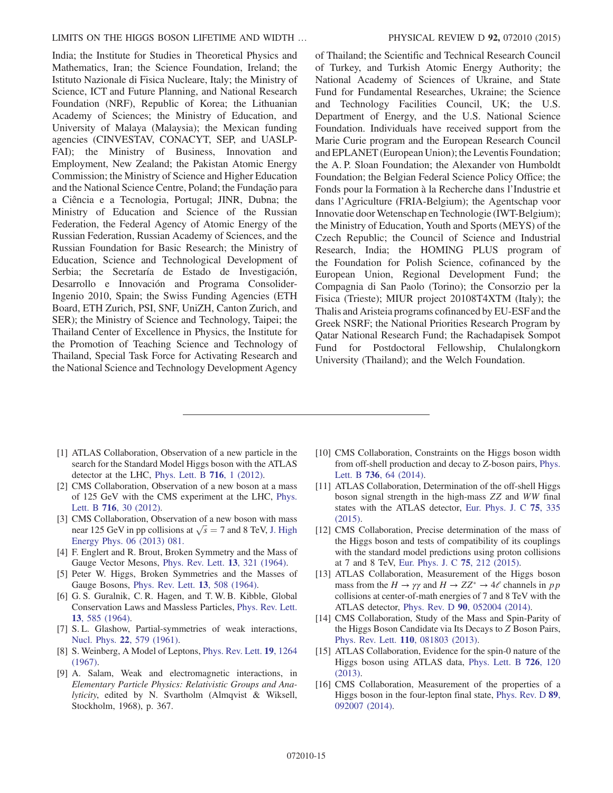India; the Institute for Studies in Theoretical Physics and Mathematics, Iran; the Science Foundation, Ireland; the Istituto Nazionale di Fisica Nucleare, Italy; the Ministry of Science, ICT and Future Planning, and National Research Foundation (NRF), Republic of Korea; the Lithuanian Academy of Sciences; the Ministry of Education, and University of Malaya (Malaysia); the Mexican funding agencies (CINVESTAV, CONACYT, SEP, and UASLP-FAI); the Ministry of Business, Innovation and Employment, New Zealand; the Pakistan Atomic Energy Commission; the Ministry of Science and Higher Education and the National Science Centre, Poland; the Fundação para a Ciência e a Tecnologia, Portugal; JINR, Dubna; the Ministry of Education and Science of the Russian Federation, the Federal Agency of Atomic Energy of the Russian Federation, Russian Academy of Sciences, and the Russian Foundation for Basic Research; the Ministry of Education, Science and Technological Development of Serbia; the Secretaría de Estado de Investigación, Desarrollo e Innovación and Programa Consolider-Ingenio 2010, Spain; the Swiss Funding Agencies (ETH Board, ETH Zurich, PSI, SNF, UniZH, Canton Zurich, and SER); the Ministry of Science and Technology, Taipei; the Thailand Center of Excellence in Physics, the Institute for the Promotion of Teaching Science and Technology of Thailand, Special Task Force for Activating Research and the National Science and Technology Development Agency

of Thailand; the Scientific and Technical Research Council of Turkey, and Turkish Atomic Energy Authority; the National Academy of Sciences of Ukraine, and State Fund for Fundamental Researches, Ukraine; the Science and Technology Facilities Council, UK; the U.S. Department of Energy, and the U.S. National Science Foundation. Individuals have received support from the Marie Curie program and the European Research Council and EPLANET (European Union); the Leventis Foundation; the A. P. Sloan Foundation; the Alexander von Humboldt Foundation; the Belgian Federal Science Policy Office; the Fonds pour la Formation à la Recherche dans l'Industrie et dans l'Agriculture (FRIA-Belgium); the Agentschap voor Innovatie door Wetenschap en Technologie (IWT-Belgium); the Ministry of Education, Youth and Sports (MEYS) of the Czech Republic; the Council of Science and Industrial Research, India; the HOMING PLUS program of the Foundation for Polish Science, cofinanced by the European Union, Regional Development Fund; the Compagnia di San Paolo (Torino); the Consorzio per la Fisica (Trieste); MIUR project 20108T4XTM (Italy); the Thalis and Aristeia programs cofinanced by EU-ESF and the Greek NSRF; the National Priorities Research Program by Qatar National Research Fund; the Rachadapisek Sompot Fund for Postdoctoral Fellowship, Chulalongkorn University (Thailand); and the Welch Foundation.

- <span id="page-14-0"></span>[1] ATLAS Collaboration, Observation of a new particle in the search for the Standard Model Higgs boson with the ATLAS detector at the LHC, [Phys. Lett. B](http://dx.doi.org/10.1016/j.physletb.2012.08.020) 716, 1 (2012).
- <span id="page-14-6"></span>[2] CMS Collaboration, Observation of a new boson at a mass of 125 GeV with the CMS experiment at the LHC, [Phys.](http://dx.doi.org/10.1016/j.physletb.2012.08.021) Lett. B 716[, 30 \(2012\)](http://dx.doi.org/10.1016/j.physletb.2012.08.021).
- [3] CMS Collaboration, Observation of a new boson with mass near 125 GeV in pp collisions at  $\sqrt{s} = 7$  and 8 TeV, [J. High](http://dx.doi.org/10.1007/JHEP06(2013)081)<br>Energy Phys. 06 (2013) 081 [Energy Phys. 06 \(2013\) 081.](http://dx.doi.org/10.1007/JHEP06(2013)081)
- <span id="page-14-1"></span>[4] F. Englert and R. Brout, Broken Symmetry and the Mass of Gauge Vector Mesons, [Phys. Rev. Lett.](http://dx.doi.org/10.1103/PhysRevLett.13.321) 13, 321 (1964).
- [5] Peter W. Higgs, Broken Symmetries and the Masses of Gauge Bosons, [Phys. Rev. Lett.](http://dx.doi.org/10.1103/PhysRevLett.13.508) 13, 508 (1964).
- [6] G. S. Guralnik, C. R. Hagen, and T. W. B. Kibble, Global Conservation Laws and Massless Particles, [Phys. Rev. Lett.](http://dx.doi.org/10.1103/PhysRevLett.13.585) 13[, 585 \(1964\).](http://dx.doi.org/10.1103/PhysRevLett.13.585)
- [7] S.L. Glashow, Partial-symmetries of weak interactions, Nucl. Phys. 22[, 579 \(1961\).](http://dx.doi.org/10.1016/0029-5582(61)90469-2)
- [8] S. Weinberg, A Model of Leptons, [Phys. Rev. Lett.](http://dx.doi.org/10.1103/PhysRevLett.19.1264) 19, 1264 [\(1967\).](http://dx.doi.org/10.1103/PhysRevLett.19.1264)
- [9] A. Salam, Weak and electromagnetic interactions, in Elementary Particle Physics: Relativistic Groups and Analyticity, edited by N. Svartholm (Almqvist & Wiksell, Stockholm, 1968), p. 367.
- <span id="page-14-2"></span>[10] CMS Collaboration, Constraints on the Higgs boson width from off-shell production and decay to Z-boson pairs, [Phys.](http://dx.doi.org/10.1016/j.physletb.2014.06.077) Lett. B 736[, 64 \(2014\)](http://dx.doi.org/10.1016/j.physletb.2014.06.077).
- [11] ATLAS Collaboration, Determination of the off-shell Higgs boson signal strength in the high-mass ZZ and WW final states with the ATLAS detector, [Eur. Phys. J. C](http://dx.doi.org/10.1140/epjc/s10052-015-3542-2) 75, 335 [\(2015\).](http://dx.doi.org/10.1140/epjc/s10052-015-3542-2)
- <span id="page-14-3"></span>[12] CMS Collaboration, Precise determination of the mass of the Higgs boson and tests of compatibility of its couplings with the standard model predictions using proton collisions at 7 and 8 TeV, [Eur. Phys. J. C](http://dx.doi.org/10.1140/epjc/s10052-015-3351-7) 75, 212 (2015).
- [13] ATLAS Collaboration, Measurement of the Higgs boson mass from the  $H \to \gamma \gamma$  and  $H \to ZZ^* \to 4\ell$  channels in pp<br>collisions at center-of-math energies of 7 and 8 TeV with the collisions at center-of-math energies of 7 and 8 TeV with the ATLAS detector, Phys. Rev. D 90[, 052004 \(2014\).](http://dx.doi.org/10.1103/PhysRevD.90.052004)
- <span id="page-14-4"></span>[14] CMS Collaboration, Study of the Mass and Spin-Parity of the Higgs Boson Candidate via Its Decays to Z Boson Pairs, Phys. Rev. Lett. 110[, 081803 \(2013\).](http://dx.doi.org/10.1103/PhysRevLett.110.081803)
- [15] ATLAS Collaboration, Evidence for the spin-0 nature of the Higgs boson using ATLAS data, [Phys. Lett. B](http://dx.doi.org/10.1016/j.physletb.2013.08.026) 726, 120 [\(2013\).](http://dx.doi.org/10.1016/j.physletb.2013.08.026)
- <span id="page-14-5"></span>[16] CMS Collaboration, Measurement of the properties of a Higgs boson in the four-lepton final state, [Phys. Rev. D](http://dx.doi.org/10.1103/PhysRevD.89.092007) 89, [092007 \(2014\).](http://dx.doi.org/10.1103/PhysRevD.89.092007)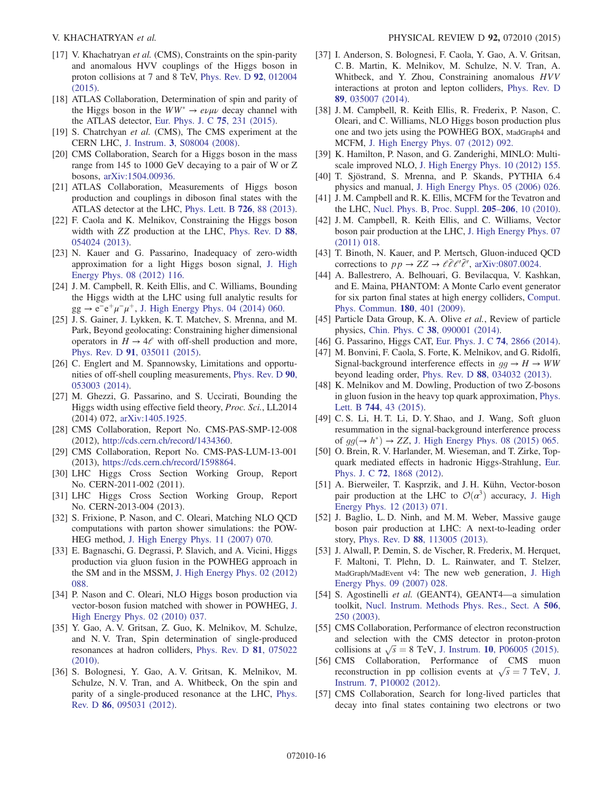- <span id="page-15-2"></span>[17] V. Khachatryan et al. (CMS), Constraints on the spin-parity and anomalous HVV couplings of the Higgs boson in proton collisions at 7 and 8 TeV, [Phys. Rev. D](http://dx.doi.org/10.1103/PhysRevD.92.012004) 92, 012004 [\(2015\).](http://dx.doi.org/10.1103/PhysRevD.92.012004)
- [18] ATLAS Collaboration, Determination of spin and parity of the Higgs boson in the  $WW^* \rightarrow e\nu\mu\nu$  decay channel with the ATI AS detector. Fur, Phys. I. C. 75, 231 (2015) the ATLAS detector, [Eur. Phys. J. C](http://dx.doi.org/10.1140/epjc/s10052-015-3436-3) 75, 231 (2015).
- <span id="page-15-0"></span>[19] S. Chatrchyan et al. (CMS), The CMS experiment at the CERN LHC, J. Instrum. 3[, S08004 \(2008\)](http://dx.doi.org/10.1088/1748-0221/3/08/S08004).
- <span id="page-15-3"></span>[20] CMS Collaboration, Search for a Higgs boson in the mass range from 145 to 1000 GeV decaying to a pair of W or Z bosons, [arXiv:1504.00936.](http://arXiv.org/abs/1504.00936)
- [21] ATLAS Collaboration, Measurements of Higgs boson production and couplings in diboson final states with the ATLAS detector at the LHC, [Phys. Lett. B](http://dx.doi.org/10.1016/j.physletb.2013.08.010) 726, 88 (2013).
- <span id="page-15-1"></span>[22] F. Caola and K. Melnikov, Constraining the Higgs boson width with ZZ production at the LHC, [Phys. Rev. D](http://dx.doi.org/10.1103/PhysRevD.88.054024) <sup>88</sup>, [054024 \(2013\).](http://dx.doi.org/10.1103/PhysRevD.88.054024)
- [23] N. Kauer and G. Passarino, Inadequacy of zero-width approximation for a light Higgs boson signal, [J. High](http://dx.doi.org/10.1007/JHEP08(2012)116) [Energy Phys. 08 \(2012\) 116.](http://dx.doi.org/10.1007/JHEP08(2012)116)
- <span id="page-15-11"></span>[24] J. M. Campbell, R. Keith Ellis, and C. Williams, Bounding the Higgs width at the LHC using full analytic results for gg → e<sup>-</sup>e<sup>+</sup> $\mu$ <sup>-</sup> $\mu$ <sup>+</sup>, [J. High Energy Phys. 04 \(2014\) 060.](http://dx.doi.org/10.1007/JHEP04(2014)060)
- [25] J. S. Gainer, J. Lykken, K. T. Matchev, S. Mrenna, and M. Park, Beyond geolocating: Constraining higher dimensional operators in  $H \rightarrow 4\ell$  with off-shell production and more, Phys. Rev. D 91[, 035011 \(2015\)](http://dx.doi.org/10.1103/PhysRevD.91.035011).
- [26] C. Englert and M. Spannowsky, Limitations and opportunities of off-shell coupling measurements, [Phys. Rev. D](http://dx.doi.org/10.1103/PhysRevD.90.053003) 90, [053003 \(2014\).](http://dx.doi.org/10.1103/PhysRevD.90.053003)
- [27] M. Ghezzi, G. Passarino, and S. Uccirati, Bounding the Higgs width using effective field theory, Proc. Sci., LL2014 (2014) 072, [arXiv:1405.1925.](http://arXiv.org/abs/1405.1925)
- <span id="page-15-4"></span>[28] CMS Collaboration, Report No. CMS-PAS-SMP-12-008 (2012), [http://cds.cern.ch/record/1434360.](http://cds.cern.ch/record/1434360)
- [29] CMS Collaboration, Report No. CMS-PAS-LUM-13-001 (2013), [https://cds.cern.ch/record/1598864.](https://cds.cern.ch/record/1598864)
- <span id="page-15-5"></span>[30] LHC Higgs Cross Section Working Group, Report No. CERN-2011-002 (2011).
- [31] LHC Higgs Cross Section Working Group, Report No. CERN-2013-004 (2013).
- <span id="page-15-6"></span>[32] S. Frixione, P. Nason, and C. Oleari, Matching NLO QCD computations with parton shower simulations: the POW-HEG method, [J. High Energy Phys. 11 \(2007\) 070.](http://dx.doi.org/10.1088/1126-6708/2007/11/070)
- [33] E. Bagnaschi, G. Degrassi, P. Slavich, and A. Vicini, Higgs production via gluon fusion in the POWHEG approach in the SM and in the MSSM, [J. High Energy Phys. 02 \(2012\)](http://dx.doi.org/10.1007/JHEP02(2012)088) [088.](http://dx.doi.org/10.1007/JHEP02(2012)088)
- [34] P. Nason and C. Oleari, NLO Higgs boson production via vector-boson fusion matched with shower in POWHEG, [J.](http://dx.doi.org/10.1007/JHEP02(2010)037) [High Energy Phys. 02 \(2010\) 037.](http://dx.doi.org/10.1007/JHEP02(2010)037)
- <span id="page-15-7"></span>[35] Y. Gao, A. V. Gritsan, Z. Guo, K. Melnikov, M. Schulze, and N. V. Tran, Spin determination of single-produced resonances at hadron colliders, [Phys. Rev. D](http://dx.doi.org/10.1103/PhysRevD.81.075022) 81, 075022 [\(2010\).](http://dx.doi.org/10.1103/PhysRevD.81.075022)
- [36] S. Bolognesi, Y. Gao, A. V. Gritsan, K. Melnikov, M. Schulze, N. V. Tran, and A. Whitbeck, On the spin and parity of a single-produced resonance at the LHC, [Phys.](http://dx.doi.org/10.1103/PhysRevD.86.095031) Rev. D 86[, 095031 \(2012\)](http://dx.doi.org/10.1103/PhysRevD.86.095031).
- [37] I. Anderson, S. Bolognesi, F. Caola, Y. Gao, A. V. Gritsan, C. B. Martin, K. Melnikov, M. Schulze, N. V. Tran, A. Whitbeck, and Y. Zhou, Constraining anomalous HVV interactions at proton and lepton colliders, [Phys. Rev. D](http://dx.doi.org/10.1103/PhysRevD.89.035007) 89[, 035007 \(2014\).](http://dx.doi.org/10.1103/PhysRevD.89.035007)
- <span id="page-15-8"></span>[38] J. M. Campbell, R. Keith Ellis, R. Frederix, P. Nason, C. Oleari, and C. Williams, NLO Higgs boson production plus one and two jets using the POWHEG BOX, MadGraph4 and MCFM, [J. High Energy Phys. 07 \(2012\) 092.](http://dx.doi.org/10.1007/JHEP07(2012)092)
- <span id="page-15-9"></span>[39] K. Hamilton, P. Nason, and G. Zanderighi, MINLO: Multiscale improved NLO, [J. High Energy Phys. 10 \(2012\) 155.](http://dx.doi.org/10.1007/JHEP10(2012)155)
- <span id="page-15-10"></span>[40] T. Sjöstrand, S. Mrenna, and P. Skands, PYTHIA 6.4 physics and manual, [J. High Energy Phys. 05 \(2006\) 026.](http://dx.doi.org/10.1088/1126-6708/2006/05/026)
- [41] J. M. Campbell and R. K. Ellis, MCFM for the Tevatron and the LHC, [Nucl. Phys. B, Proc. Suppl.](http://dx.doi.org/10.1016/j.nuclphysbps.2010.08.011) 205–206, 10 (2010).
- [42] J. M. Campbell, R. Keith Ellis, and C. Williams, Vector boson pair production at the LHC, [J. High Energy Phys. 07](http://dx.doi.org/10.1007/JHEP07(2011)018) [\(2011\) 018.](http://dx.doi.org/10.1007/JHEP07(2011)018)
- <span id="page-15-12"></span>[43] T. Binoth, N. Kauer, and P. Mertsch, Gluon-induced QCD corrections to  $pp \to ZZ \to \ell \bar{\ell} \ell^{\prime} \bar{\ell}^{\prime}$ , [arXiv:0807.0024.](http://arXiv.org/abs/0807.0024)<br>A Ballestrero, A Belhouari G Bevilacqua V Kasl
- <span id="page-15-13"></span>[44] A. Ballestrero, A. Belhouari, G. Bevilacqua, V. Kashkan, and E. Maina, PHANTOM: A Monte Carlo event generator for six parton final states at high energy colliders, [Comput.](http://dx.doi.org/10.1016/j.cpc.2008.10.005) [Phys. Commun.](http://dx.doi.org/10.1016/j.cpc.2008.10.005) 180, 401 (2009).
- <span id="page-15-14"></span>[45] Particle Data Group, K. A. Olive et al., Review of particle physics, Chin. Phys. C 38[, 090001 \(2014\).](http://dx.doi.org/10.1088/1674-1137/38/9/090001)
- <span id="page-15-15"></span>[46] G. Passarino, Higgs CAT, [Eur. Phys. J. C](http://dx.doi.org/10.1140/epjc/s10052-014-2866-7) 74, 2866 (2014).
- <span id="page-15-16"></span>[47] M. Bonvini, F. Caola, S. Forte, K. Melnikov, and G. Ridolfi, Signal-background interference effects in  $gg \rightarrow H \rightarrow WW$ beyond leading order, Phys. Rev. D 88[, 034032 \(2013\).](http://dx.doi.org/10.1103/PhysRevD.88.034032)
- <span id="page-15-17"></span>[48] K. Melnikov and M. Dowling, Production of two Z-bosons in gluon fusion in the heavy top quark approximation, [Phys.](http://dx.doi.org/10.1016/j.physletb.2015.03.030) Lett. B 744[, 43 \(2015\)](http://dx.doi.org/10.1016/j.physletb.2015.03.030).
- <span id="page-15-18"></span>[49] C. S. Li, H. T. Li, D. Y. Shao, and J. Wang, Soft gluon resummation in the signal-background interference process of  $gg(\rightarrow h^*) \rightarrow ZZ$ , [J. High Energy Phys. 08 \(2015\) 065.](http://dx.doi.org/10.1007/JHEP08(2015)065)<br>O Brein R V Harlander M Wieseman, and T Zirke Top.
- [50] O. Brein, R. V. Harlander, M. Wieseman, and T. Zirke, Topquark mediated effects in hadronic Higgs-Strahlung, [Eur.](http://dx.doi.org/10.1140/epjc/s10052-012-1868-6) Phys. J. C 72[, 1868 \(2012\).](http://dx.doi.org/10.1140/epjc/s10052-012-1868-6)
- <span id="page-15-19"></span>[51] A. Bierweiler, T. Kasprzik, and J. H. Kühn, Vector-boson pair production at the LHC to  $\mathcal{O}(\alpha^3)$  accuracy, [J. High](http://dx.doi.org/10.1007/JHEP12(2013)071) [Energy Phys. 12 \(2013\) 071.](http://dx.doi.org/10.1007/JHEP12(2013)071)
- [52] J. Baglio, L. D. Ninh, and M. M. Weber, Massive gauge boson pair production at LHC: A next-to-leading order story, Phys. Rev. D 88[, 113005 \(2013\)](http://dx.doi.org/10.1103/PhysRevD.88.113005).
- <span id="page-15-20"></span>[53] J. Alwall, P. Demin, S. de Vischer, R. Frederix, M. Herquet, F. Maltoni, T. Plehn, D. L. Rainwater, and T. Stelzer, MadGraph/MadEvent v4: The new web generation, [J. High](http://dx.doi.org/10.1088/1126-6708/2007/09/028) [Energy Phys. 09 \(2007\) 028.](http://dx.doi.org/10.1088/1126-6708/2007/09/028)
- <span id="page-15-21"></span>[54] S. Agostinelli et al. (GEANT4), GEANT4-a simulation toolkit, [Nucl. Instrum. Methods Phys. Res., Sect. A](http://dx.doi.org/10.1016/S0168-9002(03)01368-8) 506, [250 \(2003\)](http://dx.doi.org/10.1016/S0168-9002(03)01368-8).
- <span id="page-15-22"></span>[55] CMS Collaboration, Performance of electron reconstruction and selection with the CMS detector in proton-proton collisions at  $\sqrt{s} = 8$  TeV, J. Instrum. 10[, P06005 \(2015\)](http://dx.doi.org/10.1088/1748-0221/10/06/P06005).<br>CMS. Collaboration. Performance of CMS muon
- [56] CMS Collaboration, Performance of CMS muon reconstruction in pp collision events at  $\sqrt{s} = 7$  TeV, [J.](http://dx.doi.org/10.1088/1748-0221/7/10/P10002)<br>Instrum 7 P10002 (2012) Instrum. 7[, P10002 \(2012\).](http://dx.doi.org/10.1088/1748-0221/7/10/P10002)
- <span id="page-15-23"></span>[57] CMS Collaboration, Search for long-lived particles that decay into final states containing two electrons or two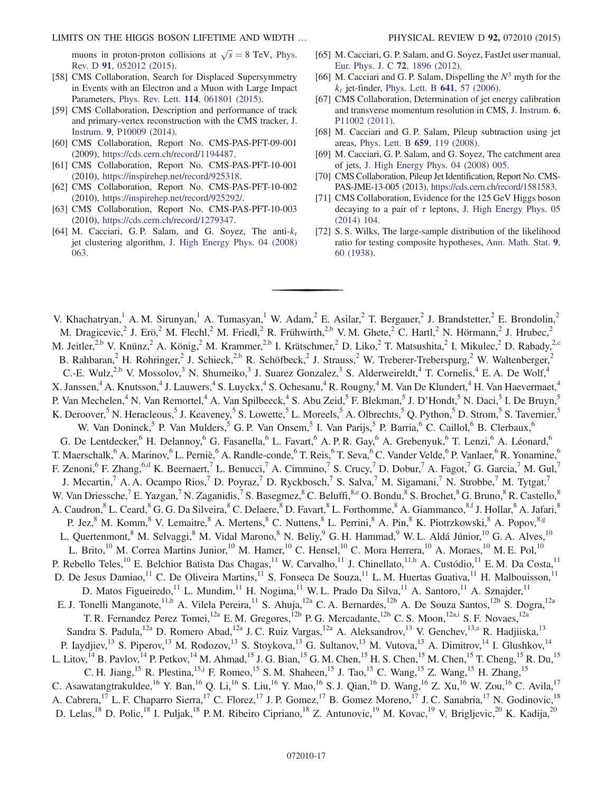muons in proton-proton collisions at  $\sqrt{s} = 8$  TeV, [Phys.](http://dx.doi.org/10.1103/PhysRevD.91.052012)<br>Rev. D. 91, 052012 (2015) Rev. D 91[, 052012 \(2015\)](http://dx.doi.org/10.1103/PhysRevD.91.052012).

- [58] CMS Collaboration, Search for Displaced Supersymmetry in Events with an Electron and a Muon with Large Impact Parameters, Phys. Rev. Lett. 114[, 061801 \(2015\)](http://dx.doi.org/10.1103/PhysRevLett.114.061801).
- <span id="page-16-0"></span>[59] CMS Collaboration, Description and performance of track and primary-vertex reconstruction with the CMS tracker, [J.](http://dx.doi.org/10.1088/1748-0221/9/10/P10009) Instrum. 9[, P10009 \(2014\).](http://dx.doi.org/10.1088/1748-0221/9/10/P10009)
- <span id="page-16-1"></span>[60] CMS Collaboration, Report No. CMS-PAS-PFT-09-001 (2009), [https://cds.cern.ch/record/1194487.](https://cds.cern.ch/record/1194487)
- [61] CMS Collaboration, Report No. CMS-PAS-PFT-10-001 (2010), <https://inspirehep.net/record/925318>.
- [62] CMS Collaboration, Report No. CMS-PAS-PFT-10-002 (2010), <https://inspirehep.net/record/925292/>.
- [63] CMS Collaboration, Report No. CMS-PAS-PFT-10-003 (2010), [https://cds.cern.ch/record/1279347.](https://cds.cern.ch/record/1279347)
- <span id="page-16-2"></span>[64] M. Cacciari, G. P. Salam, and G. Soyez, The anti- $k_t$ jet clustering algorithm, [J. High Energy Phys. 04 \(2008\)](http://dx.doi.org/10.1088/1126-6708/2008/04/063) [063.](http://dx.doi.org/10.1088/1126-6708/2008/04/063)
- <span id="page-16-3"></span>[65] M. Cacciari, G. P. Salam, and G. Soyez, FastJet user manual, [Eur. Phys. J. C](http://dx.doi.org/10.1140/epjc/s10052-012-1896-2) 72, 1896 (2012).
- [66] M. Cacciari and G. P. Salam, Dispelling the  $N<sup>3</sup>$  myth for the  $k_t$  jet-finder, [Phys. Lett. B](http://dx.doi.org/10.1016/j.physletb.2006.08.037) 641, 57 (2006).
- <span id="page-16-4"></span>[67] CMS Collaboration, Determination of jet energy calibration and transverse momentum resolution in CMS, [J. Instrum.](http://dx.doi.org/10.1088/1748-0221/6/11/P11002) 6, [P11002 \(2011\)](http://dx.doi.org/10.1088/1748-0221/6/11/P11002).
- [68] M. Cacciari and G. P. Salam, Pileup subtraction using jet areas, [Phys. Lett. B](http://dx.doi.org/10.1016/j.physletb.2007.09.077) 659, 119 (2008).
- [69] M. Cacciari, G. P. Salam, and G. Soyez, The catchment area of jets, [J. High Energy Phys. 04 \(2008\) 005.](http://dx.doi.org/10.1088/1126-6708/2008/04/005)
- <span id="page-16-5"></span>[70] CMS Collaboration, Pileup Jet Identification, Report No. CMS-PAS-JME-13-005 (2013), <https://cds.cern.ch/record/1581583>.
- <span id="page-16-6"></span>[71] CMS Collaboration, Evidence for the 125 GeV Higgs boson decaying to a pair of  $\tau$  leptons, [J. High Energy Phys. 05](http://dx.doi.org/10.1007/JHEP05(2014)104) [\(2014\) 104.](http://dx.doi.org/10.1007/JHEP05(2014)104)
- <span id="page-16-7"></span>[72] S. S. Wilks, The large-sample distribution of the likelihood ratio for testing composite hypotheses, [Ann. Math. Stat.](http://dx.doi.org/10.1214/aoms/1177732360) 9, [60 \(1938\).](http://dx.doi.org/10.1214/aoms/1177732360)

<span id="page-16-17"></span><span id="page-16-16"></span><span id="page-16-15"></span><span id="page-16-14"></span><span id="page-16-13"></span><span id="page-16-12"></span><span id="page-16-11"></span><span id="page-16-10"></span><span id="page-16-9"></span><span id="page-16-8"></span>V. Khachatryan,<sup>1</sup> A. M. Sirunyan,<sup>1</sup> A. Tumasyan,<sup>1</sup> W. Adam,<sup>2</sup> E. Asilar,<sup>2</sup> T. Bergauer,<sup>2</sup> J. Brandstetter,<sup>2</sup> E. Brondolin,<sup>2</sup> M. Dragicevic,<sup>2</sup> J. Erö,<sup>2</sup> M. Flechl,<sup>2</sup> M. Friedl,<sup>2</sup> R. Frühwirth,<sup>2[,b](#page-25-0)</sup> V. M. Ghete,<sup>2</sup> C. Hartl,<sup>2</sup> N. Hörmann,<sup>2</sup> J. Hrubec,<sup>2</sup> M. Jeitler,<sup>[2,b](#page-25-0)</sup> V. Knünz,<sup>2</sup> A. König,<sup>2</sup> M. Krammer,<sup>2,b</sup> I. Krätschmer,<sup>2</sup> D. Liko,<sup>2</sup> T. Matsushita,<sup>2</sup> I. Mikulec,<sup>2</sup> D. Rabady,<sup>[2,c](#page-25-1)</sup> B. Rahbaran,<sup>2</sup> H. Rohringer,<sup>2</sup> J. Schieck,<sup>2[,b](#page-25-0)</sup> R. Schöfbeck,<sup>2</sup> J. Strauss,<sup>2</sup> W. Treberer-Treberspurg,<sup>2</sup> W. Waltenberger,<sup>2</sup> C.-E. Wulz,<sup>2[,b](#page-25-0)</sup> V. Mossolov,<sup>3</sup> N. Shumeiko,<sup>3</sup> J. Suarez Gonzalez,<sup>3</sup> S. Alderweireldt,<sup>4</sup> T. Cornelis,<sup>4</sup> E. A. De Wolf,<sup>4</sup> X. Janssen,<sup>4</sup> A. Knutsson,<sup>4</sup> J. Lauwers,<sup>4</sup> S. Luyckx,<sup>4</sup> S. Ochesanu,<sup>4</sup> R. Rougny,<sup>4</sup> M. Van De Klundert,<sup>4</sup> H. Van Haevermaet,<sup>4</sup> P. Van Mechelen,<sup>4</sup> N. Van Remortel,<sup>4</sup> A. Van Spilbeeck,<sup>4</sup> S. Abu Zeid,<sup>5</sup> F. Blekman,<sup>5</sup> J. D'Hondt,<sup>5</sup> N. Daci,<sup>5</sup> I. De Bruyn,<sup>5</sup> K. Deroover,<sup>5</sup> N. Heracleous,<sup>5</sup> J. Keaveney,<sup>5</sup> S. Lowette,<sup>5</sup> L. Moreels,<sup>5</sup> A. Olbrechts,<sup>5</sup> O. Python,<sup>5</sup> D. Strom,<sup>5</sup> S. Tavernier,<sup>5</sup> W. Van Doninck,<sup>5</sup> P. Van Mulders,<sup>5</sup> G. P. Van Onsem,<sup>5</sup> I. Van Parijs,<sup>5</sup> P. Barria,<sup>6</sup> C. Caillol,<sup>6</sup> B. Clerbaux,<sup>6</sup> G. De Lentdecker, <sup>6</sup> H. Delannoy, <sup>6</sup> G. Fasanella, <sup>6</sup> L. Favart, <sup>6</sup> A. P. R. Gay, <sup>6</sup> A. Grebenyuk, <sup>6</sup> T. Lenzi, <sup>6</sup> A. Léonard, <sup>6</sup> T. Maerschalk,<sup>6</sup> A. Marinov,<sup>6</sup> L. Perniè,<sup>6</sup> A. Randle-conde,<sup>6</sup> T. Reis,<sup>6</sup> T. Seva,<sup>6</sup> C. Vander Velde,<sup>6</sup> P. Vanlaer,<sup>6</sup> R. Yonamine,<sup>6</sup> F. Zenoni, <sup>6</sup> F. Zhang, <sup>6[,d](#page-25-2)</sup> K. Beernaert, <sup>7</sup> L. Benucci, <sup>7</sup> A. Cimmino, <sup>7</sup> S. Crucy, <sup>7</sup> D. Dobur, <sup>7</sup> A. Fagot, <sup>7</sup> G. Garcia, <sup>7</sup> M. Gul, <sup>7</sup> J. Mccartin,<sup>7</sup> A. A. Ocampo Rios,<sup>7</sup> D. Poyraz,<sup>7</sup> D. Ryckbosch,<sup>7</sup> S. Salva,<sup>7</sup> M. Sigamani,<sup>7</sup> N. Strobbe,<sup>7</sup> M. Tytgat,<sup>7</sup> W. Van Driessche,<sup>7</sup> E. Yazgan,<sup>7</sup> N. Zaganidis,<sup>7</sup> S. Basegmez,<sup>8</sup> C. Beluffi,<sup>8[,e](#page-26-0)</sup> O. Bondu,<sup>8</sup> S. Brochet,<sup>8</sup> G. Bruno,<sup>8</sup> R. Castello,<sup>8</sup> A. Caudron, <sup>8</sup> L. Ceard, <sup>8</sup> G. G. Da Silveira, <sup>8</sup> C. Delaere, <sup>8</sup> D. Favart, <sup>8</sup> L. Forthomme, <sup>8</sup> A. Giammanco, <sup>8[,f](#page-26-1)</sup> J. Hollar, <sup>8</sup> A. Jafari, <sup>8</sup> P. Jez,<sup>8</sup> M. Komm,<sup>8</sup> V. Lemaitre,<sup>8</sup> A. Mertens,<sup>8</sup> C. Nuttens,<sup>8</sup> L. Perrini,<sup>8</sup> A. Pin,<sup>8</sup> K. Piotrzkowski,<sup>8</sup> A. Popov,<sup>8[,g](#page-26-2)</sup> L. Quertenmont,<sup>8</sup> M. Selvaggi,<sup>8</sup> M. Vidal Marono,<sup>8</sup> N. Beliy,<sup>9</sup> G. H. Hammad,<sup>9</sup> W. L. Aldá Júnior,<sup>10</sup> G. A. Alves,<sup>10</sup> L. Brito,<sup>10</sup> M. Correa Martins Junior,<sup>10</sup> M. Hamer,<sup>10</sup> C. Hensel,<sup>10</sup> C. Mora Herrera,<sup>10</sup> A. Moraes,<sup>10</sup> M. E. Pol,<sup>10</sup> P. Rebello Teles,<sup>10</sup> E. Belchior Batista Das Chagas,<sup>11</sup> W. Carvalho,<sup>11</sup> J. Chinellato,<sup>11[,h](#page-26-3)</sup> A. Custódio,<sup>11</sup> E. M. Da Costa,<sup>11</sup> D. De Jesus Damiao,<sup>11</sup> C. De Oliveira Martins,<sup>11</sup> S. Fonseca De Souza,<sup>11</sup> L. M. Huertas Guativa,<sup>11</sup> H. Malbouisson,<sup>11</sup> D. Matos Figueiredo,<sup>11</sup> L. Mundim,<sup>11</sup> H. Nogima,<sup>11</sup> W. L. Prado Da Silva,<sup>11</sup> A. Santoro,<sup>11</sup> A. Sznajder,<sup>11</sup> E. J. Tonelli Manganote,<sup>1[1,h](#page-26-3)</sup> A. Vilela Pereira,<sup>11</sup> S. Ahuja,<sup>12a</sup> C. A. Bernardes,<sup>12b</sup> A. De Souza Santos,<sup>12b</sup> S. Dogra,<sup>12a</sup> T. R. Fernandez Perez Tomei,<sup>12a</sup> E. M. Gregores,<sup>12b</sup> P. G. Mercadante,<sup>12b</sup> C. S. Moon,<sup>12a[,i](#page-26-4)</sup> S. F. Novaes,<sup>12a</sup> Sandra S. Padula,<sup>12a</sup> D. Romero Abad,<sup>12a</sup> J. C. Ruiz Vargas,<sup>12a</sup> A. Aleksandrov,<sup>13</sup> V. Genchev,<sup>1[3,a](#page-25-3)</sup> R. Hadjiiska,<sup>13</sup> P. Iaydjiev,<sup>13</sup> S. Piperov,<sup>13</sup> M. Rodozov,<sup>13</sup> S. Stoykova,<sup>13</sup> G. Sultanov,<sup>13</sup> M. Vutova,<sup>13</sup> A. Dimitrov,<sup>14</sup> I. Glushkov,<sup>14</sup> L. Litov, <sup>14</sup> B. Pavlov, <sup>14</sup> P. Petkov, <sup>14</sup> M. Ahmad, <sup>15</sup> J. G. Bian, <sup>15</sup> G. M. Chen, <sup>15</sup> H. S. Chen, <sup>15</sup> M. Chen, <sup>15</sup> T. Cheng, <sup>15</sup> R. Du, <sup>15</sup> C. H. Jiang,<sup>15</sup> R. Plestina,<sup>15[,j](#page-26-5)</sup> F. Romeo,<sup>15</sup> S. M. Shaheen,<sup>15</sup> J. Tao,<sup>15</sup> C. Wang,<sup>15</sup> Z. Wang,<sup>15</sup> H. Zhang,<sup>15</sup> C. Asawatangtrakuldee,<sup>16</sup> Y. Ban,<sup>16</sup> Q. Li,<sup>16</sup> S. Liu,<sup>16</sup> Y. Mao,<sup>16</sup> S. J. Qian,<sup>16</sup> D. Wang,<sup>16</sup> Z. Xu,<sup>16</sup> W. Zou,<sup>16</sup> C. Avila,<sup>17</sup> A. Cabrera,<sup>17</sup> L. F. Chaparro Sierra,<sup>17</sup> C. Florez,<sup>17</sup> J. P. Gomez,<sup>17</sup> B. Gomez Moreno,<sup>17</sup> J. C. Sanabria,<sup>17</sup> N. Godinovic,<sup>18</sup> D. Lelas,<sup>18</sup> D. Polic,<sup>18</sup> I. Puljak,<sup>18</sup> P. M. Ribeiro Cipriano,<sup>18</sup> Z. Antunovic,<sup>19</sup> M. Kovac,<sup>19</sup> V. Brigljevic,<sup>20</sup> K. Kadija,<sup>20</sup>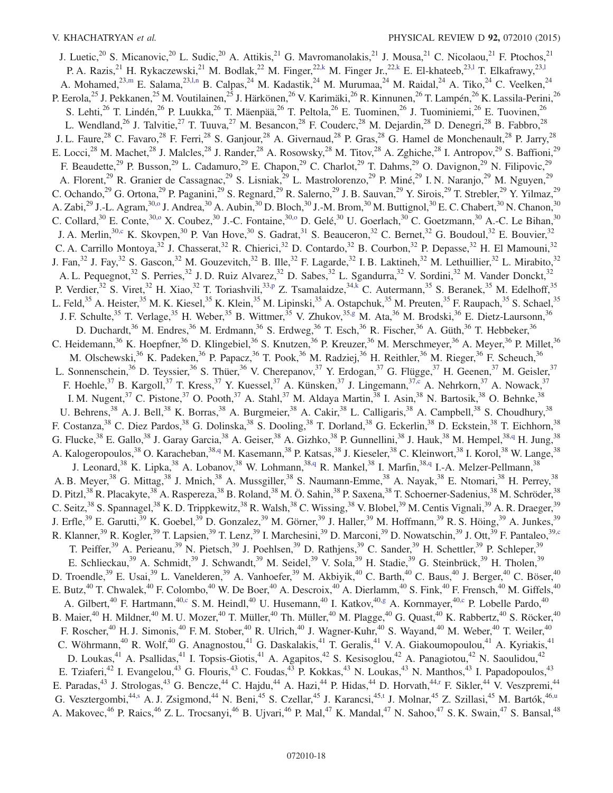<span id="page-17-5"></span><span id="page-17-4"></span><span id="page-17-3"></span><span id="page-17-2"></span><span id="page-17-1"></span><span id="page-17-0"></span>J. Luetic,<sup>20</sup> S. Micanovic,<sup>20</sup> L. Sudic,<sup>20</sup> A. Attikis,<sup>21</sup> G. Mavromanolakis,<sup>21</sup> J. Mousa,<sup>21</sup> C. Nicolaou,<sup>21</sup> F. Ptochos,<sup>21</sup> P. A. Razis,<sup>21</sup> H. Rykaczewski,<sup>21</sup> M. Bodlak,<sup>22</sup> M. Finger,<sup>22[,k](#page-26-6)</sup> M. Finger Jr.,<sup>2[2,k](#page-26-6)</sup> E. El-khateeb,<sup>2[3,l](#page-26-7)</sup> T. Elkafrawy,<sup>23[,l](#page-26-7)</sup> A. Mohamed,<sup>2[3,m](#page-26-8)</sup> E. Salama,<sup>23[,l,n](#page-26-7)</sup> B. Calpas,<sup>24</sup> M. Kadastik,<sup>24</sup> M. Murumaa,<sup>24</sup> M. Raidal,<sup>24</sup> A. Tiko,<sup>24</sup> C. Veelken,<sup>24</sup> P. Eerola,<sup>25</sup> J. Pekkanen,<sup>25</sup> M. Voutilainen,<sup>25</sup> J. Härkönen,<sup>26</sup> V. Karimäki,<sup>26</sup> R. Kinnunen,<sup>26</sup> T. Lampén,<sup>26</sup> K. Lassila-Perini,<sup>26</sup> S. Lehti,<sup>26</sup> T. Lindén,<sup>26</sup> P. Luukka,<sup>26</sup> T. Mäenpää,<sup>26</sup> T. Peltola,<sup>26</sup> E. Tuominen,<sup>26</sup> J. Tuominiemi,<sup>26</sup> E. Tuovinen,<sup>26</sup> L. Wendland,<sup>26</sup> J. Talvitie,<sup>27</sup> T. Tuuva,<sup>27</sup> M. Besancon,<sup>28</sup> F. Couderc,<sup>28</sup> M. Dejardin,<sup>28</sup> D. Denegri,<sup>28</sup> B. Fabbro,<sup>28</sup> J. L. Faure,<sup>28</sup> C. Favaro,<sup>28</sup> F. Ferri,<sup>28</sup> S. Ganjour,<sup>28</sup> A. Givernaud,<sup>28</sup> P. Gras,<sup>28</sup> G. Hamel de Monchenault,<sup>28</sup> P. Jarry,<sup>28</sup> E. Locci,<sup>28</sup> M. Machet,<sup>28</sup> J. Malcles,<sup>28</sup> J. Rander,<sup>28</sup> A. Rosowsky,<sup>28</sup> M. Titov,<sup>28</sup> A. Zghiche,<sup>28</sup> I. Antropov,<sup>29</sup> S. Baffioni,<sup>29</sup> F. Beaudette,<sup>29</sup> P. Busson,<sup>29</sup> L. Cadamuro,<sup>29</sup> E. Chapon,<sup>29</sup> C. Charlot,<sup>29</sup> T. Dahms,<sup>29</sup> O. Davignon,<sup>29</sup> N. Filipovic,<sup>29</sup> A. Florent,<sup>29</sup> R. Granier de Cassagnac,<sup>29</sup> S. Lisniak,<sup>29</sup> L. Mastrolorenzo,<sup>29</sup> P. Miné,<sup>29</sup> I. N. Naranjo,<sup>29</sup> M. Nguyen,<sup>29</sup> C. Ochando,<sup>29</sup> G. Ortona,<sup>29</sup> P. Paganini,<sup>29</sup> S. Regnard,<sup>29</sup> R. Salerno,<sup>29</sup> J. B. Sauvan,<sup>29</sup> Y. Sirois,<sup>29</sup> T. Strebler,<sup>29</sup> Y. Yilmaz,<sup>29</sup> A. Zabi,<sup>29</sup> J.-L. Agram,<sup>30[,o](#page-26-9)</sup> J. Andrea,<sup>30</sup> A. Aubin,<sup>30</sup> D. Bloch,<sup>30</sup> J.-M. Brom,<sup>30</sup> M. Buttignol,<sup>30</sup> E. C. Chabert,<sup>30</sup> N. Chanon,<sup>30</sup> C. Collard,<sup>30</sup> E. Conte,<sup>30[,o](#page-26-9)</sup> X. Coubez,<sup>30</sup> J.-C. Fontaine,<sup>30,o</sup> D. Gelé,<sup>30</sup> U. Goerlach,<sup>30</sup> C. Goetzmann,<sup>30</sup> A.-C. Le Bihan,<sup>30</sup> J. A. Merlin,<sup>30[,c](#page-25-1)</sup> K. Skovpen,<sup>30</sup> P. Van Hove,<sup>30</sup> S. Gadrat,<sup>31</sup> S. Beauceron,<sup>32</sup> C. Bernet,<sup>32</sup> G. Boudoul,<sup>32</sup> E. Bouvier,<sup>32</sup> C. A. Carrillo Montoya,<sup>32</sup> J. Chasserat,<sup>32</sup> R. Chierici,<sup>32</sup> D. Contardo,<sup>32</sup> B. Courbon,<sup>32</sup> P. Depasse,<sup>32</sup> H. El Mamouni,<sup>32</sup> J. Fan,<sup>32</sup> J. Fay,<sup>32</sup> S. Gascon,<sup>32</sup> M. Gouzevitch,<sup>32</sup> B. Ille,<sup>32</sup> F. Lagarde,<sup>32</sup> I. B. Laktineh,<sup>32</sup> M. Lethuillier,<sup>32</sup> L. Mirabito,<sup>32</sup> A. L. Pequegnot,<sup>32</sup> S. Perries,<sup>32</sup> J. D. Ruiz Alvarez,<sup>32</sup> D. Sabes,<sup>32</sup> L. Sgandurra,<sup>32</sup> V. Sordini,<sup>32</sup> M. Vander Donckt,<sup>32</sup> P. Verdier,<sup>32</sup> S. Viret,<sup>32</sup> H. Xiao,<sup>32</sup> T. Toriashvili,<sup>3[3,p](#page-26-10)</sup> Z. Tsamalaidze,<sup>3[4,k](#page-26-6)</sup> C. Autermann,<sup>35</sup> S. Beranek,<sup>35</sup> M. Edelhoff,<sup>35</sup> L. Feld,<sup>35</sup> A. Heister,<sup>35</sup> M. K. Kiesel,<sup>35</sup> K. Klein,<sup>35</sup> M. Lipinski,<sup>35</sup> A. Ostapchuk,<sup>35</sup> M. Preuten,<sup>35</sup> F. Raupach,<sup>35</sup> S. Schael,<sup>35</sup> J. F. Schulte,<sup>35</sup> T. Verlage,<sup>35</sup> H. Weber,<sup>35</sup> B. Wittmer,<sup>35</sup> V. Zhukov,<sup>35[,g](#page-26-2)</sup> M. Ata,<sup>36</sup> M. Brodski,<sup>36</sup> E. Dietz-Laursonn,<sup>36</sup> D. Duchardt,<sup>36</sup> M. Endres,<sup>36</sup> M. Erdmann,<sup>36</sup> S. Erdweg,<sup>36</sup> T. Esch,<sup>36</sup> R. Fischer,<sup>36</sup> A. Güth,<sup>36</sup> T. Hebbeker,<sup>36</sup> C. Heidemann,<sup>36</sup> K. Hoepfner,<sup>36</sup> D. Klingebiel,<sup>36</sup> S. Knutzen,<sup>36</sup> P. Kreuzer,<sup>36</sup> M. Merschmeyer,<sup>36</sup> A. Meyer,<sup>36</sup> P. Millet,<sup>36</sup> M. Olschewski,<sup>36</sup> K. Padeken,<sup>36</sup> P. Papacz,<sup>36</sup> T. Pook,<sup>36</sup> M. Radziej,<sup>36</sup> H. Reithler,<sup>36</sup> M. Rieger,<sup>36</sup> F. Scheuch,<sup>36</sup> L. Sonnenschein,<sup>36</sup> D. Teyssier,<sup>36</sup> S. Thüer,<sup>36</sup> V. Cherepanov,<sup>37</sup> Y. Erdogan,<sup>37</sup> G. Flügge,<sup>37</sup> H. Geenen,<sup>37</sup> M. Geisler,<sup>37</sup> F. Hoehle,<sup>37</sup> B. Kargoll,<sup>37</sup> T. Kress,<sup>37</sup> Y. Kuessel,<sup>37</sup> A. Künsken,<sup>37</sup> J. Lingemann,<sup>3[7,c](#page-25-1)</sup> A. Nehrkorn,<sup>37</sup> A. Nowack,<sup>37</sup> I. M. Nugent,<sup>37</sup> C. Pistone,<sup>37</sup> O. Pooth,<sup>37</sup> A. Stahl,<sup>37</sup> M. Aldaya Martin,<sup>38</sup> I. Asin,<sup>38</sup> N. Bartosik,<sup>38</sup> O. Behnke,<sup>38</sup> U. Behrens,<sup>38</sup> A. J. Bell,<sup>38</sup> K. Borras,<sup>38</sup> A. Burgmeier,<sup>38</sup> A. Cakir,<sup>38</sup> L. Calligaris,<sup>38</sup> A. Campbell,<sup>38</sup> S. Choudhury,<sup>38</sup> F. Costanza,<sup>38</sup> C. Diez Pardos,<sup>38</sup> G. Dolinska,<sup>38</sup> S. Dooling,<sup>38</sup> T. Dorland,<sup>38</sup> G. Eckerlin,<sup>38</sup> D. Eckstein,<sup>38</sup> T. Eichhorn,<sup>38</sup> G. Flucke,<sup>38</sup> E. Gallo,<sup>38</sup> J. Garay Garcia,<sup>38</sup> A. Geiser,<sup>38</sup> A. Gizhko,<sup>38</sup> P. Gunnellini,<sup>38</sup> J. Hauk,<sup>38</sup> M. Hempel,<sup>3[8,q](#page-26-11)</sup> H. Jung,<sup>38</sup> A. Kalogeropoulos,<sup>38</sup> O. Karacheban,<sup>3[8,q](#page-26-11)</sup> M. Kasemann,<sup>38</sup> P. Katsas,<sup>38</sup> J. Kieseler,<sup>38</sup> C. Kleinwort,<sup>38</sup> I. Korol,<sup>38</sup> W. Lange,<sup>38</sup> J. Leonard,<sup>38</sup> K. Lipka,<sup>38</sup> A. Lobanov,<sup>38</sup> W. Lohmann,<sup>38[,q](#page-26-11)</sup> R. Mankel,<sup>38</sup> I. Marfin,<sup>3[8,q](#page-26-11)</sup> I.-A. Melzer-Pellmann,<sup>38</sup> A. B. Meyer,<sup>38</sup> G. Mittag,<sup>38</sup> J. Mnich,<sup>38</sup> A. Mussgiller,<sup>38</sup> S. Naumann-Emme,<sup>38</sup> A. Nayak,<sup>38</sup> E. Ntomari,<sup>38</sup> H. Perrey,<sup>38</sup> D. Pitzl,<sup>38</sup> R. Placakyte,<sup>38</sup> A. Raspereza,<sup>38</sup> B. Roland,<sup>38</sup> M. Ö. Sahin,<sup>38</sup> P. Saxena,<sup>38</sup> T. Schoerner-Sadenius,<sup>38</sup> M. Schröder,<sup>38</sup> C. Seitz,<sup>38</sup> S. Spannagel,<sup>38</sup> K. D. Trippkewitz,<sup>38</sup> R. Walsh,<sup>38</sup> C. Wissing,<sup>38</sup> V. Blobel,<sup>39</sup> M. Centis Vignali,<sup>39</sup> A. R. Draeger,<sup>39</sup> J. Erfle,<sup>39</sup> E. Garutti,<sup>39</sup> K. Goebel,<sup>39</sup> D. Gonzalez,<sup>39</sup> M. Görner,<sup>39</sup> J. Haller,<sup>39</sup> M. Hoffmann,<sup>39</sup> R. S. Höing,<sup>39</sup> A. Junkes,<sup>39</sup> R. Klanner,<sup>39</sup> R. Kogler,<sup>39</sup> T. Lapsien,<sup>39</sup> T. Lenz,<sup>39</sup> I. Marchesini,<sup>39</sup> D. Marconi,<sup>39</sup> D. Nowatschin,<sup>39</sup> J. Ott,<sup>39</sup> F. Pantaleo,<sup>3[9,c](#page-25-1)</sup> T. Peiffer,<sup>39</sup> A. Perieanu,<sup>39</sup> N. Pietsch,<sup>39</sup> J. Poehlsen,<sup>39</sup> D. Rathjens,<sup>39</sup> C. Sander,<sup>39</sup> H. Schettler,<sup>39</sup> P. Schleper,<sup>39</sup> E. Schlieckau,<sup>39</sup> A. Schmidt,<sup>39</sup> J. Schwandt,<sup>39</sup> M. Seidel,<sup>39</sup> V. Sola,<sup>39</sup> H. Stadie,<sup>39</sup> G. Steinbrück,<sup>39</sup> H. Tholen,<sup>39</sup> D. Troendle,<sup>39</sup> E. Usai,<sup>39</sup> L. Vanelderen,<sup>39</sup> A. Vanhoefer,<sup>39</sup> M. Akbiyik,<sup>40</sup> C. Barth,<sup>40</sup> C. Baus,<sup>40</sup> J. Berger,<sup>40</sup> C. Böser,<sup>40</sup> E. Butz,<sup>40</sup> T. Chwalek,<sup>40</sup> F. Colombo,<sup>40</sup> W. De Boer,<sup>40</sup> A. Descroix,<sup>40</sup> A. Dierlamm,<sup>40</sup> S. Fink,<sup>40</sup> F. Frensch,<sup>40</sup> M. Giffels,<sup>40</sup> A. Gilbert,<sup>40</sup> F. Hartmann,<sup>40[,c](#page-25-1)</sup> S. M. Heindl,<sup>40</sup> U. Husemann,<sup>40</sup> I. Katkov,<sup>4[0,g](#page-26-2)</sup> A. Kornmayer,<sup>4[0,c](#page-25-1)</sup> P. Lobelle Pardo,<sup>40</sup> B. Maier,<sup>40</sup> H. Mildner,<sup>40</sup> M. U. Mozer,<sup>40</sup> T. Müller,<sup>40</sup> Th. Müller,<sup>40</sup> M. Plagge,<sup>40</sup> G. Quast,<sup>40</sup> K. Rabbertz,<sup>40</sup> S. Röcker,<sup>40</sup> F. Roscher,<sup>40</sup> H. J. Simonis,<sup>40</sup> F. M. Stober,<sup>40</sup> R. Ulrich,<sup>40</sup> J. Wagner-Kuhr,<sup>40</sup> S. Wayand,<sup>40</sup> M. Weber,<sup>40</sup> T. Weiler,<sup>40</sup> C. Wöhrmann,<sup>40</sup> R. Wolf,<sup>40</sup> G. Anagnostou,<sup>41</sup> G. Daskalakis,<sup>41</sup> T. Geralis,<sup>41</sup> V. A. Giakoumopoulou,<sup>41</sup> A. Kyriakis,<sup>41</sup> D. Loukas,<sup>41</sup> A. Psallidas,<sup>41</sup> I. Topsis-Giotis,<sup>41</sup> A. Agapitos,<sup>42</sup> S. Kesisoglou,<sup>42</sup> A. Panagiotou,<sup>42</sup> N. Saoulidou,<sup>42</sup> E. Tziaferi,<sup>42</sup> I. Evangelou,<sup>43</sup> G. Flouris,<sup>43</sup> C. Foudas,<sup>43</sup> P. Kokkas,<sup>43</sup> N. Loukas,<sup>43</sup> N. Manthos,<sup>43</sup> I. Papadopoulos,<sup>43</sup> E. Paradas,<sup>43</sup> J. Strologas,<sup>43</sup> G. Bencze,<sup>44</sup> C. Hajdu,<sup>44</sup> A. Hazi,<sup>44</sup> P. Hidas,<sup>44</sup> D. Horvath,<sup>4[4,r](#page-26-12)</sup> F. Sikler,<sup>44</sup> V. Veszpremi,<sup>44</sup> G. Vesztergombi,<sup>4[4,s](#page-26-13)</sup> A. J. Zsigmond,<sup>44</sup> N. Beni,<sup>45</sup> S. Czellar,<sup>45</sup> J. Karancsi,<sup>45[,t](#page-26-14)</sup> J. Molnar,<sup>45</sup> Z. Szillasi,<sup>45</sup> M. Bartók,<sup>46[,u](#page-26-15)</sup> A. Makovec,<sup>46</sup> P. Raics,<sup>46</sup> Z. L. Trocsanyi,<sup>46</sup> B. Ujvari,<sup>46</sup> P. Mal,<sup>47</sup> K. Mandal,<sup>47</sup> N. Sahoo,<sup>47</sup> S. K. Swain,<sup>47</sup> S. Bansal,<sup>48</sup>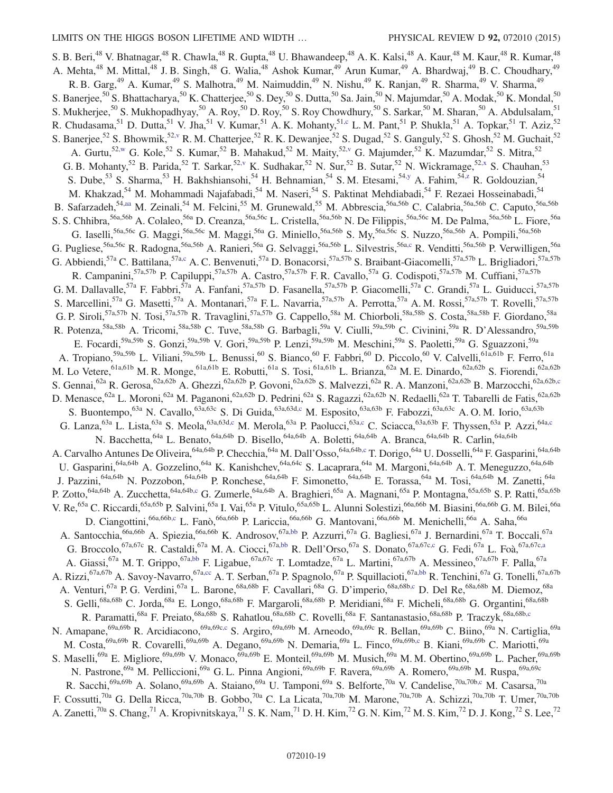<span id="page-18-4"></span><span id="page-18-3"></span><span id="page-18-2"></span><span id="page-18-1"></span><span id="page-18-0"></span>S. B. Beri,<sup>48</sup> V. Bhatnagar,<sup>48</sup> R. Chawla,<sup>48</sup> R. Gupta,<sup>48</sup> U. Bhawandeep,<sup>48</sup> A. K. Kalsi,<sup>48</sup> A. Kaur,<sup>48</sup> M. Kaur,<sup>48</sup> R. Kumar,<sup>48</sup> A. Mehta,<sup>48</sup> M. Mittal,<sup>48</sup> J. B. Singh,<sup>48</sup> G. Walia,<sup>48</sup> Ashok Kumar,<sup>49</sup> Arun Kumar,<sup>49</sup> A. Bhardwaj,<sup>49</sup> B. C. Choudhary,<sup>49</sup> R. B. Garg,<sup>49</sup> A. Kumar,<sup>49</sup> S. Malhotra,<sup>49</sup> M. Naimuddin,<sup>49</sup> N. Nishu,<sup>49</sup> K. Ranjan,<sup>49</sup> R. Sharma,<sup>49</sup> V. Sharma,<sup>49</sup> S. Banerjee,<sup>50</sup> S. Bhattacharya,<sup>50</sup> K. Chatterjee,<sup>50</sup> S. Dey,<sup>50</sup> S. Dutta,<sup>50</sup> Sa. Jain,<sup>50</sup> N. Majumdar,<sup>50</sup> A. Modak,<sup>50</sup> K. Mondal,<sup>50</sup> S. Mukherjee,<sup>50</sup> S. Mukhopadhyay,<sup>50</sup> A. Roy,<sup>50</sup> D. Roy,<sup>50</sup> S. Roy Chowdhury,<sup>50</sup> S. Sarkar,<sup>50</sup> M. Sharan,<sup>50</sup> A. Abdulsalam,<sup>51</sup> R. Chudasama,<sup>51</sup> D. Dutta,<sup>51</sup> V. Jha,<sup>51</sup> V. Kumar,<sup>51</sup> A. K. Mohanty,<sup>5[1,c](#page-25-1)</sup> L. M. Pant,<sup>51</sup> P. Shukla,<sup>51</sup> A. Topkar,<sup>51</sup> T. Aziz,<sup>52</sup> S. Banerjee,<sup>52</sup> S. Bhowmik,<sup>5[2,v](#page-26-16)</sup> R. M. Chatterjee,<sup>52</sup> R. K. Dewanjee,<sup>52</sup> S. Dugad,<sup>52</sup> S. Ganguly,<sup>52</sup> S. Ghosh,<sup>52</sup> M. Guchait,<sup>52</sup> A. Gurtu,<sup>52[,w](#page-26-17)</sup> G. Kole,<sup>52</sup> S. Kumar,<sup>52</sup> B. Mahakud,<sup>52</sup> M. Maity,<sup>52[,v](#page-26-16)</sup> G. Majumder,<sup>52</sup> K. Mazumdar,<sup>52</sup> S. Mitra,<sup>52</sup> G. B. Mohanty,<sup>52</sup> B. Parida,<sup>52</sup> T. Sarkar,<sup>5[2,v](#page-26-16)</sup> K. Sudhakar,<sup>52</sup> N. Sur,<sup>52</sup> B. Sutar,<sup>52</sup> N. Wickramage,<sup>52[,x](#page-26-18)</sup> S. Chauhan,<sup>53</sup> S. Dube,<sup>53</sup> S. Sharma,<sup>53</sup> H. Bakhshiansohi,<sup>54</sup> H. Behnamian,<sup>54</sup> S. M. Etesami,<sup>5[4,y](#page-26-19)</sup> A. Fahim,<sup>5[4,z](#page-26-20)</sup> R. Goldouzian,<sup>54</sup> M. Khakzad,<sup>54</sup> M. Mohammadi Najafabadi,<sup>54</sup> M. Naseri,<sup>54</sup> S. Paktinat Mehdiabadi,<sup>54</sup> F. Rezaei Hosseinabadi,<sup>54</sup> B. Safarzadeh,<sup>5[4,aa](#page-26-21)</sup> M. Zeinali,<sup>54</sup> M. Felcini,<sup>55</sup> M. Grunewald,<sup>55</sup> M. Abbrescia,<sup>56a,56b</sup> C. Calabria,<sup>56a,56b</sup> C. Caputo,<sup>56a,56b</sup> S. S. Chhibra,<sup>56a,56b</sup> A. Colaleo,<sup>56a</sup> D. Creanza,<sup>56a,56c</sup> L. Cristella,<sup>56a,56b</sup> N. De Filippis,<sup>56a,56c</sup> M. De Palma,<sup>56a,56b</sup> L. Fiore,<sup>56a</sup> G. Iaselli,<sup>56a,56c</sup> G. Maggi,<sup>56a,56c</sup> M. Maggi,<sup>56a</sup> G. Miniello,<sup>56a,56b</sup> S. My,<sup>56a,56c</sup> S. Nuzzo,<sup>56a,56b</sup> A. Pompili,<sup>56a,56b</sup> G. Pugliese,<sup>56a,56c</sup> R. Radogna,<sup>56a,56b</sup> A. Ranieri,<sup>56a</sup> G. Selvaggi,<sup>56a,56b</sup> L. Silvestris,<sup>56a[,c](#page-25-1)</sup> R. Venditti,<sup>56a,56b</sup> P. Verwilligen,<sup>56a</sup> G. Abbiendi,<sup>57a</sup> C. Battilana,<sup>57[a,c](#page-25-1)</sup> A. C. Benvenuti,<sup>57a</sup> D. Bonacorsi,<sup>57a,57b</sup> S. Braibant-Giacomelli,<sup>57a,57b</sup> L. Brigliadori,<sup>57a,57b</sup> R. Campanini,<sup>57a,57b</sup> P. Capiluppi,<sup>57a,57b</sup> A. Castro,<sup>57a,57b</sup> F. R. Cavallo,<sup>57a</sup> G. Codispoti,<sup>57a,57b</sup> M. Cuffiani,<sup>57a,57b</sup> G. M. Dallavalle,<sup>57a</sup> F. Fabbri,<sup>57a</sup> A. Fanfani,<sup>57a,57b</sup> D. Fasanella,<sup>57a,57b</sup> P. Giacomelli,<sup>57a</sup> C. Grandi,<sup>57a</sup> L. Guiducci,<sup>57a,57b</sup> S. Marcellini,<sup>57a</sup> G. Masetti,<sup>57a</sup> A. Montanari,<sup>57a</sup> F. L. Navarria,<sup>57a,57b</sup> A. Perrotta,<sup>57a</sup> A. M. Rossi,<sup>57a,57b</sup> T. Rovelli,<sup>57a,57b</sup> G. P. Siroli,<sup>57a,57b</sup> N. Tosi,<sup>57a,57b</sup> R. Travaglini,<sup>57a,57b</sup> G. Cappello,<sup>58a</sup> M. Chiorboli,<sup>58a,58b</sup> S. Costa,<sup>58a,58b</sup> F. Giordano,<sup>58a</sup> R. Potenza,<sup>58a,58b</sup> A. Tricomi,<sup>58a,58b</sup> C. Tuve,<sup>58a,58b</sup> G. Barbagli,<sup>59a</sup> V. Ciulli,<sup>59a,59b</sup> C. Civinini,<sup>59a</sup> R. D'Alessandro,<sup>59a,59b</sup> E. Focardi,<sup>59a,59b</sup> S. Gonzi,<sup>59a,59b</sup> V. Gori,<sup>59a,59b</sup> P. Lenzi,<sup>59a,59b</sup> M. Meschini,<sup>59a</sup> S. Paoletti,<sup>59a</sup> G. Sguazzoni,<sup>59a</sup> A. Tropiano,<sup>59a,59b</sup> L. Viliani,<sup>59a,59b</sup> L. Benussi,<sup>60</sup> S. Bianco,<sup>60</sup> F. Fabbri,<sup>60</sup> D. Piccolo,<sup>60</sup> V. Calvelli,<sup>61a,61b</sup> F. Ferro,<sup>61a</sup> M. Lo Vetere,  $61a,61b$  M. R. Monge,  $61a,61b$  E. Robutti,  $61a$  S. Tosi,  $61a,61b$  L. Brianza,  $62a$  M. E. Dinardo,  $62a,62b$  S. Fiorendi,  $62a,62b$ S. Gennai,<sup>62a</sup> R. Gerosa,<sup>62a,62b</sup> A. Ghezzi,<sup>62a,62b</sup> P. Govoni,<sup>62a,62b</sup> S. Malvezzi,<sup>62a</sup> R. A. Manzoni,<sup>62a,62b</sup> B. Marzocchi,<sup>62a,62[b,c](#page-25-1)</sup> D. Menasce,<sup>62a</sup> L. Moroni,<sup>62a</sup> M. Paganoni,<sup>62a,62b</sup> D. Pedrini,<sup>62a</sup> S. Ragazzi,<sup>62a,62b</sup> N. Redaelli,<sup>62a</sup> T. Tabarelli de Fatis,<sup>62a,62b</sup> S. Buontempo,<sup>63a</sup> N. Cavallo,<sup>63a,63c</sup> S. Di Guida,<sup>63a,63d[,c](#page-25-1)</sup> M. Esposito,<sup>63a,63b</sup> F. Fabozzi,<sup>63a,63c</sup> A. O. M. Iorio,<sup>63a,63b</sup> G. Lanza,  $63a$  L. Lista,  $63a$ , S. Meola,  $63a$ ,  $63a$ ,  $c$  M. Merola,  $63a$  P. Paolucci,  $63a$ , C. Sciacca,  $63a$ ,  $63b$  F. Thyssen,  $63a$  P. Azzi,  $64a$ ,  $c$ N. Bacchetta, <sup>64a</sup> L. Benato, <sup>64a,64b</sup> D. Bisello, <sup>64a,64b</sup> A. Boletti, <sup>64a,64b</sup> A. Branca, <sup>64a,64b</sup> R. Carlin, <sup>64a,64b</sup> A. Carvalho Antunes De Oliveira, <sup>64a, 64b</sup> P. Checchia, <sup>64a</sup> M. Dall'Osso, <sup>64a, 64b, c</sup> T. Dorigo, <sup>64a</sup> U. Dosselli, <sup>64a</sup> F. Gasparini, <sup>64a, 64b</sup> U. Gasparini,<sup>64a,64b</sup> A. Gozzelino,<sup>64a</sup> K. Kanishchev,<sup>64a,64c</sup> S. Lacaprara,<sup>64a</sup> M. Margoni,<sup>64a,64b</sup> A. T. Meneguzzo,<sup>64a,64b</sup> J. Pazzini,<sup>64a,64b</sup> N. Pozzobon,<sup>64a,64b</sup> P. Ronchese,<sup>64a,64b</sup> F. Simonetto,<sup>64a,64b</sup> E. Torassa,<sup>64a</sup> M. Tosi,<sup>64a,64b</sup> M. Zanetti,<sup>64a</sup> P. Zotto,<sup>64a,64b</sup> A. Zucchetta,<sup>64a,64b[,c](#page-25-1)</sup> G. Zumerle,<sup>64a,64b</sup> A. Braghieri,<sup>65a</sup> A. Magnani,<sup>65a</sup> P. Montagna,<sup>65a,65b</sup> S. P. Ratti,<sup>65a,65b</sup> V. Re,<sup>65a</sup> C. Riccardi,<sup>65a,65b</sup> P. Salvini,<sup>65a</sup> I. Vai,<sup>65a</sup> P. Vitulo,<sup>65a,65b</sup> L. Alunni Solestizi,<sup>66a,66b</sup> M. Biasini,<sup>66a,66b</sup> G. M. Bilei,<sup>66a</sup> D. Ciangottini,<sup>66a,66[b,c](#page-25-1)</sup> L. Fanò,<sup>66a,66b</sup> P. Lariccia,<sup>66a,66b</sup> G. Mantovani,<sup>66a,66b</sup> M. Menichelli,<sup>66a</sup> A. Saha,<sup>66a</sup> A. Santocchia, <sup>66a,66b</sup> A. Spiezia, <sup>66a,66b</sup> K. Androsov, <sup>67a[,bb](#page-26-22)</sup> P. Azzurri, <sup>67a</sup> G. Bagliesi, <sup>67a</sup> J. Bernardini, <sup>67a</sup> T. Boccali, <sup>67a</sup> G. Broccolo,<sup>67a,67c</sup> R. Castaldi,<sup>67a</sup> M. A. Ciocci,<sup>67a[,bb](#page-26-22)</sup> R. Dell'Orso,<sup>67a</sup> S. Donato,<sup>67a,67c[,c](#page-25-1)</sup> G. Fedi,<sup>67a</sup> L. Foà,<sup>67a,67[c,a](#page-25-3)</sup> A. Giassi,<sup>67a</sup> M. T. Grippo,<sup>67[a,bb](#page-26-22)</sup> F. Ligabue,<sup>67a,67c</sup> T. Lomtadze,<sup>67a</sup> L. Martini,<sup>67a,67b</sup> A. Messineo,<sup>67a,67b</sup> F. Palla,<sup>67a</sup> A. Rizzi,<sup>67a,67b</sup> A. Savoy-Navarro,<sup>67[a,cc](#page-26-23)</sup> A. T. Serban,<sup>67a</sup> P. Spagnolo,<sup>67a</sup> P. Squillacioti,<sup>67[a,bb](#page-26-22)</sup> R. Tenchini,<sup>67a</sup> G. Tonelli,<sup>67a,67b</sup> A. Venturi,<sup>67a</sup> P. G. Verdini,<sup>67a</sup> L. Barone,<sup>68a,68b</sup> F. Cavallari,<sup>68a</sup> G. D'imperio,<sup>68a,68b[,c](#page-25-1)</sup> D. Del Re,<sup>68a,68b</sup> M. Diemoz,<sup>68a</sup> S. Gelli,<sup>68a,68b</sup> C. Jorda,<sup>68a</sup> E. Longo,<sup>68a,68b</sup> F. Margaroli,<sup>68a,68b</sup> P. Meridiani,<sup>68a</sup> F. Micheli,<sup>68a,68b</sup> G. Organtini,<sup>68a</sup>,68b R. Paramatti,<sup>68a</sup> F. Preiato,<sup>68a,68b</sup> S. Rahatlou,<sup>68a,68b</sup> C. Rovelli,<sup>68a</sup> F. Santanastasio,<sup>68a,68b</sup> P. Traczyk,<sup>68a,68[b,c](#page-25-1)</sup> N. Amapane,<sup>69a,69b</sup> R. Arcidiacono,<sup>69a,69[c,c](#page-25-1)</sup> S. Argiro,<sup>69a,69b</sup> M. Arneodo,<sup>69a,69c</sup> R. Bellan,<sup>69a,69b</sup> C. Biino,<sup>69a</sup> N. Cartiglia,<sup>69a</sup> M. Costa,<sup>69a,69b</sup> R. Covarelli,<sup>69a,69b</sup> A. Degano,<sup>69a,69b</sup> N. Demaria,<sup>69a</sup> L. Finco,<sup>69a,69b[,c](#page-25-1)</sup> B. Kiani,<sup>69a,69b</sup> C. Mariotti,<sup>69a</sup> S. Maselli,<sup>69a</sup> E. Migliore,<sup>69a,69b</sup> V. Monaco,<sup>69a,69b</sup> E. Monteil,<sup>69a,69b</sup> M. Musich,<sup>69a</sup> M. M. Obertino,<sup>69a,69b</sup> L. Pacher,<sup>69a,69b</sup> N. Pastrone,<sup>69a</sup> M. Pelliccioni,<sup>69a</sup> G. L. Pinna Angioni,<sup>69a,69b</sup> F. Ravera,<sup>69a,69b</sup> A. Romero,<sup>69a,69b</sup> M. Ruspa,<sup>69a,69c</sup> R. Sacchi,<sup>69a,69b</sup> A. Solano,<sup>69a,69b</sup> A. Staiano,<sup>69a</sup> U. Tamponi,<sup>69a</sup> S. Belforte,<sup>70a</sup> V. Candelise,<sup>70a,70b[,c](#page-25-1)</sup> M. Casarsa,<sup>70a</sup> F. Cossutti,<sup>70a</sup> G. Della Ricca,<sup>70a,70b</sup> B. Gobbo,<sup>70a</sup> C. La Licata,<sup>70a,70b</sup> M. Marone,<sup>70a,70b</sup> A. Schizzi,<sup>70a,70b</sup> T. Umer,<sup>70a,70b</sup> T. Umer,<sup>70a,70b</sup> A. Zanetti,  $7^{0a}$  S. Chang,  $7^1$  A. Kropivnitskaya,  $7^1$  S. K. Nam,  $7^1$  D. H. Kim,  $7^2$  G. N. Kim,  $7^2$  M. S. Kim,  $7^2$  D. J. Kong,  $7^2$  S. Lee,  $7^2$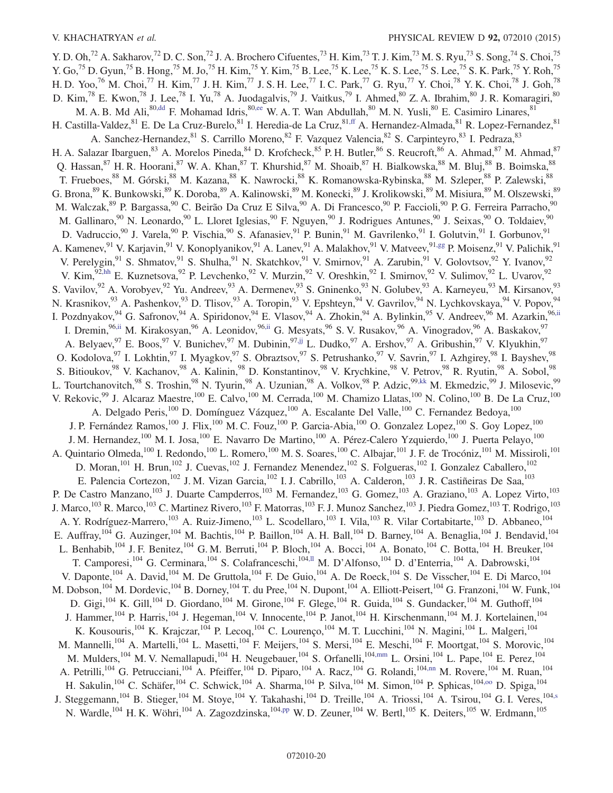<span id="page-19-11"></span><span id="page-19-10"></span><span id="page-19-9"></span><span id="page-19-8"></span><span id="page-19-7"></span><span id="page-19-6"></span><span id="page-19-5"></span><span id="page-19-4"></span><span id="page-19-3"></span><span id="page-19-2"></span><span id="page-19-1"></span><span id="page-19-0"></span>Y. D. Oh,<sup>72</sup> A. Sakharov,<sup>72</sup> D. C. Son,<sup>72</sup> J. A. Brochero Cifuentes,<sup>73</sup> H. Kim,<sup>73</sup> T. J. Kim,<sup>73</sup> M. S. Ryu,<sup>73</sup> S. Song,<sup>74</sup> S. Choi,<sup>75</sup> Y. Go,<sup>75</sup> D. Gyun,<sup>75</sup> B. Hong,<sup>75</sup> M. Jo,<sup>75</sup> H. Kim,<sup>75</sup> Y. Kim,<sup>75</sup> B. Lee,<sup>75</sup> K. Lee,<sup>75</sup> K. S. Lee,<sup>75</sup> S. Lee,<sup>75</sup> S. K. Park,<sup>75</sup> Y. Roh,<sup>75</sup> H. D. Yoo,<sup>76</sup> M. Choi,<sup>77</sup> H. Kim,<sup>77</sup> J. H. Kim,<sup>77</sup> J. S. H. Lee,<sup>77</sup> I. C. Park,<sup>77</sup> G. Ryu,<sup>77</sup> Y. Choi,<sup>78</sup> Y. K. Choi,<sup>78</sup> J. Goh,<sup>78</sup> D. Kim,<sup>78</sup> E. Kwon,<sup>78</sup> J. Lee,<sup>78</sup> I. Yu,<sup>78</sup> A. Juodagalvis,<sup>79</sup> J. Vaitkus,<sup>79</sup> I. Ahmed,<sup>80</sup> Z. A. Ibrahim,<sup>80</sup> J. R. Komaragiri,<sup>80</sup> M. A. B. Md Ali, 8[0,dd](#page-26-24) F. Mohamad Idris, 80[,ee](#page-26-25) W. A. T. Wan Abdullah, 80 M. N. Yusli, 80 E. Casimiro Linares, 81 H. Castilla-Valdez, <sup>81</sup> E. De La Cruz-Burelo, <sup>81</sup> I. Heredia-de La Cruz, <sup>81[,ff](#page-26-26)</sup> A. Hernandez-Almada, <sup>81</sup> R. Lopez-Fernandez, <sup>81</sup> A. Sanchez-Hernandez, <sup>81</sup> S. Carrillo Moreno, <sup>82</sup> F. Vazquez Valencia, <sup>82</sup> S. Carpinteyro, <sup>83</sup> I. Pedraza, <sup>83</sup> H. A. Salazar Ibarguen, <sup>83</sup> A. Morelos Pineda, <sup>84</sup> D. Krofcheck, <sup>85</sup> P. H. Butler, <sup>86</sup> S. Reucroft, <sup>86</sup> A. Ahmad, <sup>87</sup> M. Ahmad, <sup>87</sup> Q. Hassan,<sup>87</sup> H. R. Hoorani,<sup>87</sup> W. A. Khan,<sup>87</sup> T. Khurshid,<sup>87</sup> M. Shoaib,<sup>87</sup> H. Bialkowska,<sup>88</sup> M. Bluj,<sup>88</sup> B. Boimska,<sup>88</sup> T. Frueboes,<sup>88</sup> M. Górski,<sup>88</sup> M. Kazana,<sup>88</sup> K. Nawrocki,<sup>88</sup> K. Romanowska-Rybinska,<sup>88</sup> M. Szleper,<sup>88</sup> P. Zalewski,<sup>88</sup> G. Brona, <sup>89</sup> K. Bunkowski, <sup>89</sup> K. Doroba, <sup>89</sup> A. Kalinowski, <sup>89</sup> M. Konecki, <sup>89</sup> J. Krolikowski, <sup>89</sup> M. Misiura, <sup>89</sup> M. Olszewski, <sup>89</sup> M. Walczak,<sup>89</sup> P. Bargassa,<sup>90</sup> C. Beirão Da Cruz E Silva,<sup>90</sup> A. Di Francesco,<sup>90</sup> P. Faccioli,<sup>90</sup> P. G. Ferreira Parracho,<sup>9</sup> M. Gallinaro,<sup>90</sup> N. Leonardo,<sup>90</sup> L. Lloret Iglesias,<sup>90</sup> F. Nguyen,<sup>90</sup> J. Rodrigues Antunes,<sup>90</sup> J. Seixas,<sup>90</sup> O. Toldaiev,<sup>90</sup> D. Vadruccio,<sup>90</sup> J. Varela,<sup>90</sup> P. Vischia,<sup>90</sup> S. Afanasiev,<sup>91</sup> P. Bunin,<sup>91</sup> M. Gavrilenko,<sup>91</sup> I. Golutvin,<sup>91</sup> I. Gorbunov,<sup>91</sup> A. Kamenev,<sup>91</sup> V. Karjavin,<sup>91</sup> V. Konoplyanikov,<sup>91</sup> A. Lanev,<sup>91</sup> A. Malakhov,<sup>91</sup> V. Matveev,<sup>91[,gg](#page-26-27)</sup> P. Moisenz,<sup>91</sup> V. Palichik,<sup>91</sup> V. Perelygin,<sup>91</sup> S. Shmatov,<sup>91</sup> S. Shulha,<sup>91</sup> N. Skatchkov,<sup>91</sup> V. Smirnov,<sup>91</sup> A. Zarubin,<sup>91</sup> V. Golovtsov,<sup>92</sup> Y. Ivanov,<sup>92</sup> V. Kim,  $92, hh$  E. Kuznetsova,  $92$  P. Levchenko,  $92$  V. Murzin,  $92$  V. Oreshkin,  $92$  I. Smirnov,  $92$  V. Sulimov,  $92$  L. Uvarov,  $92$ S. Vavilov, <sup>92</sup> A. Vorobyev, <sup>92</sup> Yu. Andreev, <sup>93</sup> A. Dermenev, <sup>93</sup> S. Gninenko, <sup>93</sup> N. Golubev, <sup>93</sup> A. Karneyeu, <sup>93</sup> M. Kirsanov, <sup>93</sup> N. Krasnikov, <sup>93</sup> A. Pashenkov, <sup>93</sup> D. Tlisov, <sup>93</sup> A. Toropin, <sup>93</sup> V. Epshteyn, <sup>94</sup> V. Gavrilov, <sup>94</sup> N. Lychkovskaya, <sup>94</sup> V. Popov, <sup>94</sup> I. Pozdnyakov,<sup>94</sup> G. Safronov,<sup>94</sup> A. Spiridonov,<sup>94</sup> E. Vlasov,<sup>94</sup> A. Zhokin,<sup>94</sup> A. Bylinkin,<sup>95</sup> V. Andreev,<sup>96</sup> M. Azarkin,<sup>9[6,ii](#page-26-29)</sup> I. Dremin,<sup>96[,ii](#page-26-29)</sup> M. Kirakosyan,<sup>96</sup> A. Leonidov,<sup>96,ii</sup> G. Mesyats,<sup>96</sup> S. V. Rusakov,<sup>96</sup> A. Vinogradov,<sup>96</sup> A. Baskakov,<sup>97</sup> A. Belyaev, <sup>97</sup> E. Boos, <sup>97</sup> V. Bunichev, <sup>97</sup> M. Dubinin, <sup>9[7,jj](#page-26-30)</sup> L. Dudko, <sup>97</sup> A. Ershov, <sup>97</sup> A. Gribushin, <sup>97</sup> V. Klyukhin, <sup>97</sup> O. Kodolova, <sup>97</sup> I. Lokhtin, <sup>97</sup> I. Myagkov, <sup>97</sup> S. Obraztsov, <sup>97</sup> S. Petrushanko, <sup>97</sup> V. Savrin, <sup>97</sup> I. Azhgirey, <sup>98</sup> I. Bayshev, <sup>98</sup> S. Bitioukov,<sup>98</sup> V. Kachanov,<sup>98</sup> A. Kalinin,<sup>98</sup> D. Konstantinov,<sup>98</sup> V. Krychkine,<sup>98</sup> V. Petrov,<sup>98</sup> R. Ryutin,<sup>98</sup> A. Sobol,<sup>98</sup> L. Tourtchanovitch,<sup>98</sup> S. Troshin,<sup>98</sup> N. Tyurin,<sup>98</sup> A. Uzunian,<sup>98</sup> A. Volkov,<sup>98</sup> P. Adzic,<sup>99[,kk](#page-26-31)</sup> M. Ekmedzic,<sup>99</sup> J. Milosevic,<sup>99</sup> V. Rekovic,<sup>99</sup> J. Alcaraz Maestre,<sup>100</sup> E. Calvo,<sup>100</sup> M. Cerrada,<sup>100</sup> M. Chamizo Llatas,<sup>100</sup> N. Colino,<sup>100</sup> B. De La Cruz,<sup>100</sup> A. Delgado Peris,<sup>100</sup> D. Domínguez Vázquez,<sup>100</sup> A. Escalante Del Valle,<sup>100</sup> C. Fernandez Bedoya,<sup>100</sup> J. P. Fernández Ramos,<sup>100</sup> J. Flix,<sup>100</sup> M. C. Fouz,<sup>100</sup> P. Garcia-Abia,<sup>100</sup> O. Gonzalez Lopez,<sup>100</sup> S. Goy Lopez,<sup>100</sup> J. M. Hernandez,<sup>100</sup> M. I. Josa,<sup>100</sup> E. Navarro De Martino,<sup>100</sup> A. Pérez-Calero Yzquierdo,<sup>100</sup> J. Puerta Pelayo,<sup>100</sup> A. Quintario Olmeda,<sup>100</sup> I. Redondo,<sup>100</sup> L. Romero,<sup>100</sup> M. S. Soares,<sup>100</sup> C. Albajar,<sup>101</sup> J. F. de Trocóniz,<sup>101</sup> M. Missiroli,<sup>101</sup> D. Moran,<sup>101</sup> H. Brun,<sup>102</sup> J. Cuevas,<sup>102</sup> J. Fernandez Menendez,<sup>102</sup> S. Folgueras,<sup>102</sup> I. Gonzalez Caballero,<sup>102</sup> E. Palencia Cortezon,<sup>102</sup> J. M. Vizan Garcia,<sup>102</sup> I. J. Cabrillo,<sup>103</sup> A. Calderon,<sup>103</sup> J. R. Castiñeiras De Saa,<sup>103</sup> P. De Castro Manzano,<sup>103</sup> J. Duarte Campderros,<sup>103</sup> M. Fernandez,<sup>103</sup> G. Gomez,<sup>103</sup> A. Graziano,<sup>103</sup> A. Lopez Virto,<sup>103</sup> J. Marco,<sup>103</sup> R. Marco,<sup>103</sup> C. Martinez Rivero,<sup>103</sup> F. Matorras,<sup>103</sup> F. J. Munoz Sanchez,<sup>103</sup> J. Piedra Gomez,<sup>103</sup> T. Rodrigo,<sup>103</sup> A. Y. Rodríguez-Marrero,<sup>103</sup> A. Ruiz-Jimeno,<sup>103</sup> L. Scodellaro,<sup>103</sup> I. Vila,<sup>103</sup> R. Vilar Cortabitarte,<sup>103</sup> D. Abbaneo,<sup>104</sup> E. Auffray,<sup>104</sup> G. Auzinger,<sup>104</sup> M. Bachtis,<sup>104</sup> P. Baillon,<sup>104</sup> A. H. Ball,<sup>104</sup> D. Barney,<sup>104</sup> A. Benaglia,<sup>104</sup> J. Bendavid,<sup>104</sup> L. Benhabib,<sup>104</sup> J. F. Benitez,<sup>104</sup> G. M. Berruti,<sup>104</sup> P. Bloch,<sup>104</sup> A. Bocci,<sup>104</sup> A. Bonato,<sup>104</sup> C. Botta,<sup>104</sup> H. Breuker,<sup>104</sup> H. Breuker,<sup>104</sup> T. Camporesi,<sup>104</sup> G. Cerminara,<sup>104</sup> S. Colafranceschi,<sup>10[4,ll](#page-26-32)</sup> M. D'Alfonso,<sup>104</sup> D. d'Enterria,<sup>104</sup> A. Dabrowski,<sup>104</sup> V. Daponte,  $^{104}$  A. David,  $^{104}$  M. De Gruttola,  $^{104}$  F. De Guio,  $^{104}$  A. De Roeck,  $^{104}$  S. De Visscher,  $^{104}$  E. Di Marco,  $^{104}$ M. Dobson, <sup>104</sup> M. Dordevic, <sup>104</sup> B. Dorney, <sup>104</sup> T. du Pree, <sup>104</sup> N. Dupont, <sup>104</sup> A. Elliott-Peisert, <sup>104</sup> G. Franzoni, <sup>104</sup> W. Funk, <sup>104</sup> D. Gigi,<sup>104</sup> K. Gill,<sup>104</sup> D. Giordano,<sup>104</sup> M. Girone,<sup>104</sup> F. Glege,<sup>104</sup> R. Guida,<sup>104</sup> S. Gundacker,<sup>104</sup> M. Guthoff,<sup>104</sup> J. Hammer,<sup>104</sup> P. Harris,<sup>104</sup> J. Hegeman,<sup>104</sup> V. Innocente,<sup>104</sup> P. Janot,<sup>104</sup> H. Kirschenmann,<sup>104</sup> M. J. Kortelainen,<sup>104</sup> K. Kousouris,<sup>104</sup> K. Krajczar,<sup>104</sup> P. Lecoq,<sup>104</sup> C. Lourenço,<sup>104</sup> M. T. Lucchini,<sup>104</sup> N. Magini,<sup>104</sup> L. Malgeri,<sup>104</sup> M. Mannelli,<sup>104</sup> A. Martelli,<sup>104</sup> L. Masetti,<sup>104</sup> F. Meijers,<sup>104</sup> S. Mersi,<sup>104</sup> E. Meschi,<sup>104</sup> F. Moortgat,<sup>104</sup> S. Morovic,<sup>104</sup> M. Mulders, <sup>104</sup> M. V. Nemallapudi, <sup>104</sup> H. Neugebauer, <sup>104</sup> S. Orfanelli, <sup>104[,mm](#page-26-33)</sup> L. Orsini, <sup>104</sup> L. Pape, <sup>104</sup> E. Perez, <sup>104</sup> A. Petrilli,<sup>104</sup> G. Petrucciani,<sup>104</sup> A. Pfeiffer,<sup>104</sup> D. Piparo,<sup>104</sup> A. Racz,<sup>104</sup> G. Rolandi,<sup>104[,nn](#page-26-34)</sup> M. Rovere,<sup>104</sup> M. Ruan,<sup>104</sup> H. Sakulin,<sup>104</sup> C. Schäfer,<sup>104</sup> C. Schwick,<sup>104</sup> A. Sharma,<sup>104</sup> P. Silva,<sup>104</sup> M. Simon,<sup>104</sup> P. Sphicas,<sup>104,00</sup> D. Spiga,<sup>104</sup> J. Steggemann,<sup>104</sup> B. Stieger,<sup>104</sup> M. Stoye,<sup>104</sup> Y. Takahashi,<sup>104</sup> D. Treille,<sup>104</sup> A. Triossi,<sup>104</sup> A. Tsirou,<sup>104</sup> G. I. Veres,<sup>104[,s](#page-26-13)</sup> N. Wardle,<sup>104</sup> H. K. Wöhri,<sup>104</sup> A. Zagozdzinska,<sup>10[4,pp](#page-26-36)</sup> W. D. Zeuner,<sup>104</sup> W. Bertl,<sup>105</sup> K. Deiters,<sup>105</sup> W. Erdmann,<sup>105</sup>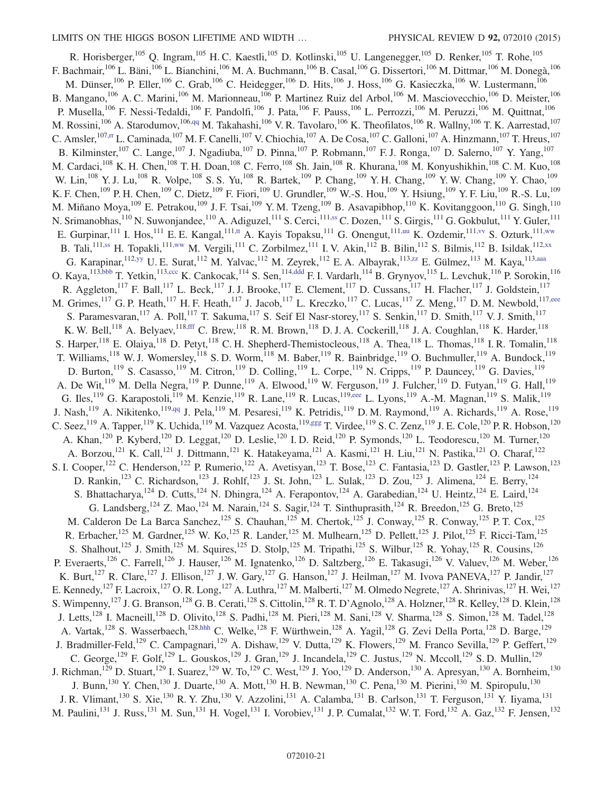<span id="page-20-9"></span><span id="page-20-8"></span><span id="page-20-7"></span><span id="page-20-6"></span><span id="page-20-5"></span><span id="page-20-4"></span><span id="page-20-3"></span><span id="page-20-2"></span><span id="page-20-1"></span><span id="page-20-0"></span>R. Horisberger,<sup>105</sup> Q. Ingram,<sup>105</sup> H. C. Kaestli,<sup>105</sup> D. Kotlinski,<sup>105</sup> U. Langenegger,<sup>105</sup> D. Renker,<sup>105</sup> T. Rohe,<sup>105</sup> F. Bachmair,<sup>106</sup> L. Bäni,<sup>106</sup> L. Bianchini,<sup>106</sup> M. A. Buchmann,<sup>106</sup> B. Casal,<sup>106</sup> G. Dissertori,<sup>106</sup> M. Dittmar,<sup>106</sup> M. Donegà,<sup>106</sup> M. Dünser,<sup>106</sup> P. Eller,<sup>106</sup> C. Grab,<sup>106</sup> C. Heidegger,<sup>106</sup> D. Hits,<sup>106</sup> J. Hoss,<sup>106</sup> G. Kasieczka,<sup>106</sup> W. Lustermann,<sup>106</sup> B. Mangano,<sup>106</sup> A. C. Marini,<sup>106</sup> M. Marionneau,<sup>106</sup> P. Martinez Ruiz del Arbol,<sup>106</sup> M. Masciovecchio,<sup>106</sup> D. Meister,<sup>106</sup> P. Musella,<sup>106</sup> F. Nessi-Tedaldi,<sup>106</sup> F. Pandolfi,<sup>106</sup> J. Pata,<sup>106</sup> F. Pauss,<sup>106</sup> L. Perrozzi,<sup>106</sup> M. Peruzzi,<sup>106</sup> M. Quittnat,<sup>106</sup> M. Rossini,<sup>106</sup> A. Starodumov,<sup>10[6,qq](#page-26-37)</sup> M. Takahashi,<sup>106</sup> V. R. Tavolaro,<sup>106</sup> K. Theofilatos,<sup>106</sup> R. Wallny,<sup>106</sup> T. K. Aarrestad,<sup>107</sup> C. Amsler,  $^{107,\text{rr}}$  L. Caminada,  $^{107}$  M. F. Canelli,  $^{107}$  V. Chiochia,  $^{107}$  A. De Cosa,  $^{107}$  C. Galloni,  $^{107}$  A. Hinzmann,  $^{107}$  T. Hreus,  $^{107}$ B. Kilminster,<sup>107</sup> C. Lange,<sup>107</sup> J. Ngadiuba,<sup>107</sup> D. Pinna,<sup>107</sup> P. Robmann,<sup>107</sup> F. J. Ronga,<sup>107</sup> D. Salerno,<sup>107</sup> Y. Yang,<sup>107</sup> M. Cardaci,<sup>108</sup> K. H. Chen,<sup>108</sup> T. H. Doan,<sup>108</sup> C. Ferro,<sup>108</sup> Sh. Jain,<sup>108</sup> R. Khurana,<sup>108</sup> M. Konyushikhin,<sup>108</sup> C. M. Kuo,<sup>108</sup> W. Lin,<sup>108</sup> Y. J. Lu,<sup>108</sup> R. Volpe,<sup>108</sup> S. S. Yu,<sup>108</sup> R. Bartek,<sup>109</sup> P. Chang,<sup>109</sup> Y. H. Chang,<sup>109</sup> Y. W. Chang,<sup>109</sup> Y. Chao,<sup>109</sup> K. F. Chen,<sup>109</sup> P. H. Chen,<sup>109</sup> C. Dietz,<sup>109</sup> F. Fiori,<sup>109</sup> U. Grundler,<sup>109</sup> W.-S. Hou,<sup>109</sup> Y. Hsiung,<sup>109</sup> Y. F. Liu,<sup>109</sup> R.-S. Lu,<sup>109</sup> M. Miñano Moya, <sup>109</sup> E. Petrakou, <sup>109</sup> J. F. Tsai, <sup>109</sup> Y. M. Tzeng, <sup>109</sup> B. Asavapibhop, <sup>110</sup> K. Kovitanggoon, <sup>110</sup> G. Singh, <sup>110</sup> N. Srimanobhas,  $^{110}$  N. Suwonjandee,  $^{110}$  A. Adiguzel,  $^{111}$  S. Cerci,  $^{111}$ s. C. Dozen,  $^{111}$  S. Girgis,  $^{111}$  G. Gokbulut,  $^{111}$  Y. Guler,  $^{111}$ E. Gurpinar, <sup>111</sup> I. Hos, <sup>111</sup> E. E. Kangal, <sup>11[1,tt](#page-26-40)</sup> A. Kayis Topaksu, <sup>111</sup> G. Onengut, <sup>11[1,uu](#page-26-41)</sup> K. Ozdemir, <sup>11[1,vv](#page-26-42)</sup> S. Ozturk, <sup>111[,ww](#page-26-43)</sup> B. Tali,<sup>111[,ss](#page-26-39)</sup> H. Topakli,<sup>11[1,ww](#page-26-43)</sup> M. Vergili,<sup>111</sup> C. Zorbilmez,<sup>111</sup> I. V. Akin,<sup>112</sup> B. Bilin,<sup>112</sup> S. Bilmis,<sup>112</sup> B. Isildak,<sup>112[,xx](#page-26-44)</sup> G. Karapinar, <sup>11[2,yy](#page-26-45)</sup> U. E. Surat, <sup>112</sup> M. Yalvac, <sup>112</sup> M. Zeyrek, <sup>112</sup> E. A. Albayrak, <sup>113[,zz](#page-26-46)</sup> E. Gülmez, <sup>113</sup> M. Kaya, <sup>113[,aaa](#page-26-47)</sup> O. Kaya, <sup>11[3,bbb](#page-26-48)</sup> T. Yetkin, <sup>113[,ccc](#page-26-49)</sup> K. Cankocak, <sup>114</sup> S. Sen, <sup>114[,ddd](#page-26-50)</sup> F. I. Vardarlı, <sup>114</sup> B. Grynyov, <sup>115</sup> L. Levchuk, <sup>116</sup> P. Sorokin, <sup>116</sup> R. Aggleton,<sup>117</sup> F. Ball,<sup>117</sup> L. Beck,<sup>117</sup> J. J. Brooke,<sup>117</sup> E. Clement,<sup>117</sup> D. Cussans,<sup>117</sup> H. Flacher,<sup>117</sup> J. Goldstein,<sup>117</sup> M. Grimes,<sup>117</sup> G. P. Heath,<sup>117</sup> H. F. Heath,<sup>117</sup> J. Jacob,<sup>117</sup> L. Kreczko,<sup>117</sup> C. Lucas,<sup>117</sup> Z. Meng,<sup>117</sup> D. M. Newbold,<sup>117[,eee](#page-26-51)</sup> S. Paramesvaran,<sup>117</sup> A. Poll,<sup>117</sup> T. Sakuma,<sup>117</sup> S. Seif El Nasr-storey,<sup>117</sup> S. Senkin,<sup>117</sup> D. Smith,<sup>117</sup> V. J. Smith,<sup>117</sup> K. W. Bell,  $^{118}$  A. Belyaev,  $^{118, \text{fff}}$  C. Brew,  $^{118}$  R. M. Brown,  $^{118}$  D. J. A. Cockerill,  $^{118}$  J. A. Coughlan,  $^{118}$  K. Harder,  $^{118}$ S. Harper,<sup>118</sup> E. Olaiya,<sup>118</sup> D. Petyt,<sup>118</sup> C. H. Shepherd-Themistocleous,<sup>118</sup> A. Thea,<sup>118</sup> L. Thomas,<sup>118</sup> I. R. Tomalin,<sup>118</sup> T. Williams,<sup>118</sup> W. J. Womersley,<sup>118</sup> S. D. Worm,<sup>118</sup> M. Baber,<sup>119</sup> R. Bainbridge,<sup>119</sup> O. Buchmuller,<sup>119</sup> A. Bundock,<sup>119</sup> D. Burton,<sup>119</sup> S. Casasso,<sup>119</sup> M. Citron,<sup>119</sup> D. Colling,<sup>119</sup> L. Corpe,<sup>119</sup> N. Cripps,<sup>119</sup> P. Dauncey,<sup>119</sup> G. Davies,<sup>119</sup> A. De Wit,<sup>119</sup> M. Della Negra,<sup>119</sup> P. Dunne,<sup>119</sup> A. Elwood,<sup>119</sup> W. Ferguson,<sup>119</sup> J. Fulcher,<sup>119</sup> D. Futyan,<sup>119</sup> G. Hall,<sup>119</sup> G. Iles,<sup>119</sup> G. Karapostoli,<sup>119</sup> M. Kenzie,<sup>119</sup> R. Lane,<sup>119</sup> R. Lucas,<sup>11[9,eee](#page-26-51)</sup> L. Lyons,<sup>119</sup> A.-M. Magnan,<sup>119</sup> S. Malik,<sup>119</sup> J. Nash,<sup>119</sup> A. Nikitenko,<sup>11[9,qq](#page-26-37)</sup> J. Pela,<sup>119</sup> M. Pesaresi,<sup>119</sup> K. Petridis,<sup>119</sup> D. M. Raymond,<sup>119</sup> A. Richards,<sup>119</sup> A. Rose,<sup>119</sup> C. Seez,<sup>119</sup> A. Tapper,<sup>119</sup> K. Uchida,<sup>119</sup> M. Vazquez Acosta,<sup>119[,ggg](#page-26-53)</sup> T. Virdee,<sup>119</sup> S. C. Zenz,<sup>119</sup> J. E. Cole,<sup>120</sup> P. R. Hobson,<sup>120</sup> A. Khan,<sup>120</sup> P. Kyberd,<sup>120</sup> D. Leggat,<sup>120</sup> D. Leslie,<sup>120</sup> I. D. Reid,<sup>120</sup> P. Symonds,<sup>120</sup> L. Teodorescu,<sup>120</sup> M. Turner,<sup>120</sup> A. Borzou,<sup>121</sup> K. Call,<sup>121</sup> J. Dittmann,<sup>121</sup> K. Hatakeyama,<sup>121</sup> A. Kasmi,<sup>121</sup> H. Liu,<sup>121</sup> N. Pastika,<sup>121</sup> O. Charaf,<sup>122</sup> S. I. Cooper,<sup>122</sup> C. Henderson,<sup>122</sup> P. Rumerio,<sup>122</sup> A. Avetisyan,<sup>123</sup> T. Bose,<sup>123</sup> C. Fantasia,<sup>123</sup> D. Gastler,<sup>123</sup> P. Lawson,<sup>123</sup> D. Rankin,<sup>123</sup> C. Richardson,<sup>123</sup> J. Rohlf,<sup>123</sup> J. St. John,<sup>123</sup> L. Sulak,<sup>123</sup> D. Zou,<sup>123</sup> J. Alimena,<sup>124</sup> E. Berry,<sup>124</sup> S. Bhattacharya,<sup>124</sup> D. Cutts,<sup>124</sup> N. Dhingra,<sup>124</sup> A. Ferapontov,<sup>124</sup> A. Garabedian,<sup>124</sup> U. Heintz,<sup>124</sup> E. Laird,<sup>124</sup> G. Landsberg,<sup>124</sup> Z. Mao,<sup>124</sup> M. Narain,<sup>124</sup> S. Sagir,<sup>124</sup> T. Sinthuprasith,<sup>124</sup> R. Breedon,<sup>125</sup> G. Breto,<sup>125</sup> M. Calderon De La Barca Sanchez, <sup>125</sup> S. Chauhan, <sup>125</sup> M. Chertok, <sup>125</sup> J. Conway, <sup>125</sup> R. Conway, <sup>125</sup> P. T. Cox, <sup>125</sup> R. Erbacher,<sup>125</sup> M. Gardner,<sup>125</sup> W. Ko,<sup>125</sup> R. Lander,<sup>125</sup> M. Mulhearn,<sup>125</sup> D. Pellett,<sup>125</sup> J. Pilot,<sup>125</sup> F. Ricci-Tam,<sup>125</sup> S. Shalhout,<sup>125</sup> J. Smith,<sup>125</sup> M. Squires,<sup>125</sup> D. Stolp,<sup>125</sup> M. Tripathi,<sup>125</sup> S. Wilbur,<sup>125</sup> R. Yohay,<sup>125</sup> R. Cousins,<sup>126</sup> P. Everaerts,<sup>126</sup> C. Farrell,<sup>126</sup> J. Hauser,<sup>126</sup> M. Ignatenko,<sup>126</sup> D. Saltzberg,<sup>126</sup> E. Takasugi,<sup>126</sup> V. Valuev,<sup>126</sup> M. Weber,<sup>126</sup> K. Burt,<sup>127</sup> R. Clare,<sup>127</sup> J. Ellison,<sup>127</sup> J. W. Gary,<sup>127</sup> G. Hanson,<sup>127</sup> J. Heilman,<sup>127</sup> M. Ivova PANEVA,<sup>127</sup> P. Jandir,<sup>127</sup> E. Kennedy, <sup>127</sup> F. Lacroix, <sup>127</sup> O. R. Long, <sup>127</sup> A. Luthra, <sup>127</sup> M. Malberti, <sup>127</sup> M. Olmedo Negrete, <sup>127</sup> A. Shrinivas, <sup>127</sup> H. Wei, <sup>127</sup> S. Wimpenny,<sup>127</sup> J. G. Branson,<sup>128</sup> G. B. Cerati,<sup>128</sup> S. Cittolin,<sup>128</sup> R. T. D'Agnolo,<sup>128</sup> A. Holzner,<sup>128</sup> R. Kelley,<sup>128</sup> D. Klein,<sup>128</sup> J. Letts,<sup>128</sup> I. Macneill,<sup>128</sup> D. Olivito,<sup>128</sup> S. Padhi,<sup>128</sup> M. Pieri,<sup>128</sup> M. Sani,<sup>128</sup> V. Sharma,<sup>128</sup> S. Simon,<sup>128</sup> M. Tadel,<sup>128</sup> A. Vartak,<sup>128</sup> S. Wasserbaech,<sup>128[,hhh](#page-26-54)</sup> C. Welke,<sup>128</sup> F. Würthwein,<sup>128</sup> A. Yagil,<sup>128</sup> G. Zevi Della Porta,<sup>128</sup> D. Barge,<sup>129</sup> J. Bradmiller-Feld,<sup>129</sup> C. Campagnari,<sup>129</sup> A. Dishaw,<sup>129</sup> V. Dutta,<sup>129</sup> K. Flowers,<sup>129</sup> M. Franco Sevilla,<sup>129</sup> P. Geffert,<sup>129</sup> C. George,<sup>129</sup> F. Golf,<sup>129</sup> L. Gouskos,<sup>129</sup> J. Gran,<sup>129</sup> J. Incandela,<sup>129</sup> C. Justus,<sup>129</sup> N. Mccoll,<sup>129</sup> S. D. Mullin,<sup>129</sup> J. Richman,<sup>129</sup> D. Stuart,<sup>129</sup> I. Suarez,<sup>129</sup> W. To,<sup>129</sup> C. West,<sup>129</sup> J. Yoo,<sup>129</sup> D. Anderson,<sup>130</sup> A. Apresyan,<sup>130</sup> A. Bornheim,<sup>130</sup> J. Bunn,<sup>130</sup> Y. Chen,<sup>130</sup> J. Duarte,<sup>130</sup> A. Mott,<sup>130</sup> H. B. Newman,<sup>130</sup> C. Pena,<sup>130</sup> M. Pierini,<sup>130</sup> M. Spiropulu,<sup>130</sup> J. R. Vlimant,<sup>130</sup> S. Xie,<sup>130</sup> R. Y. Zhu,<sup>130</sup> V. Azzolini,<sup>131</sup> A. Calamba,<sup>131</sup> B. Carlson,<sup>131</sup> T. Ferguson,<sup>131</sup> Y. Iiyama,<sup>131</sup> M. Paulini,<sup>131</sup> J. Russ,<sup>131</sup> M. Sun,<sup>131</sup> H. Vogel,<sup>131</sup> I. Vorobiev,<sup>131</sup> J. P. Cumalat,<sup>132</sup> W. T. Ford,<sup>132</sup> A. Gaz,<sup>132</sup> F. Jensen,<sup>132</sup>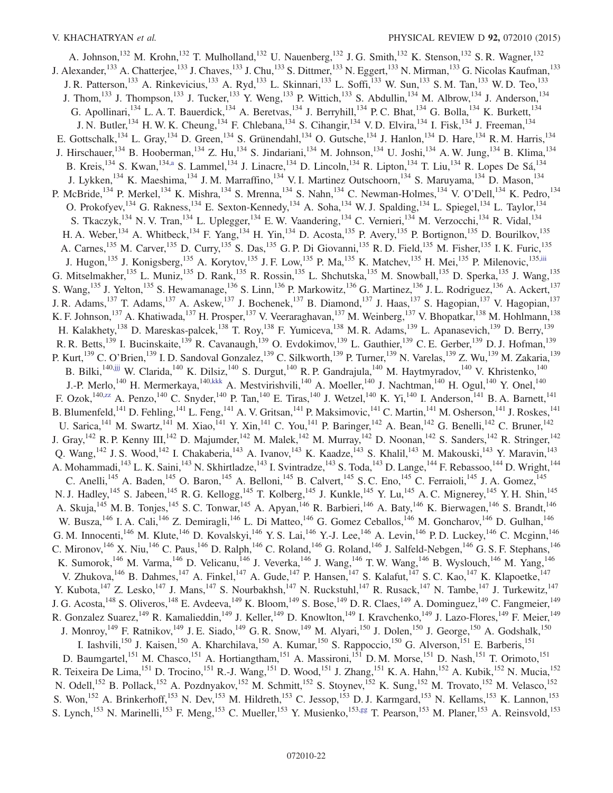<span id="page-21-2"></span><span id="page-21-1"></span><span id="page-21-0"></span>A. Johnson,<sup>132</sup> M. Krohn,<sup>132</sup> T. Mulholland,<sup>132</sup> U. Nauenberg,<sup>132</sup> J. G. Smith,<sup>132</sup> K. Stenson,<sup>132</sup> S. R. Wagner,<sup>132</sup> J. Alexander,<sup>133</sup> A. Chatterjee,<sup>133</sup> J. Chaves,<sup>133</sup> J. Chu,<sup>133</sup> S. Dittmer,<sup>133</sup> N. Eggert,<sup>133</sup> N. Mirman,<sup>133</sup> G. Nicolas Kaufman,<sup>133</sup> J. R. Patterson,<sup>133</sup> A. Rinkevicius,<sup>133</sup> A. Ryd,<sup>133</sup> L. Skinnari,<sup>133</sup> L. Soffi,<sup>133</sup> W. Sun,<sup>133</sup> S. M. Tan,<sup>133</sup> W. D. Teo,<sup>133</sup> J. Thom,<sup>133</sup> J. Thompson,<sup>133</sup> J. Tucker,<sup>133</sup> Y. Weng,<sup>133</sup> P. Wittich,<sup>133</sup> S. Abdullin,<sup>134</sup> M. Albrow,<sup>134</sup> J. Anderson,<sup>134</sup> G. Apollinari,  $134$  L. A. T. Bauerdick,  $134$  A. Beretvas,  $134$  J. Berryhill,  $134$  P. C. Bhat,  $134$  G. Bolla,  $134$  K. Burkett,  $134$ J. N. Butler,<sup>134</sup> H. W. K. Cheung,<sup>134</sup> F. Chlebana,<sup>134</sup> S. Cihangir,<sup>134</sup> V. D. Elvira,<sup>134</sup> I. Fisk,<sup>134</sup> J. Freeman,<sup>134</sup> E. Gottschalk,<sup>134</sup> L. Gray,<sup>134</sup> D. Green,<sup>134</sup> S. Grünendahl,<sup>134</sup> O. Gutsche,<sup>134</sup> J. Hanlon,<sup>134</sup> D. Hare,<sup>134</sup> R. M. Harris,<sup>134</sup> J. Hirschauer,<sup>134</sup> B. Hooberman,<sup>134</sup> Z. Hu,<sup>134</sup> S. Jindariani,<sup>134</sup> M. Johnson,<sup>134</sup> U. Joshi,<sup>134</sup> A. W. Jung,<sup>134</sup> B. Klima,<sup>134</sup> B. Kreis,  $^{134}$  S. Kwan,  $^{134, a}$  S. Lammel,  $^{134}$  J. Linacre,  $^{134}$  D. Lincoln,  $^{134}$  R. Lipton,  $^{134}$  T. Liu,  $^{134}$  R. Lopes De Sá,  $^{134}$ J. Lykken,<sup>134</sup> K. Maeshima,<sup>134</sup> J. M. Marraffino,<sup>134</sup> V. I. Martinez Outschoorn,<sup>134</sup> S. Maruyama,<sup>134</sup> D. Mason,<sup>134</sup> P. McBride,<sup>134</sup> P. Merkel,<sup>134</sup> K. Mishra,<sup>134</sup> S. Mrenna,<sup>134</sup> S. Nahn,<sup>134</sup> C. Newman-Holmes,<sup>134</sup> V. O'Dell,<sup>134</sup> K. Pedro,<sup>134</sup> O. Prokofyev,<sup>134</sup> G. Rakness,<sup>134</sup> E. Sexton-Kennedy,<sup>134</sup> A. Soha,<sup>134</sup> W. J. Spalding,<sup>134</sup> L. Spiegel,<sup>134</sup> L. Taylor,<sup>134</sup> S. Tkaczyk,<sup>134</sup> N. V. Tran,<sup>134</sup> L. Uplegger,<sup>134</sup> E. W. Vaandering,<sup>134</sup> C. Vernieri,<sup>134</sup> M. Verzocchi,<sup>134</sup> R. Vidal,<sup>134</sup> H. A. Weber,<sup>134</sup> A. Whitbeck,<sup>134</sup> F. Yang,<sup>134</sup> H. Yin,<sup>134</sup> D. Acosta,<sup>135</sup> P. Avery,<sup>135</sup> P. Bortignon,<sup>135</sup> D. Bourilkov,<sup>135</sup> A. Carnes,<sup>135</sup> M. Carver,<sup>135</sup> D. Curry,<sup>135</sup> S. Das,<sup>135</sup> G. P. Di Giovanni,<sup>135</sup> R. D. Field,<sup>135</sup> M. Fisher,<sup>135</sup> I. K. Furic,<sup>135</sup> J. Hugon,<sup>135</sup> J. Konigsberg,<sup>135</sup> A. Korytov,<sup>135</sup> J. F. Low,<sup>135</sup> P. Ma,<sup>135</sup> K. Matchev,<sup>135</sup> H. Mei,<sup>135</sup> P. Milenovic,<sup>135[,iii](#page-27-0)</sup> G. Mitselmakher,<sup>135</sup> L. Muniz,<sup>135</sup> D. Rank,<sup>135</sup> R. Rossin,<sup>135</sup> L. Shchutska,<sup>135</sup> M. Snowball,<sup>135</sup> D. Sperka,<sup>135</sup> J. Wang,<sup>135</sup> S. Wang,  $^{135}$  J. Yelton,  $^{135}$  S. Hewamanage,  $^{136}$  S. Linn,  $^{136}$  P. Markowitz,  $^{136}$  G. Martinez,  $^{136}$  J. L. Rodriguez,  $^{136}$  A. Ackert,  $^{137}$ J. R. Adams,<sup>137</sup> T. Adams,<sup>137</sup> A. Askew,<sup>137</sup> J. Bochenek,<sup>137</sup> B. Diamond,<sup>137</sup> J. Haas,<sup>137</sup> S. Hagopian,<sup>137</sup> V. Hagopian,<sup>137</sup> K. F. Johnson,<sup>137</sup> A. Khatiwada,<sup>137</sup> H. Prosper,<sup>137</sup> V. Veeraraghavan,<sup>137</sup> M. Weinberg,<sup>137</sup> V. Bhopatkar,<sup>138</sup> M. Hohlmann,<sup>138</sup> H. Kalakhety,<sup>138</sup> D. Mareskas-palcek,<sup>138</sup> T. Roy,<sup>138</sup> F. Yumiceva,<sup>138</sup> M. R. Adams,<sup>139</sup> L. Apanasevich,<sup>139</sup> D. Berry,<sup>139</sup> R. R. Betts,<sup>139</sup> I. Bucinskaite,<sup>139</sup> R. Cavanaugh,<sup>139</sup> O. Evdokimov,<sup>139</sup> L. Gauthier,<sup>139</sup> C. E. Gerber,<sup>139</sup> D. J. Hofman,<sup>139</sup> P. Kurt,<sup>139</sup> C. O'Brien,<sup>139</sup> I. D. Sandoval Gonzalez,<sup>139</sup> C. Silkworth,<sup>139</sup> P. Turner,<sup>139</sup> N. Varelas,<sup>139</sup> Z. Wu,<sup>139</sup> M. Zakaria,<sup>139</sup> B. Bilki, $^{140}$ [,jjj](#page-27-1) W. Clarida, $^{140}$  K. Dilsiz, $^{140}$  S. Durgut, $^{140}$  R. P. Gandrajula, $^{140}$  M. Haytmyradov, $^{140}$  V. Khristenko, $^{140}$ J.-P. Merlo,<sup>140</sup> H. Mermerkaya,<sup>140[,kkk](#page-27-2)</sup> A. Mestvirishvili,<sup>140</sup> A. Moeller,<sup>140</sup> J. Nachtman,<sup>140</sup> H. Ogul,<sup>140</sup> Y. Onel,<sup>140</sup> F. Ozok,<sup>140[,zz](#page-26-46)</sup> A. Penzo,<sup>140</sup> C. Snyder,<sup>140</sup> P. Tan,<sup>140</sup> E. Tiras,<sup>140</sup> J. Wetzel,<sup>140</sup> K. Yi,<sup>140</sup> I. Anderson,<sup>141</sup> B. A. Barnett,<sup>141</sup> B. Blumenfeld,<sup>141</sup> D. Fehling,<sup>141</sup> L. Feng,<sup>141</sup> A. V. Gritsan,<sup>141</sup> P. Maksimovic,<sup>141</sup> C. Martin,<sup>141</sup> M. Osherson,<sup>141</sup> J. Roskes,<sup>141</sup> U. Sarica,<sup>141</sup> M. Swartz,<sup>141</sup> M. Xiao,<sup>141</sup> Y. Xin,<sup>141</sup> C. You,<sup>141</sup> P. Baringer,<sup>142</sup> A. Bean,<sup>142</sup> G. Benelli,<sup>142</sup> C. Bruner,<sup>142</sup> J. Gray,<sup>142</sup> R. P. Kenny III,<sup>142</sup> D. Majumder,<sup>142</sup> M. Malek,<sup>142</sup> M. Murray,<sup>142</sup> D. Noonan,<sup>142</sup> S. Sanders,<sup>142</sup> R. Stringer,<sup>142</sup> Q. Wang, <sup>142</sup> J. S. Wood, <sup>142</sup> I. Chakaberia, <sup>143</sup> A. Ivanov, <sup>143</sup> K. Kaadze, <sup>143</sup> S. Khalil, <sup>143</sup> M. Makouski, <sup>143</sup> Y. Maravin, <sup>143</sup> A. Mohammadi,<sup>143</sup> L. K. Saini,<sup>143</sup> N. Skhirtladze,<sup>143</sup> I. Svintradze,<sup>143</sup> S. Toda,<sup>143</sup> D. Lange,<sup>144</sup> F. Rebassoo,<sup>144</sup> D. Wright,<sup>144</sup> C. Anelli,<sup>145</sup> A. Baden,<sup>145</sup> O. Baron,<sup>145</sup> A. Belloni,<sup>145</sup> B. Calvert,<sup>145</sup> S. C. Eno,<sup>145</sup> C. Ferraioli,<sup>145</sup> J. A. Gomez,<sup>145</sup> N. J. Hadley,<sup>145</sup> S. Jabeen,<sup>145</sup> R. G. Kellogg,<sup>145</sup> T. Kolberg,<sup>145</sup> J. Kunkle,<sup>145</sup> Y. Lu,<sup>145</sup> A. C. Mignerey,<sup>145</sup> Y. H. Shin,<sup>145</sup> A. Skuja,  $^{145}$  M. B. Tonjes,  $^{145}$  S. C. Tonwar,  $^{145}$  A. Apyan,  $^{146}$  R. Barbieri,  $^{146}$  A. Baty,  $^{146}$  K. Bierwagen,  $^{146}$  S. Brandt,  $^{146}$ W. Busza,<sup>146</sup> I. A. Cali,<sup>146</sup> Z. Demiragli,<sup>146</sup> L. Di Matteo,<sup>146</sup> G. Gomez Ceballos,<sup>146</sup> M. Goncharov,<sup>146</sup> D. Gulhan,<sup>146</sup> G. M. Innocenti,  $^{146}$  M. Klute,  $^{146}$  D. Kovalskyi,  $^{146}$  Y. S. Lai,  $^{146}$  Y.-J. Lee,  $^{146}$  A. Levin,  $^{146}$  P. D. Luckey,  $^{146}$  C. Mcginn,  $^{146}$ C. Mironov,  $^{146}$  X. Niu,  $^{146}$  C. Paus,  $^{146}$  D. Ralph,  $^{146}$  C. Roland,  $^{146}$  G. Roland,  $^{146}$  J. Salfeld-Nebgen,  $^{146}$  G. S. F. Stephans,  $^{146}$ K. Sumorok,<sup>146</sup> M. Varma,<sup>146</sup> D. Velicanu,<sup>146</sup> J. Veverka,<sup>146</sup> J. Wang,<sup>146</sup> T. W. Wang,<sup>146</sup> B. Wyslouch,<sup>146</sup> M. Yang,<sup>146</sup> V. Zhukova,<sup>146</sup> B. Dahmes,<sup>147</sup> A. Finkel,<sup>147</sup> A. Gude,<sup>147</sup> P. Hansen,<sup>147</sup> S. Kalafut,<sup>147</sup> S. C. Kao,<sup>147</sup> K. Klapoetke,<sup>147</sup> Y. Kubota,<sup>147</sup> Z. Lesko,<sup>147</sup> J. Mans,<sup>147</sup> S. Nourbakhsh,<sup>147</sup> N. Ruckstuhl,<sup>147</sup> R. Rusack,<sup>147</sup> N. Tambe,<sup>147</sup> J. Turkewitz,<sup>147</sup> J. G. Acosta,<sup>148</sup> S. Oliveros,<sup>148</sup> E. Avdeeva,<sup>149</sup> K. Bloom,<sup>149</sup> S. Bose,<sup>149</sup> D. R. Claes,<sup>149</sup> A. Dominguez,<sup>149</sup> C. Fangmeier,<sup>149</sup> R. Gonzalez Suarez,<sup>149</sup> R. Kamalieddin,<sup>149</sup> J. Keller,<sup>149</sup> D. Knowlton,<sup>149</sup> I. Kravchenko,<sup>149</sup> J. Lazo-Flores,<sup>149</sup> F. Meier,<sup>149</sup> J. Monroy,<sup>149</sup> F. Ratnikov,<sup>149</sup> J. E. Siado,<sup>149</sup> G. R. Snow,<sup>149</sup> M. Alyari,<sup>150</sup> J. Dolen,<sup>150</sup> J. George,<sup>150</sup> A. Godshalk,<sup>150</sup> I. Iashvili,<sup>150</sup> J. Kaisen,<sup>150</sup> A. Kharchilava,<sup>150</sup> A. Kumar,<sup>150</sup> S. Rappoccio,<sup>150</sup> G. Alverson,<sup>151</sup> E. Barberis,<sup>151</sup> D. Baumgartel,<sup>151</sup> M. Chasco,<sup>151</sup> A. Hortiangtham,<sup>151</sup> A. Massironi,<sup>151</sup> D. M. Morse,<sup>151</sup> D. Nash,<sup>151</sup> T. Orimoto,<sup>151</sup> R. Teixeira De Lima, <sup>151</sup> D. Trocino, <sup>151</sup> R.-J. Wang, <sup>151</sup> D. Wood, <sup>151</sup> J. Zhang, <sup>151</sup> K. A. Hahn, <sup>152</sup> A. Kubik, <sup>152</sup> N. Mucia, <sup>152</sup> N. Odell,<sup>152</sup> B. Pollack,<sup>152</sup> A. Pozdnyakov,<sup>152</sup> M. Schmitt,<sup>152</sup> S. Stoynev,<sup>152</sup> K. Sung,<sup>152</sup> M. Trovato,<sup>152</sup> M. Velasco,<sup>152</sup> S. Won,<sup>152</sup> A. Brinkerhoff,<sup>153</sup> N. Dev,<sup>153</sup> M. Hildreth,<sup>153</sup> C. Jessop,<sup>153</sup> D. J. Karmgard,<sup>153</sup> N. Kellams,<sup>153</sup> K. Lannon,<sup>153</sup> S. Lynch,<sup>153</sup> N. Marinelli,<sup>153</sup> F. Meng,<sup>153</sup> C. Mueller,<sup>153</sup> Y. Musienko,<sup>15[3,gg](#page-26-27)</sup> T. Pearson,<sup>153</sup> M. Planer,<sup>153</sup> A. Reinsvold,<sup>153</sup>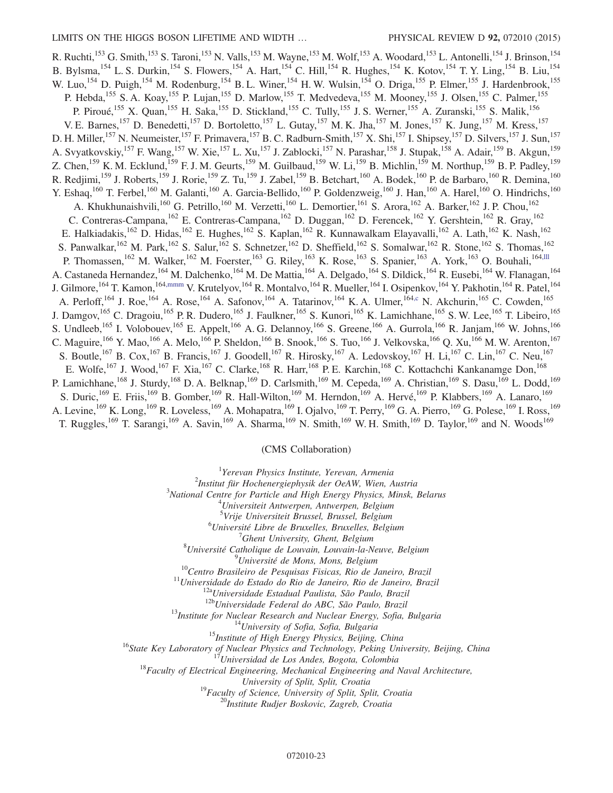<span id="page-22-1"></span><span id="page-22-0"></span>R. Ruchti,<sup>153</sup> G. Smith,<sup>153</sup> S. Taroni,<sup>153</sup> N. Valls,<sup>153</sup> M. Wayne,<sup>153</sup> M. Wolf,<sup>153</sup> A. Woodard,<sup>153</sup> L. Antonelli,<sup>154</sup> J. Brinson,<sup>154</sup> B. Bylsma,  $^{154}$  L. S. Durkin,  $^{154}$  S. Flowers,  $^{154}$  A. Hart,  $^{154}$  C. Hill,  $^{154}$  R. Hughes,  $^{154}$  K. Kotov,  $^{154}$  T. Y. Ling,  $^{154}$  B. Liu,  $^{154}$ W. Luo,<sup>154</sup> D. Puigh,<sup>154</sup> M. Rodenburg,<sup>154</sup> B. L. Winer,<sup>154</sup> H. W. Wulsin,<sup>154</sup> O. Driga,<sup>155</sup> P. Elmer,<sup>155</sup> J. Hardenbrook,<sup>155</sup> P. Hebda,<sup>155</sup> S. A. Koay,<sup>155</sup> P. Lujan,<sup>155</sup> D. Marlow,<sup>155</sup> T. Medvedeva,<sup>155</sup> M. Mooney,<sup>155</sup> J. Olsen,<sup>155</sup> C. Palmer,<sup>155</sup> P. Piroué,<sup>155</sup> X. Quan,<sup>155</sup> H. Saka,<sup>155</sup> D. Stickland,<sup>155</sup> C. Tully,<sup>155</sup> J. S. Werner,<sup>155</sup> A. Zuranski,<sup>155</sup> S. Malik,<sup>156</sup> V. E. Barnes,<sup>157</sup> D. Benedetti,<sup>157</sup> D. Bortoletto,<sup>157</sup> L. Gutay,<sup>157</sup> M. K. Jha,<sup>157</sup> M. Jones,<sup>157</sup> K. Jung,<sup>157</sup> M. Kress,<sup>157</sup> D. H. Miller,<sup>157</sup> N. Neumeister,<sup>157</sup> F. Primavera, <sup>157</sup> B. C. Radburn-Smith, <sup>157</sup> X. Shi, <sup>157</sup> I. Shipsey, <sup>157</sup> D. Silvers, <sup>157</sup> J. Sun, <sup>157</sup> A. Svyatkovskiy, <sup>157</sup> F. Wang, <sup>157</sup> W. Xie, <sup>157</sup> L. Xu, <sup>157</sup> J. Zablocki, <sup>157</sup> N. Parashar, <sup>158</sup> J. Stupak, <sup>158</sup> A. Adair, <sup>159</sup> B. Akgun, <sup>159</sup> Z. Chen,<sup>159</sup> K. M. Ecklund,<sup>159</sup> F. J. M. Geurts,<sup>159</sup> M. Guilbaud,<sup>159</sup> W. Li,<sup>159</sup> B. Michlin,<sup>159</sup> M. Northup,<sup>159</sup> B. P. Padley,<sup>159</sup> R. Redjimi,<sup>159</sup> J. Roberts,<sup>159</sup> J. Rorie,<sup>159</sup> Z. Tu,<sup>159</sup> J. Zabel,<sup>159</sup> B. Betchart,<sup>160</sup> A. Bodek,<sup>160</sup> P. de Barbaro,<sup>160</sup> R. Demina,<sup>160</sup> Y. Eshaq,  $^{160}$  T. Ferbel,  $^{160}$  M. Galanti,  $^{160}$  A. Garcia-Bellido,  $^{160}$  P. Goldenzweig,  $^{160}$  J. Han,  $^{160}$  A. Harel,  $^{160}$  O. Hindrichs,  $^{160}$ A. Khukhunaishvili,<sup>160</sup> G. Petrillo,<sup>160</sup> M. Verzetti,<sup>160</sup> L. Demortier,<sup>161</sup> S. Arora,<sup>162</sup> A. Barker,<sup>162</sup> J. P. Chou,<sup>162</sup> C. Contreras-Campana,<sup>162</sup> E. Contreras-Campana,<sup>162</sup> D. Duggan,<sup>162</sup> D. Ferencek,<sup>162</sup> Y. Gershtein,<sup>162</sup> R. Gray,<sup>162</sup> E. Halkiadakis,<sup>162</sup> D. Hidas,<sup>162</sup> E. Hughes,<sup>162</sup> S. Kaplan,<sup>162</sup> R. Kunnawalkam Elayavalli,<sup>162</sup> A. Lath,<sup>162</sup> K. Nash,<sup>162</sup> S. Panwalkar, <sup>162</sup> M. Park, <sup>162</sup> S. Salur, <sup>162</sup> S. Schnetzer, <sup>162</sup> D. Sheffield, <sup>162</sup> S. Somalwar, <sup>162</sup> R. Stone, <sup>162</sup> S. Thomas, <sup>162</sup> P. Thomassen,<sup>162</sup> M. Walker,<sup>162</sup> M. Foerster,<sup>163</sup> G. Riley,<sup>163</sup> K. Rose,<sup>163</sup> S. Spanier,<sup>163</sup> A. York,<sup>163</sup> O. Bouhali,<sup>164,111</sup> A. Castaneda Hernandez,<sup>164</sup> M. Dalchenko,<sup>164</sup> M. De Mattia,<sup>164</sup> A. Delgado,<sup>164</sup> S. Dildick,<sup>164</sup> R. Eusebi,<sup>164</sup> W. Flanagan,<sup>164</sup> J. Gilmore, <sup>164</sup> T. Kamon, <sup>164[,mmm](#page-27-4)</sup> V. Krutelyov, <sup>164</sup> R. Montalvo, <sup>164</sup> R. Mueller, <sup>164</sup> I. Osipenkov, <sup>164</sup> Y. Pakhotin, <sup>164</sup> R. Patel, <sup>164</sup> A. Perloff,<sup>164</sup> J. Roe,<sup>164</sup> A. Rose,<sup>164</sup> A. Safonov,<sup>164</sup> A. Tatarinov,<sup>164</sup> K. A. Ulmer,<sup>16[4,c](#page-25-1)</sup> N. Akchurin,<sup>165</sup> C. Cowden,<sup>165</sup> J. Damgov,<sup>165</sup> C. Dragoiu,<sup>165</sup> P. R. Dudero,<sup>165</sup> J. Faulkner,<sup>165</sup> S. Kunori,<sup>165</sup> K. Lamichhane,<sup>165</sup> S. W. Lee,<sup>165</sup> T. Libeiro,<sup>165</sup> S. Undleeb, <sup>165</sup> I. Volobouev, <sup>165</sup> E. Appelt, <sup>166</sup> A. G. Delannoy, <sup>166</sup> S. Greene, <sup>166</sup> A. Gurrola, <sup>166</sup> R. Janjam, <sup>166</sup> W. Johns, <sup>166</sup> C. Maguire,  $^{166}$  Y. Mao,  $^{166}$  A. Melo,  $^{166}$  P. Sheldon,  $^{166}$  B. Snook,  $^{166}$  S. Tuo,  $^{166}$  J. Velkovska,  $^{166}$  Q. Xu,  $^{166}$  M. W. Arenton,  $^{167}$ S. Boutle,<sup>167</sup> B. Cox,<sup>167</sup> B. Francis,<sup>167</sup> J. Goodell,<sup>167</sup> R. Hirosky,<sup>167</sup> A. Ledovskoy,<sup>167</sup> H. Li,<sup>167</sup> C. Lin,<sup>167</sup> C. Neu,<sup>167</sup> E. Wolfe,<sup>167</sup> J. Wood,<sup>167</sup> F. Xia,<sup>167</sup> C. Clarke,<sup>168</sup> R. Harr,<sup>168</sup> P. E. Karchin,<sup>168</sup> C. Kottachchi Kankanamge Don,<sup>168</sup> P. Lamichhane,<sup>168</sup> J. Sturdy,<sup>168</sup> D. A. Belknap,<sup>169</sup> D. Carlsmith,<sup>169</sup> M. Cepeda,<sup>169</sup> A. Christian,<sup>169</sup> S. Dasu,<sup>169</sup> L. Dodd,<sup>169</sup> S. Duric,<sup>169</sup> E. Friis,<sup>169</sup> B. Gomber,<sup>169</sup> R. Hall-Wilton,<sup>169</sup> M. Herndon,<sup>169</sup> A. Hervé,<sup>169</sup> P. Klabbers,<sup>169</sup> A. Lanaro,<sup>169</sup> A. Levine,<sup>169</sup> K. Long,<sup>169</sup> R. Loveless,<sup>169</sup> A. Mohapatra,<sup>169</sup> I. Ojalvo,<sup>169</sup> T. Perry,<sup>169</sup> G. A. Pierro,<sup>169</sup> G. Polese,<sup>169</sup> I. Ross,<sup>169</sup> T. Ruggles,<sup>169</sup> T. Sarangi,<sup>169</sup> A. Savin,<sup>169</sup> A. Sharma,<sup>169</sup> N. Smith,<sup>169</sup> W. H. Smith,<sup>169</sup> D. Taylor,<sup>169</sup> and N. Woods<sup>169</sup>

#### (CMS Collaboration)

<sup>1</sup>Yerevan Physics Institute, Yerevan, Armenia<sup>2</sup>Institute *Servan Physics Institute*, *New Ocal W. Wign A* 

 $\mu$ <sup>2</sup>Institut für Hochenergiephysik der OeAW, Wien, Austria

 $3$ National Centre for Particle and High Energy Physics, Minsk, Belarus

 $^{4}$ Universiteit Antwerpen, Antwerpen, Belgium

<sup>5</sup>Vrije Universiteit Brussel, Brussel, Belgium<br><sup>6</sup>Université Libre de Pruxelles, Pruxelles, Belgium

<sup>6</sup>Université Libre de Bruxelles, Bruxelles, Belgium

 $^7$ Ghent University, Ghent, Belgium

 ${}^8$ Université Catholique de Louvain, Louvain-la-Neuve, Belgium  ${}^9$ Université de Mons, Mons, Belgium

<sup>10</sup>Centro Brasileiro de Pesquisas Fisicas, Rio de Janeiro, Brazil<br><sup>11</sup>Universidade do Estado do Rio de Janeiro, Rio de Janeiro, Brazil<br><sup>12</sup>Universidade Estadual Paulista, São Paulo, Brazil<br><sup>12</sup>Universidade Federal do ABC

University of Split, Split, Croatia <sup>19</sup>Faculty of Science, University of Split, Split, Croatia <sup>20</sup>Institute Rudjer Boskovic, Zagreb, Croatia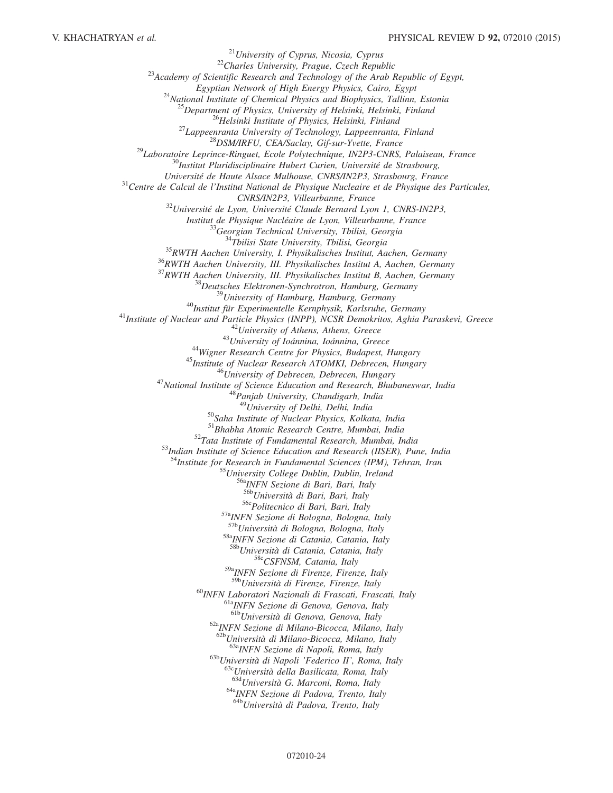<sup>21</sup>University of Cyprus, Nicosia, Cyprus<br><sup>22</sup>Charles University, Prague, Czech Republic<br><sup>23</sup>Academy of Scientific Research and Technology of the Arab Republic of Egypt,<br>Egyptian Network of High Energy Physics, Cairo, Egy <sup>24</sup>National Institute of Chemical Physics and Biophysics, Tallinn, Estonia<br><sup>25</sup>Department of Physics, University of Helsinki, Helsinki, Finland<br><sup>26</sup>Helsinki Institute of Physics, Helsinki, Finland<br><sup>27</sup>Lappeenranta Univer Université de Haute Alsace Mulhouse, CNRS/IN2P3, Strasbourg, France<br><sup>31</sup>Centre de Calcul de l'Institut National de Physique Nucleaire et de Physique des Particules,  $CNRS/IN2P3$ , Villeurbanne, France<br><sup>32</sup>Université de Lyon, Université Claude Bernard Lyon 1, CNRS-IN2P3, Institut de Physique Nucléaire de Lyon, Villeurbanne, France<br>
<sup>33</sup>Georgian Technical University, Tbilisi, Georgia<br>
<sup>34</sup>Tbilisi State University, Tbilisi, Georgia<br>
<sup>35</sup>RWTH Aachen University, II. Physikalisches Institut, Aa <sup>37</sup>RWTH Aachen University, III. Physikalisches Institut B, Aachen, Germany <sup>38</sup>Deutsches Elektronen-Synchrotron, Hamburg, Germany <sup>39</sup>University of Hamburg, Hamburg, Germany <sup>40</sup>Institut für Experimentelle Kernphysik, Karlsruhe, Germany <sup>41</sup>Institute of Nuclear and Particle Physics (INPP), NCSR Demokritos, Aghia Paraskevi, Greece <sup>42</sup>University of Athens, Athens, Greece <sup>43</sup>University of Ioánnina, Ioánnina, Greece <sup>44</sup>Wigner Research Centre for Physics, Budapest, Hungary <sup>45</sup>Institute of Nuclear Research ATOMKI, Debrecen, Hungary <sup>46</sup>University of Debrecen, Debrecen, Hungary <sup>47</sup>National Institute of Science Education and Research, Bhubaneswar, India <sup>48</sup>Panjab University, Chandigarh, India <sup>48</sup>Panjab University, Chandigarh, India<br><sup>49</sup>University of Delhi, Delhi, India<br><sup>50</sup>Saha Institute of Nuclear Physics, Kolkata, India<br><sup>51</sup>Bhabha Atomic Research Centre, Mumbai, India  $52$ Tata Institute of Fundamental Research, Mumbai, India  $53$ Indian Institute of Science Education and Research (IISER), Pune, India Frantitute for Research in Fundamental Sciences (IPM), Tehran, Iran 55 University College Dublin, Dublin, Ireland 56h Università di Bari, Bari, Italy 56b Università di Bari, Bari, Italy <sup>56</sup><sup>6</sup>Politecnico di Bari, Bari, Italy<br><sup>57a</sup>INFN Sezione di Bologna, Bologna, Italy<br><sup>57b</sup>Università di Bologna, Bologna, Italy 58a<sub>INFN</sub> Sezione di Catania, Catania, Italy <sup>58b</sup>Università di Catania, Catania, Italy<br><sup>58c</sup>CSFNSM, Catania, Italy <sup>59a</sup>INFN Sezione di Firenze, Firenze, Italy<br><sup>59b</sup>Università di Firenze, Firenze, Italy <sup>60</sup>INFN Laboratori Nazionali di Frascati, Frascati, Italy <sup>61a</sup>INFN Sezione di Genova, Genova, Italy <sup>61b</sup>Università di Genova, Genova, Italy 62a<sub>INFN</sub> Sezione di Milano-Bicocca, Milano, Italy  $^{62b}$ Università di Milano-Bicocca, Milano, Italy<br> $^{63a}$ INFN Sezione di Napoli, Roma, Italy <sup>63b</sup>Università di Napoli 'Federico II', Roma, Italy <sup>63c</sup>Università della Basilicata, Roma, Italy <sup>63d</sup>Università G. Marconi, Roma, Italy <sup>64a</sup>INFN Sezione di Padova, Trento, Italy

64bUniversità di Padova, Trento, Italy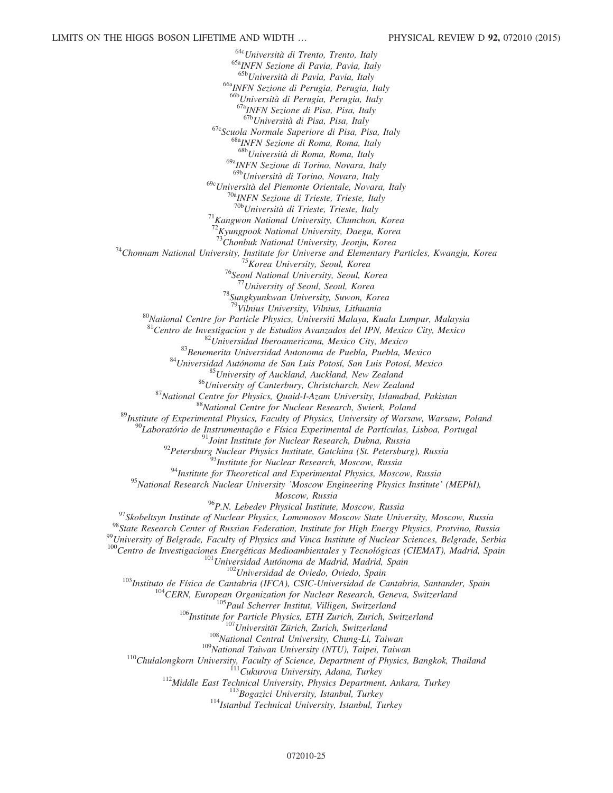<sup>64c</sup>Università di Trento, Trento, Italy<br><sup>65a</sup>INFN Sezione di Pavia, Pavia, Italy<br><sup>65b</sup>Università di Pavia, Pavia, Italy <sup>66a</sup>INFN Sezione di Perugia, Perugia, Italy <sup>66b</sup>Università di Perugia, Perugia, Italy  $^{67a}$ INFN Sezione di Pisa, Pisa, Italy<br> $^{67b}$ Università di Pisa, Pisa, Italy <sup>67c</sup>Scuola Normale Superiore di Pisa, Pisa, Italy 68<sup>a</sup>INFN Sezione di Roma, Roma, Italy 68bUniversità di Roma, Roma, Italy 69aINFN Sezione di Torino, Novara, Italy <sup>69b</sup>Università di Torino, Novara, Italy <sup>69c</sup>Università del Piemonte Orientale, Novara, Italy<br><sup>70a</sup>INFN Sezione di Trieste, Trieste, Italy<br><sup>70b</sup>Università di Trieste, Trieste, Italy  $17^1$ Kangwon National University, Chunchon, Korea  $^{72}$ Kyungpook National University, Daegu, Korea<br> $^{73}$ Chonbuk National University, Jeonju, Korea <sup>74</sup>Chonnam National University, Justitute for Universe and Elementary Particles, Kwangju, Korea <sup>75</sup>Korea University, Seoul, Korea 7<sup>76</sup>Seoul National University, Seoul, Korea 77<sup>6</sup> University of Seoul, Seoul, Korea *77* <sup>78</sup>Sungkyunkwan University, Suwon, Korea <sup>79</sup>Vilnius University, Vilnius, Lithuania <sup>80</sup>National Centre for Particle Physics, Universiti Malaya, Kuala Lumpur, Malaysia<br><sup>81</sup>Centro de Investigacion y de Estudios Avanzados del IPN, Mexico City, Mexico <sup>82</sup>Universidad Iberoamericana, Mexico City, Mexico<br><sup>83</sup>Benemerita Universidad Autonoma de Puebla, Puebla, Mexico<br><sup>84</sup>Universidad Autónoma de San Luis Potosí, San Luis Potosí, Mexico<br><sup>85</sup>University of Auckland, Auckland, <sup>95</sup>National Research Nuclear University 'Moscow Engineering Physics Institute' (MEPhI), Moscow, Russia<br><sup>96</sup>P.N. Lebedev Physical Institute, Moscow, Russia <sup>97</sup>Skobeltsyn Institute of Nuclear Physics, Lomonosov Moscow State University, Moscow, Russia<br><sup>98</sup>State Research Center of Russian Federation, Institute for High Energy Physics, Protvino, Russia<br><sup>99</sup>University of Belgrad <sup>103</sup>Instituto de Física de Cantabria (1FCA), CSIC-Universidad de Cantabria, Spain<br><sup>103</sup>Instituto de Física de Cantabria (IFCA), CSIC-Universidad de Cantabria, Santander, Spain<br><sup>103</sup>CERN, European Organization for Nuclear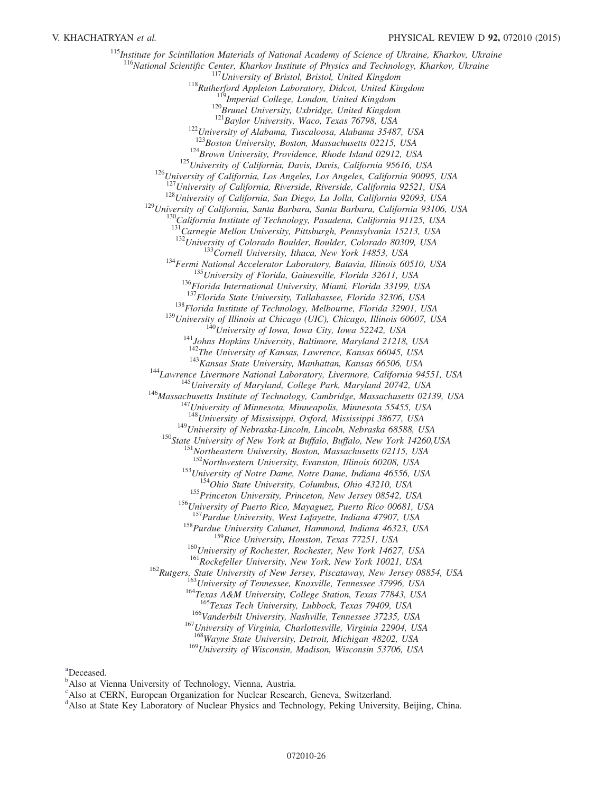<sup>115</sup> Institute for Scintillation Materials of National Academy of Science of Ukraine, Kharkov, Ukraine <sup>116</sup>National Scientific Center, Kharkov Institute of Physics and Technology, Kharkov, Ukraine<br><sup>117</sup>University of Bristol, Bristol, United Kingdom<br><sup>118</sup>Rutherford Appleton Laboratory, Didcot, United Kingdom<br><sup>119</sup>Imperial <sup>124</sup>Brown University, Providence, Rhode Island 02912, USA<br><sup>125</sup>University of California, Davis, Davis, California 95616, USA<br><sup>126</sup>University of California, Los Angeles, Los Angeles, California 90095, USA<br><sup>127</sup>University <sup>128</sup>University of California, San Diego, La Jolla, California 92093, USA<br><sup>129</sup>University of California, Santa Barbara, Santa Barbara, California 93106, USA<br><sup>130</sup>California Institute of Technology, Pasadena, California 91  $^{131}$ Carnegie Mellon University, Pittsburgh, Pennsylvania 15213, USA<br> $^{132}$ University of Colorado Boulder, Boulder, Colorado 80309, USA <sup>133</sup>Cornell University, Ithaca, New York 14853, USA<br><sup>134</sup>Fermi National Accelerator Laboratory, Batavia, Illinois 60510, USA<br><sup>135</sup>University of Florida, Gainesville, Florida 32611, USA<br><sup>136</sup>Florida International Universi <sup>138</sup>Florida Institute of Technology, Melbourne, Florida 32901, USA<br><sup>139</sup>University of Illinois at Chicago (UIC), Chicago, Illinois 60607, USA<br><sup>140</sup>University of Iowa, Iowa City, Iowa 52242, USA<br><sup>141</sup>Johns Hopkins Univers <sup>143</sup> Kansas State University, Manhattan, Kansas 66506, USA<br><sup>144</sup> Lawrence Livermore National Laboratory, Livermore, California 94551, USA<br><sup>145</sup> University of Maryland, College Park, Maryland 20742, USA<br><sup>146</sup> Massachusett  $^{149}$ University of Nebraska-Lincoln, Lincoln, Nebraska 68588, USA<br> $^{150}$ State University of New York at Buffalo, Buffalo, New York 14260, USA<br> $^{151}$ Northeastern University, Boston, Massachusetts 02115, USA<br> $^{151}$ Nort <sup>153</sup>University of Notre Dame, Notre Dame, Indiana 46556, USA<br><sup>154</sup>Ohio State University, Columbus, Ohio 43210, USA<br><sup>155</sup>Princeton University, Princeton, New Jersey 08542, USA<br><sup>156</sup>University of Puerto Rico, Mayaguez, Pue <sup>158</sup>Purdue University Calumet, Hammond, Indiana 46323, USA<br><sup>159</sup>Rice University, Houston, Texas 77251, USA <sup>160</sup>University of Rochester, Rochester, New York 14627, USA<br><sup>161</sup>Rockefeller University, New York, New York 10021, USA<br><sup>162</sup>Rutgers, State University of New Jersey, Piscataway, New Jersey 08854, USA<br><sup>163</sup>University of Te <sup>165</sup>Texas Tech University, Lubbock, Texas 79409, USA<br><sup>166</sup>Vanderbilt University, Nashville, Tennessee 37235, USA<br><sup>167</sup>University of Virginia, Charlottesville, Virginia 22904, USA <sup>168</sup>Wayne State University, Detroit, Michigan 48202, USA

<sup>169</sup>University of Wisconsin, Madison, Wisconsin 53706, USA

<span id="page-25-3"></span><sup>[a](#page-16-8)</sup>Deceased.

<span id="page-25-0"></span><sup>&</sup>lt;sup>[b](#page-16-9)</sup>Also at Vienna University of Technology, Vienna, Austria.

<span id="page-25-1"></span><sup>&</sup>lt;sup>[c](#page-16-10)</sup>Also at CERN, European Organization for Nuclear Research, Geneva, Switzerland.

<span id="page-25-2"></span><sup>&</sup>lt;sup>[d](#page-16-11)</sup>Also at State Key Laboratory of Nuclear Physics and Technology, Peking University, Beijing, China.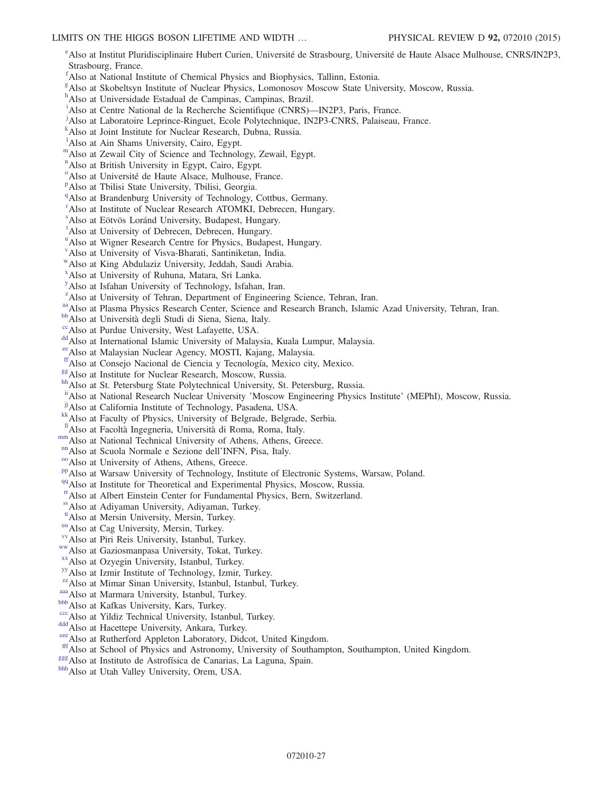<span id="page-26-0"></span>[e](#page-16-12) Also at Institut Pluridisciplinaire Hubert Curien, Université de Strasbourg, Université de Haute Alsace Mulhouse, CNRS/IN2P3, Strasbourg, France.

- <span id="page-26-1"></span>[f](#page-16-13) Also at National Institute of Chemical Physics and Biophysics, Tallinn, Estonia.
- <span id="page-26-2"></span>[g](#page-16-14) Also at Skobeltsyn Institute of Nuclear Physics, Lomonosov Moscow State University, Moscow, Russia.
- <span id="page-26-3"></span><sup>[h](#page-16-15)</sup>Also at Universidade Estadual de Campinas, Campinas, Brazil.
- <span id="page-26-4"></span><sup>[i](#page-16-16)</sup>Also at Centre National de la Recherche Scientifique (CNRS)—IN2P3, Paris, France.
- <span id="page-26-5"></span>[j](#page-16-17) Also at Laboratoire Leprince-Ringuet, Ecole Polytechnique, IN2P3-CNRS, Palaiseau, France.
- <span id="page-26-6"></span><sup>[k](#page-17-0)</sup>Also at Joint Institute for Nuclear Research, Dubna, Russia.
- <span id="page-26-7"></span><sup>1</sup>A[l](#page-17-1)so at Ain Shams University, Cairo, Egypt.
- <span id="page-26-8"></span>[m](#page-17-1)Also at Zewail City of Science and Technology, Zewail, Egypt.
- n Also at British University in Egypt, Cairo, Egypt.
- <span id="page-26-9"></span><sup>[o](#page-17-2)</sup>Also at Université de Haute Alsace, Mulhouse, France.
- <span id="page-26-10"></span><su[p](#page-17-0)>p</sup>Also at Tbilisi State University, Tbilisi, Georgia.
- <span id="page-26-11"></span><sup>[q](#page-17-3)</sup>Also at Brandenburg University of Technology, Cottbus, Germany.
- <span id="page-26-12"></span><sup>[r](#page-17-4)</sup> Also at Institute of Nuclear Research ATOMKI, Debrecen, Hungary.
- <span id="page-26-13"></span>[s](#page-17-5) Also at Eötvös Loránd University, Budapest, Hungary.
- <span id="page-26-14"></span><sup>[t](#page-17-5)</sup>Also at University of Debrecen, Debrecen, Hungary.
- <span id="page-26-15"></span><s[u](#page-17-5)p>u</sup>Also at Wigner Research Centre for Physics, Budapest, Hungary.
- <span id="page-26-16"></span>[v](#page-18-0) Also at University of Visva-Bharati, Santiniketan, India.
- <span id="page-26-17"></span>[w](#page-18-1)Also at King Abdulaziz University, Jeddah, Saudi Arabia.
- <span id="page-26-18"></span>[x](#page-18-0) Also at University of Ruhuna, Matara, Sri Lanka.
- <span id="page-26-19"></span>[y](#page-18-2) Also at Isfahan University of Technology, Isfahan, Iran.
- <span id="page-26-20"></span><sup>[z](#page-18-2)</sup>Also at University of Tehran, Department of Engineering Science, Tehran, Iran.
- <span id="page-26-21"></span>[aa](#page-18-3) Also at Plasma Physics Research Center, Science and Research Branch, Islamic Azad University, Tehran, Iran. [bb](#page-18-4) Also at Università degli Studi di Siena, Siena, Italy.  $\frac{\text{c}}{\text{c}}$  Also at Purdue University, West Lafaye
- <span id="page-26-22"></span>
- <span id="page-26-23"></span>
- <span id="page-26-24"></span><sup>[dd](#page-19-0)</sup> Also at International Islamic University of Malaysia, Kuala Lumpur, Malaysia.
- <span id="page-26-26"></span>
- <span id="page-26-25"></span>[ee](#page-19-0) Also at Malaysian Nuclear Agency, MOSTI, Kajang, Malaysia.<br>
<sup>ff</sup>Also at Consejo Nacional de Ciencia y Tecnología, Mexico city, Mexico.
- <span id="page-26-28"></span>
- <span id="page-26-27"></span><sup>[gg](#page-19-2)</sup>Also at Institute for Nuclear Research, Moscow, Russia. [hh](#page-19-3)<br>hhAlso at St. Petersburg State Polytechnical University, St. Petersburg, Russia.
- <span id="page-26-29"></span>[ii](#page-19-4) Also at National Research Nuclear University 'Moscow Engineering Physics Institute' (MEPhI), Moscow, Russia.<br>
<sup>jj</sup> Also at California Institute of Technology, Pasadena, USA.
- <span id="page-26-30"></span>
- <span id="page-26-31"></span><sup>[kk](#page-19-6)</sup> Also at Faculty of Physics, University of Belgrade, Belgrade, Serbia. <sup>11</sup> Also at Facoltà Ingegneria, Università di Roma, Roma, Italy.
- <span id="page-26-32"></span>
- 
- <span id="page-26-34"></span>
- <span id="page-26-36"></span><span id="page-26-35"></span>
- <span id="page-26-33"></span>mm Also at National Technical University of Athens, Athens, Greece.<br>
"Also at Scuola Normale e Sezione de[ll](#page-19-7)'INFN, Pisa, Italy.<br>
"Also at University of Athens, Athens, Greece.<br>
"PAlso at Warsaw University of Technology, In
- <span id="page-26-37"></span>
- <span id="page-26-38"></span>[rr](#page-20-1)Also at Albert Einstein Center for Fundamental Physics, Bern, Switzerland.
- <span id="page-26-39"></span><sup>[ss](#page-20-2)</sup>Also at Adiyaman University, Adiyaman, Turkey.<br><sup>tt</sup>Also at Mersin University, Mersin, Turkey.
- <span id="page-26-40"></span>
- 
- <span id="page-26-42"></span>
- <span id="page-26-43"></span>
- <span id="page-26-44"></span>
- <span id="page-26-46"></span><span id="page-26-45"></span>
- <span id="page-26-41"></span><sup>[uu](#page-20-3)</sup> Also at Cag University, Mersin, Turkey.<br><sup>[vv](#page-20-3)</sup> Also at Piri Reis University, Istanbul, Turkey.<br><sup>[ww](#page-20-2)</sup> Also at Gaziosmanpasa University, Tokat, Turkey.<br><sup>[xx](#page-20-2)</sup> Also at Ozyegin University, Istanbul, Turkey.<br><sup>[yy](#page-20-4)</sup> Also at Izmir
- 
- <span id="page-26-49"></span><span id="page-26-48"></span>
- <span id="page-26-47"></span><sup>[aaa](#page-20-4)</sup> Also at Marmara University, Istanbul, Turkey.<br>
<sup>[bbb](#page-20-5)</sup> Also at Kafkas University, Kars, Turkey.<br>
<sup>[ccc](#page-20-5)</sup> Also at Yildiz Technical University, Istanbul, Turkey.<br>
<sup>dd</sup> Also at Hacettepe University, Ankara, Turkey.<br>
<sup>[eee](#page-20-6)</sup> A
- <span id="page-26-50"></span>
- <span id="page-26-51"></span>
- <span id="page-26-52"></span>[fff](#page-20-7)Also at School of Physics and Astronomy, University of Southampton, Southampton, United Kingdom. [ggg](#page-20-8)Also at Instituto de Astrofísica de Canarias, La Laguna, Spain. [hhh](#page-20-9)Also at Utah Valley University, Orem, USA.
- <span id="page-26-53"></span>
- <span id="page-26-54"></span>